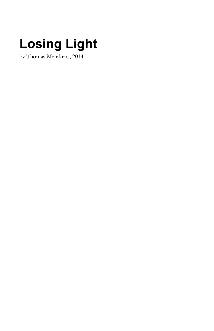# **Losing Light**

by Thomas Meurkens, 2014.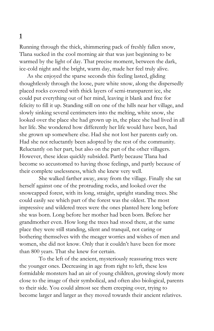Running through the thick, shimmering pack of freshly fallen snow, Tlana sucked in the cool morning air that was just beginning to be warmed by the light of day. That precise moment, between the dark, ice-cold night and the bright, warm day, made her feel truly alive.

As she enjoyed the sparse seconds this feeling lasted, gliding thoughtlessly through the loose, pure white snow, along the dispersedly placed rocks covered with thick layers of semi-transparent ice, she could put everything out of her mind, leaving it blank and free for felicity to fill it up. Standing still on one of the hills near her village, and slowly sinking several centimeters into the melting, white snow, she looked over the place she had grown up in, the place she had lived in all her life. She wondered how differently her life would have been, had she grown up somewhere else. Had she not lost her parents early on. Had she not reluctantly been adopted by the rest of the community. Reluctantly on her part, but also on the part of the other villagers. However, these ideas quickly subsided. Partly because Tlana had become so accustomed to having those feelings, and partly because of their complete uselessness, which she knew very well.

She walked farther away, away from the village. Finally she sat herself against one of the protruding rocks, and looked over the snowcapped forest, with its long, straight, upright standing trees. She could easily see which part of the forest was the oldest. The most impressive and wildered trees were the ones planted here long before she was born. Long before her mother had been born. Before her grandmother even. How long the trees had stood there, at the same place they were still standing, silent and tranquil, not caring or bothering themselves with the meager worries and wishes of men and women, she did not know. Only that it couldn't have been for more than 800 years. That she knew for certain.

To the left of the ancient, mysteriously reassuring trees were the younger ones. Decreasing in age from right to left, these less formidable monsters had an air of young children, growing slowly more close to the image of their symbolical, and often also biological, parents to their side. You could almost see them creeping over, trying to become larger and larger as they moved towards their ancient relatives.

## **1**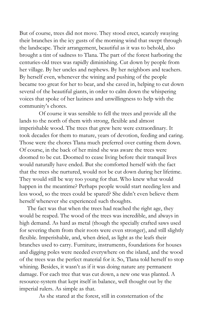But of course, trees did not move. They stood erect, scarcely swaying their branches in the icy gusts of the morning wind that swept through the landscape. Their arrangement, beautiful as it was to behold, also brought a tint of sadness to Tlana. The part of the forest harboring the centuries-old trees was rapidly diminishing. Cut down by people from her village. By her uncles and nephews. By her neighbors and teachers. By herself even, whenever the wining and pushing of the people became too great for her to bear, and she caved in, helping to cut down several of the beautiful giants, in order to calm down the whispering voices that spoke of her laziness and unwillingness to help with the community's chores.

Of course it was sensible to fell the trees and provide all the lands to the north of them with strong, flexible and almost imperishable wood. The trees that grew here were extraordinary. It took decades for them to mature, years of devotion, feeding and caring. Those were the chores Tlana much preferred over cutting them down. Of course, in the back of her mind she was aware the trees were doomed to be cut. Doomed to cease living before their tranquil lives would naturally have ended. But she comforted herself with the fact that the trees she nurtured, would not be cut down during her lifetime. They would still be way too young for that. Who knew what would happen in the meantime? Perhaps people would start needing less and less wood, so the trees could be spared? She didn't even believe them herself whenever she experienced such thoughts.

The fact was that when the trees had reached the right age, they would be reaped. The wood of the trees was incredible, and always in high demand. As hard as metal (though the specially crafted saws used for severing them from their roots were even stronger), and still slightly flexible. Imperishable, and, when dried, as light as the leafs their branches used to carry. Furniture, instruments, foundations for houses and digging poles were needed everywhere on the island, and the wood of the trees was the perfect material for it. So, Tlana told herself to stop whining. Besides, it wasn't as if it was doing nature any permanent damage. For each tree that was cut down, a new one was planted. A resource-system that kept itself in balance, well thought out by the imperial rulers. As simple as that.

As she stared at the forest, still in consternation of the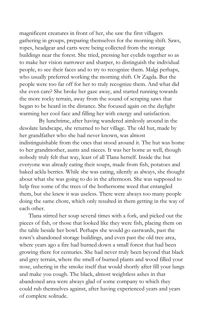magnificent creatures in front of her, she saw the first villagers gathering in groups, preparing themselves for the morning shift. Saws, ropes, headgear and carts were being collected from the storage buildings near the forest. She tried, pressing her eyelids together so as to make her vision narrower and sharper, to distinguish the individual people, to see their faces and to try to recognize them. Malgi perhaps, who usually preferred working the morning shift. Or Zagda. But the people were too far off for her to truly recognize them. And what did she even care? She broke her gaze away, and started running towards the more rocky terrain, away from the sound of scraping saws that began to be heard in the distance. She focused again on the daylight warming her cool face and filling her with energy and satisfaction.

By lunchtime, after having wandered aimlessly around in the desolate landscape, she returned to her village. The old hut, made by her grandfather who she had never known, was almost indistinguishable from the ones that stood around it. The hut was home to her grandmother, aunts and nieces. It was her home as well, though nobody truly felt that way, least of all Tlana herself. Inside the hut everyone was already eating their soups, made from fish, potatoes and baked ackla berries. While she was eating, silently as always, she thought about what she was going to do in the afternoon. She was supposed to help free some of the trees of the bothersome weed that entangled them, but she knew it was useless. There were always too many people doing the same chore, which only resulted in them getting in the way of each other.

Tlana stirred her soup several times with a fork, and picked out the pieces of fish, or those that looked like they were fish, placing them on the table beside her bowl. Perhaps she would go eastwards, past the town's abandoned storage buildings, and even past the old tree area, where years ago a fire had burned down a small forest that had been growing there for centuries. She had never truly been beyond that black and grey terrain, where the smell of burned plants and wood filled your nose, ushering in the smoke itself that would shortly after fill your lungs and make you cough. The black, almost weightless ashes in that abandoned area were always glad of some company to which they could rub themselves against, after having experienced years and years of complete solitude.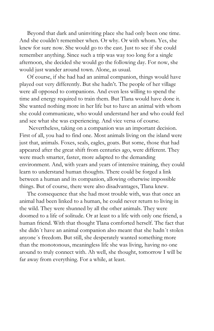Beyond that dark and uninviting place she had only been one time. And she couldn't remember when. Or why. Or with whom. Yes, she knew for sure now. She would go to the east. Just to see if she could remember anything. Since such a trip was way too long for a single afternoon, she decided she would go the following day. For now, she would just wander around town. Alone, as usual.

Of course, if she had had an animal companion, things would have played out very differently. But she hadn't. The people of her village were all opposed to companions. And even less willing to spend the time and energy required to train them. But Tlana would have done it. She wanted nothing more in her life but to have an animal with whom she could communicate, who would understand her and who could feel and see what she was experiencing. And vice versa of course.

Nevertheless, taking on a companion was an important decision. First of all, you had to find one. Most animals living on the island were just that, animals. Foxes, seals, eagles, goats. But some, those that had appeared after the great shift from centuries ago, were different. They were much smarter, faster, more adapted to the demanding environment. And, with years and years of intensive training, they could learn to understand human thoughts. There could be forged a link between a human and its companion, allowing otherwise impossible things. But of course, there were also disadvantages, Tlana knew.

The consequence that she had most trouble with, was that once an animal had been linked to a human, he could never return to living in the wild. They were shunned by all the other animals. They were doomed to a life of solitude. Or at least to a life with only one friend, a human friend. With that thought Tlana comforted herself. The fact that she didn´t have an animal companion also meant that she hadn´t stolen anyone´s freedom. But still, she desperately wanted something more than the monotonous, meaningless life she was living, having no one around to truly connect with. Ah well, she thought, tomorrow I will be far away from everything. For a while, at least.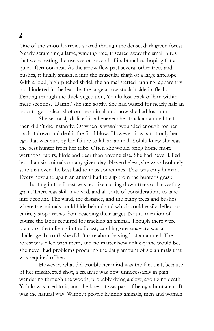One of the smooth arrows soared through the dense, dark green forest. Nearly scratching a large, winding tree, it scared away the small birds that were resting themselves on several of its branches, hoping for a quiet afternoon rest. As the arrow flew past several other trees and bushes, it finally smashed into the muscular thigh of a large antelope. With a loud, high-pitched shriek the animal started running, apparently not hindered in the least by the large arrow stuck inside its flesh. Darting through the thick vegetation, Yolulu lost track of him within mere seconds. 'Damn,' she said softly. She had waited for nearly half an hour to get a clear shot on the animal, and now she had lost him.

She seriously disliked it whenever she struck an animal that then didn't die instantly. Or when is wasn't wounded enough for her track it down and deal it the final blow. However, it was not only her ego that was hurt by her failure to kill an animal. Yolulu knew she was the best hunter from her tribe. Often she would bring home more warthogs, tapirs, birds and deer than anyone else. She had never killed less than six animals on any given day. Nevertheless, she was absolutely sure that even the best had to miss sometimes. That was only human. Every now and again an animal had to slip from the hunter's grasp.

Hunting in the forest was not like cutting down trees or harvesting grain. There was skill involved, and all sorts of considerations to take into account. The wind, the distance, and the many trees and bushes where the animals could hide behind and which could easily deflect or entirely stop arrows from reaching their target. Not to mention of course the labor required for tracking an animal. Though there were plenty of them living in the forest, catching one unaware was a challenge. In truth she didn't care about having lost an animal. The forest was filled with them, and no matter how unlucky she would be, she never had problems procuring the daily amount of six animals that was required of her.

However, what did trouble her mind was the fact that, because of her misdirected shot, a creature was now unnecessarily in pain, wandering through the woods, probably dying a slow, agonizing death. Yolulu was used to it, and she knew it was part of being a huntsman. It was the natural way. Without people hunting animals, men and women

### **2**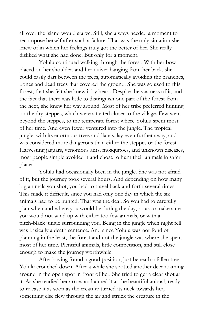all over the island would starve. Still, she always needed a moment to recompose herself after such a failure. That was the only situation she knew of in which her feelings truly got the better of her. She really disliked what she had done. But only for a moment.

Yolulu continued walking through the forest. With her bow placed on her shoulder, and her quiver hanging from her back, she could easily dart between the trees, automatically avoiding the branches, bones and dead trees that covered the ground. She was so used to this forest, that she felt she knew it by heart. Despite the vastness of it, and the fact that there was little to distinguish one part of the forest from the next, she knew her way around. Most of her tribe preferred hunting on the dry steppes, which were situated closer to the village. Few went beyond the steppes, to the temperate forest where Yolulu spent most of her time. And even fewer ventured into the jungle. The tropical jungle, with its enormous trees and lianas, lay even further away, and was considered more dangerous than either the steppes or the forest. Harvesting jaguars, venomous ants, mosquitoes, and unknown diseases, most people simple avoided it and chose to hunt their animals in safer places.

Yolulu had occasionally been in the jungle. She was not afraid of it, but the journey took several hours. And depending on how many big animals you shot, you had to travel back and forth several times. This made it difficult, since you had only one day in which the six animals had to be hunted. That was the deal. So you had to carefully plan when and where you would be during the day, so as to make sure you would not wind up with either too few animals, or with a pitch-black jungle surrounding you. Being in the jungle when night fell was basically a death sentence. And since Yolulu was not fond of planning in the least, the forest and not the jungle was where she spent most of her time. Plentiful animals, little competition, and still close enough to make the journey worthwhile.

After having found a good position, just beneath a fallen tree, Yolulu crouched down. After a while she spotted another deer roaming around in the open spot in front of her. She tried to get a clear shot at it. As she readied her arrow and aimed it at the beautiful animal, ready to release it as soon as the creature turned its neck towards her, something else flew through the air and struck the creature in the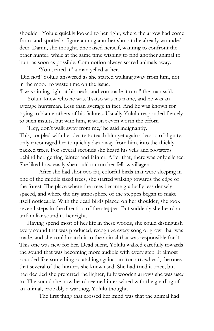shoulder. Yolulu quickly looked to her right, where the arrow had come from, and spotted a figure aiming another shot at the already wounded deer. Damn, she thought. She raised herself, wanting to confront the other hunter, while at the same time wishing to find another animal to hunt as soon as possible. Commotion always scared animals away.

'You scared it!' a man yelled at her. 'Did not!' Yolulu answered as she started walking away from him, not in the mood to waste time on the issue.

'I was aiming right at his neck, and you made it turn!' the man said.

Yolulu knew who he was. Tsatso was his name, and he was an average huntsman. Less than average in fact. And he was known for trying to blame others of his failures. Usually Yolulu responded fiercely to such insults, but with him, it wasn't even worth the effort.

'Hey, don't walk away from me,' he said indignantly. This, coupled with her desire to teach him yet again a lesson of dignity, only encouraged her to quickly dart away from him, into the thickly packed trees. For several seconds she heard his yells and footsteps behind her, getting fainter and fainter. After that, there was only silence. She liked how easily she could outrun her fellow villagers.

After she had shot two fat, colorful birds that were sleeping in one of the middle sized trees, she started walking towards the edge of the forest. The place where the trees became gradually less densely spaced, and where the dry atmosphere of the steppes began to make itself noticeable. With the dead birds placed on her shoulder, she took several steps in the direction of the steppes. But suddenly she heard an unfamiliar sound to her right.

Having spend most of her life in these woods, she could distinguish every sound that was produced, recognize every song or growl that was made, and she could match it to the animal that was responsible for it. This one was new for her. Dead silent, Yolulu walked carefully towards the sound that was becoming more audible with every step. It almost sounded like something scratching against an iron arrowhead, the ones that several of the hunters she knew used. She had tried it once, but had decided she preferred the lighter, fully wooden arrows she was used to. The sound she now heard seemed intertwined with the gnarling of an animal, probably a warthog, Yolulu thought.

The first thing that crossed her mind was that the animal had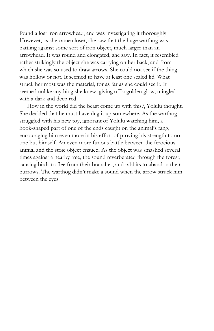found a lost iron arrowhead, and was investigating it thoroughly. However, as she came closer, she saw that the huge warthog was battling against some sort of iron object, much larger than an arrowhead. It was round and elongated, she saw. In fact, it resembled rather strikingly the object she was carrying on her back, and from which she was so used to draw arrows. She could not see if the thing was hollow or not. It seemed to have at least one sealed lid. What struck her most was the material, for as far as she could see it. It seemed unlike anything she knew, giving off a golden glow, mingled with a dark and deep red.

How in the world did the beast come up with this?, Yolulu thought. She decided that he must have dug it up somewhere. As the warthog struggled with his new toy, ignorant of Yolulu watching him, a hook-shaped part of one of the ends caught on the animal's fang, encouraging him even more in his effort of proving his strength to no one but himself. An even more furious battle between the ferocious animal and the stoic object ensued. As the object was smashed several times against a nearby tree, the sound reverberated through the forest, causing birds to flee from their branches, and rabbits to abandon their burrows. The warthog didn't make a sound when the arrow struck him between the eyes.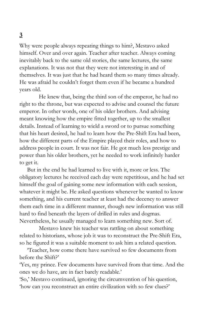# **3**

Why were people always repeating things to him?, Mestavo asked himself. Over and over again. Teacher after teacher. Always coming inevitably back to the same old stories, the same lectures, the same explanations. It was not that they were not interesting in and of themselves. It was just that he had heard them so many times already. He was afraid he couldn't forget them even if he became a hundred years old.

He knew that, being the third son of the emperor, he had no right to the throne, but was expected to advise and counsel the future emperor. In other words, one of his older brothers. And advising meant knowing how the empire fitted together, up to the smallest details. Instead of learning to wield a sword or to pursue something that his heart desired, he had to learn how the Pre-Shift Era had been, how the different parts of the Empire played their roles, and how to address people in court. It was not fair. He got much less prestige and power than his older brothers, yet he needed to work infinitely harder to get it.

But in the end he had learned to live with it, more or less. The obligatory lectures he received each day were repetitious, and he had set himself the goal of gaining some new information with each session, whatever it might be. He asked questions whenever he wanted to know something, and his current teacher at least had the decency to answer them each time in a different manner, though new information was still hard to find beneath the layers of drilled in rules and dogmas. Nevertheless, he usually managed to learn something new. Sort of.

Mestavo knew his teacher was rattling on about something related to historians, whose job it was to reconstruct the Pre-Shift Era, so he figured it was a suitable moment to ask him a related question.

'Teacher, how come there have survived so few documents from before the Shift?'

'Yes, my prince. Few documents have survived from that time. And the ones we do have, are in fact barely readable.'

'So,' Mestavo continued, ignoring the circumvention of his question, 'how can you reconstruct an entire civilization with so few clues?'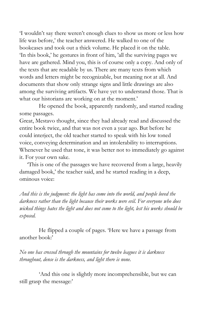'I wouldn't say there weren't enough clues to show us more or less how life was before,' the teacher answered. He walked to one of the bookcases and took out a thick volume. He placed it on the table. 'In this book,' he gestures in front of him, 'all the surviving pages we have are gathered. Mind you, this is of course only a copy. And only of the texts that are readable by us. There are many texts from which words and letters might be recognizable, but meaning not at all. And documents that show only strange signs and little drawings are also among the surviving artifacts. We have yet to understand those. That is what our historians are working on at the moment.'

He opened the book, apparently randomly, and started reading some passages.

Great, Mestavo thought, since they had already read and discussed the entire book twice, and that was not even a year ago. But before he could interject, the old teacher started to speak with his low toned voice, conveying determination and an intolerability to interruptions. Whenever he used that tone, it was better not to immediately go against it. For your own sake.

'This is one of the passages we have recovered from a large, heavily damaged book,' the teacher said, and he started reading in a deep, ominous voice:

*And this is the judgment: the light has come into the world, and people loved the darkness rather than the light because their works were evil. For everyone who does wicked things hates the light and does not come to the light, lest his works should be exposed.*

He flipped a couple of pages. 'Here we have a passage from another book:'

*No one has crossed through the mountains for twelve leagues it is darkness throughout, dense is the darkness, and light there is none.*

'And this one is slightly more incomprehensible, but we can still grasp the message:'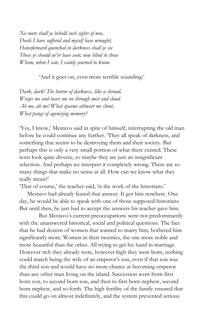*No more shall ye behold such sights of woe, Deeds I have suf ered and myself have wrought; Henceforward quenched in darkness shall ye see Those ye should ne'er have seen; now blind to those Whom, when I saw, I vainly yearned to know.*

'And it goes on, even more terrible sounding:'

*Dark, dark! The horror of darkness, like a shroud, Wraps me and bears me on through mist and cloud. Ah me, ah me! What spasms athwart me shoot, What pangs of agonizing memory?*

'Yes, I know,' Mestavo said in spite of himself, interrupting the old man before he could continue any further. 'They all speak of darkness, and something that seems to be destroying them and their society. But perhaps this is only a very small portion of what there existed. These texts look quite diverse, so maybe they are just an insignificant selection. And perhaps we interpret it completely wrong. There are so many things that make no sense at all. How can we know what they really mean?'

'That of course,' the teacher said, 'is the work of the historians.'

Mestavo had already feared that answer. It got him nowhere. One day, he would be able to speak with one of those supposed historians. But until then, he just had to accept the answers his teacher gave him.

But Mestavo's current preoccupations were not predominantly with the unanswered historical, social and political questions. The fact that he had dozens of women that wanted to marry him, bothered him significantly more. Women in their twenties, the one more noble and more beautiful than the other. All trying to get his hand in marriage. However rich they already were, however high they were born, nothing could match being the wife of an emperor's son, even if that son was the third son and would have no more chance at becoming emperor than any other man living on the island. Succession went from first born son, to second born son, and then to first born nephew, second born nephew, and so forth. The high fertility of the family ensured that this could go on almost indefinitely, and the system prevented serious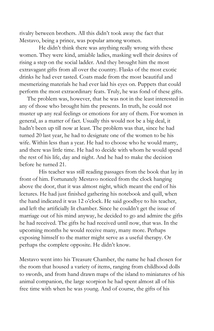rivalry between brothers. All this didn't took away the fact that Mestavo, being a prince, was popular among women.

He didn't think there was anything really wrong with these women. They were kind, amiable ladies, masking well their desires of rising a step on the social ladder. And they brought him the most extravagant gifts from all over the country. Flasks of the most exotic drinks he had ever tasted. Coats made from the most beautiful and mesmerizing materials he had ever laid his eyes on. Puppets that could perform the most extraordinary feats. Truly, he was fond of these gifts.

The problem was, however, that he was not in the least interested in any of those who brought him the presents. In truth, he could not muster up any real feelings or emotions for any of them. For women in general, as a matter of fact. Usually this would not be a big deal, it hadn't been up till now at least. The problem was that, since he had turned 20 last year, he had to designate one of the women to be his wife. Within less than a year. He had to choose who he would marry, and there was little time. He had to decide with whom he would spend the rest of his life, day and night. And he had to make the decision before he turned 21.

His teacher was still reading passages from the book that lay in front of him. Fortunately Mestavo noticed from the clock hanging above the door, that it was almost night, which meant the end of his lectures. He had just finished gathering his notebook and quill, when the hand indicated it was 12 o'clock. He said goodbye to his teacher, and left the artificially lit chamber. Since he couldn't get the issue of marriage out of his mind anyway, he decided to go and admire the gifts he had received. The gifts he had received until now, that was. In the upcoming months he would receive many, many more. Perhaps exposing himself to the matter might serve as a useful therapy. Or perhaps the complete opposite. He didn't know.

Mestavo went into his Treasure Chamber, the name he had chosen for the room that housed a variety of items, ranging from childhood dolls to swords, and from hand drawn maps of the island to miniatures of his animal companion, the large scorpion he had spent almost all of his free time with when he was young. And of course, the gifts of his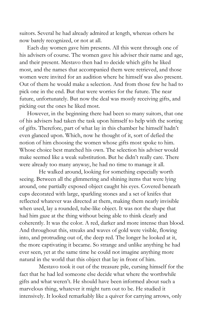suitors. Several he had already admired at length, whereas others he now barely recognized, or not at all.

Each day women gave him presents. All this went through one of his advisers of course. The women gave his adviser their name and age, and their present. Mestavo then had to decide which gifts he liked most, and the names that accompanied them were retrieved, and those women were invited for an audition where he himself was also present. Out of them he would make a selection. And from those few he had to pick one in the end. But that were worries for the future. The near future, unfortunately. But now the deal was mostly receiving gifts, and picking out the ones he liked most.

However, in the beginning there had been so many suitors, that one of his advisers had taken the task upon himself to help with the sorting of gifts. Therefore, part of what lay in this chamber he himself hadn't even glanced upon. Which, now he thought of it, sort of defied the notion of him choosing the women whose gifts most spoke to him. Whose choice best matched his own. The selection his adviser would make seemed like a weak substitution. But he didn't really care. There were already too many anyway, he had no time to manage it all.

He walked around, looking for something especially worth seeing. Between all the glimmering and shining items that were lying around, one partially exposed object caught his eyes. Covered beneath cups decorated with large, sparkling stones and a set of knifes that reflected whatever was directed at them, making them nearly invisible when used, lay a rounded, tube-like object. It was not the shape that had him gaze at the thing without being able to think clearly and coherently. It was the color. A red, darker and more intense than blood. And throughout this, streaks and waves of gold were visible, flowing into, and protruding out of, the deep red. The longer he looked at it, the more captivating it became. So strange and unlike anything he had ever seen, yet at the same time he could not imagine anything more natural in the world that this object that lay in front of him.

Mestavo took it out of the treasure pile, cursing himself for the fact that he had led someone else decide what where the worthwhile gifts and what weren't. He should have been informed about such a marvelous thing, whatever it might turn out to be. He studied it intensively. It looked remarkably like a quiver for carrying arrows, only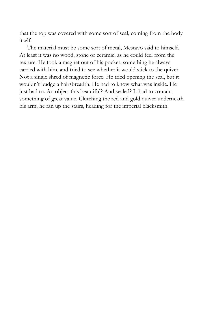that the top was covered with some sort of seal, coming from the body itself.

The material must be some sort of metal, Mestavo said to himself. At least it was no wood, stone or ceramic, as he could feel from the texture. He took a magnet out of his pocket, something he always carried with him, and tried to see whether it would stick to the quiver. Not a single shred of magnetic force. He tried opening the seal, but it wouldn't budge a hairsbreadth. He had to know what was inside. He just had to. An object this beautiful? And sealed? It had to contain something of great value. Clutching the red and gold quiver underneath his arm, he ran up the stairs, heading for the imperial blacksmith.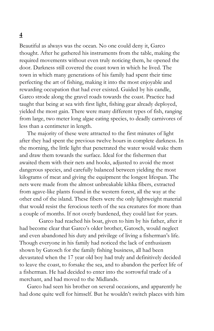## **4**

Beautiful as always was the ocean. No one could deny it, Garco thought. After he gathered his instruments from the table, making the required movements without even truly noticing them, he opened the door. Darkness still covered the coast town in which he lived. The town in which many generations of his family had spent their time perfecting the art of fishing, making it into the most enjoyable and rewarding occupation that had ever existed. Guided by his candle, Garco strode along the gravel roads towards the coast. Practice had taught that being at sea with first light, fishing gear already deployed, yielded the most gain. There were many different types of fish, ranging from large, two meter long algae eating species, to deadly carnivores of less than a centimeter in length.

The majority of these were attracted to the first minutes of light after they had spent the previous twelve hours in complete darkness. In the morning, the little light that penetrated the water would wake them and draw them towards the surface. Ideal for the fishermen that awaited them with their nets and hooks, adjusted to avoid the most dangerous species, and carefully balanced between yielding the most kilograms of meat and giving the equipment the longest lifespan. The nets were made from the almost unbreakable kihka fibers, extracted from agave-like plants found in the western forest, all the way at the other end of the island. These fibers were the only lightweight material that would resist the ferocious teeth of the sea creatures for more than a couple of months. If not overly burdened, they could last for years.

Garco had reached his boat, given to him by his father, after it had become clear that Garco's older brother, Gatosch, would neglect and even abandoned his duty and privilege of living a fisherman's life. Though everyone in his family had noticed the lack of enthusiasm shown by Gatosch for the family fishing business, all had been devastated when the 17 year old boy had truly and definitively decided to leave the coast, to forsake the sea, and to abandon the perfect life of a fisherman. He had decided to enter into the sorrowful trade of a merchant, and had moved to the Midlands.

Garco had seen his brother on several occasions, and apparently he had done quite well for himself. But he wouldn't switch places with him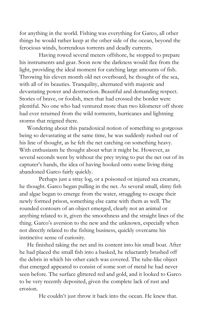for anything in the world. Fishing was everything for Garco, all other things he would rather keep at the other side of the ocean, beyond the ferocious winds, horrendous torrents and deadly currents.

Having rowed several meters offshore, he stopped to prepare his instruments and gear. Soon now the darkness would flee from the light, providing the ideal moment for catching large amounts of fish. Throwing his eleven month old net overboard, he thought of the sea, with all of its beauties. Tranquility, alternated with majestic and devastating power and destruction. Beautiful and demanding respect. Stories of brave, or foolish, men that had crossed the border were plentiful. No one who had ventured more than two kilometer off shore had ever returned from the wild torments, hurricanes and lightning storms that reigned there.

Wondering about this paradoxical notion of something so gorgeous being so devastating at the same time, he was suddenly rushed out of his line of thought, as he felt the net catching on something heavy. With enthusiasm he thought about what it might be. However, as several seconds went by without the prey trying to put the net out of its capturer's hands, the idea of having hooked onto some living thing abandoned Garco fairly quickly.

Perhaps just a stray log, or a poisoned or injured sea creature, he thought. Garco began pulling in the net. As several small, slimy fish and algae began to emerge from the water, struggling to escape their newly formed prison, something else came with them as well. The rounded contours of an object emerged, clearly not an animal or anything related to it, given the smoothness and the straight lines of the thing. Garco's aversion to the new and the unknown, especially when not directly related to the fishing business, quickly overcame his instinctive sense of curiosity.

He finished taking the net and its content into his small boat. After he had placed the small fish into a basked, he reluctantly brushed off the debris in which his other catch was covered. The tube-like object that emerged appeared to consist of some sort of metal he had never seen before. The surface glittered red and gold, and it looked to Garco to be very recently deposited, given the complete lack of rust and erosion.

He couldn't just throw it back into the ocean. He knew that.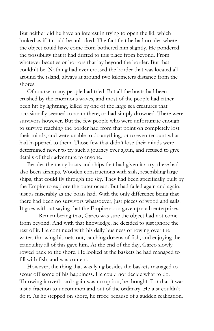But neither did he have an interest in trying to open the lid, which looked as if it could be unlocked. The fact that he had no idea where the object could have come from bothered him slightly. He pondered the possibility that it had drifted to this place from beyond. From whatever beauties or horrors that lay beyond the border. But that couldn't be. Nothing had ever crossed the border that was located all around the island, always at around two kilometers distance from the shores.

Of course, many people had tried. But all the boats had been crushed by the enormous waves, and most of the people had either been hit by lightning, killed by one of the large sea creatures that occasionally seemed to roam there, or had simply drowned. There were survivors however. But the few people who were unfortunate enough to survive reaching the border had from that point on completely lost their minds, and were unable to do anything, or to even recount what had happened to them. Those few that didn't lose their minds were determined never to try such a journey ever again, and refused to give details of their adventure to anyone.

Besides the many boats and ships that had given it a try, there had also been airships. Wooden constructions with sails, resembling large ships, that could fly through the sky. They had been specifically built by the Empire to explore the outer ocean. But had failed again and again, just as miserably as the boats had. With the only difference being that there had been no survivors whatsoever, just pieces of wood and sails. It goes without saying that the Empire soon gave up such enterprises.

Remembering that, Garco was sure the object had not come from beyond. And with that knowledge, he decided to just ignore the rest of it. He continued with his daily business of rowing over the water, throwing his nets out, catching dozens of fish, and enjoying the tranquility all of this gave him. At the end of the day, Garco slowly rowed back to the shore. He looked at the baskets he had managed to fill with fish, and was content.

However, the thing that was lying besides the baskets managed to scour off some of his happiness. He could not decide what to do. Throwing it overboard again was no option, he thought. For that it was just a fraction to uncommon and out of the ordinary. He just couldn't do it. As he stepped on shore, he froze because of a sudden realization.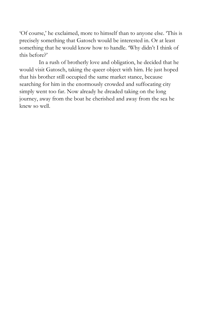'Of course,' he exclaimed, more to himself than to anyone else. 'This is precisely something that Gatosch would be interested in. Or at least something that he would know how to handle. 'Why didn't I think of this before?'

In a rush of brotherly love and obligation, he decided that he would visit Gatosch, taking the queer object with him. He just hoped that his brother still occupied the same market stance, because searching for him in the enormously crowded and suffocating city simply went too far. Now already he dreaded taking on the long journey, away from the boat he cherished and away from the sea he knew so well.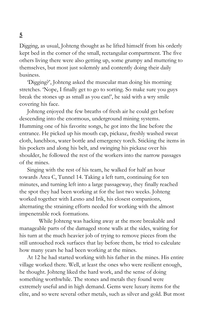#### Digging, as usual, Johteng thought as he lifted himself from his orderly kept bed in the corner of the small, rectangular compartment. The five others living there were also getting up, some grumpy and muttering to themselves, but most just solemnly and contently doing their daily business.

'Digging?', Johteng asked the muscular man doing his morning stretches. 'Nope, I finally get to go to sorting. So make sure you guys break the stones up as small as you can!', he said with a wry smile covering his face.

Johteng enjoyed the few breaths of fresh air he could get before descending into the enormous, underground mining systems. Humming one of his favorite songs, he got into the line before the entrance. He picked up his mouth cap, pickaxe, freshly washed sweat cloth, lunchbox, water bottle and emergency torch. Sticking the items in his pockets and along his belt, and swinging his pickaxe over his shoulder, he followed the rest of the workers into the narrow passages of the mines.

Singing with the rest of his team, he walked for half an hour towards Area C, Tunnel 14. Taking a left turn, continuing for ten minutes, and turning left into a large passageway, they finally reached the spot they had been working at for the last two weeks. Johteng worked together with Lesno and Irik, his closest companions, alternating the straining efforts needed for working with the almost impenetrable rock formations.

While Johteng was hacking away at the more breakable and manageable parts of the damaged stone walls at the sides, waiting for his turn at the much heavier job of trying to remove pieces from the still untouched rock surfaces that lay before them, he tried to calculate how many years he had been working at the mines.

At 12 he had started working with his father in the mines. His entire village worked there. Well, at least the ones who were resilient enough, he thought. Johteng liked the hard work, and the sense of doing something worthwhile. The stones and metals they found were extremely useful and in high demand. Gems were luxury items for the elite, and so were several other metals, such as silver and gold. But most

# **5**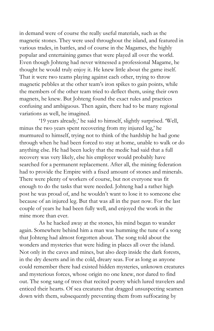in demand were of course the really useful materials, such as the magnetic stones. They were used throughout the island, and featured in various trades, in battles, and of course in the Magames, the highly popular and entertaining games that were played all over the world. Even though Johteng had never witnessed a professional Magame, he thought he would truly enjoy it. He knew little about the game itself. That it were two teams playing against each other, trying to throw magnetic pebbles at the other team's iron spikes to gain points, while the members of the other team tried to deflect them, using their own magnets, he knew. But Johteng found the exact rules and practices confusing and ambiguous. Then again, there had to be many regional variations as well, he imagined.

'19 years already,' he said to himself, slightly surprised. 'Well, minus the two years spent recovering from my injured leg,' he murmured to himself, trying not to think of the hardship he had gone through when he had been forced to stay at home, unable to walk or do anything else. He had been lucky that the medic had said that a full recovery was very likely, else his employer would probably have searched for a permanent replacement. After all, the mining federation had to provide the Empire with a fixed amount of stones and minerals. There were plenty of workers of course, but not everyone was fit enough to do the tasks that were needed. Johteng had a rather high post he was proud of, and he wouldn't want to lose it to someone else because of an injured leg. But that was all in the past now. For the last couple of years he had been fully well, and enjoyed the work in the mine more than ever.

As he hacked away at the stones, his mind began to wander again. Somewhere behind him a man was humming the tune of a song that Johteng had almost forgotten about. The song told about the wonders and mysteries that were hiding in places all over the island. Not only in the caves and mines, but also deep inside the dark forests, in the dry deserts and in the cold, dreary seas. For as long as anyone could remember there had existed hidden mysteries, unknown creatures and mysterious forces, whose origin no one knew, nor dared to find out. The song sang of trees that recited poetry which lured travelers and enticed their hearts. Of sea creatures that dragged unsuspecting seamen down with them, subsequently preventing them from suffocating by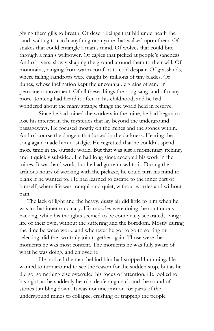giving them gills to breath. Of desert beings that hid underneath the sand, waiting to catch anything or anyone that walked upon them. Of snakes that could entangle a man's mind. Of wolves that could bite through a man's willpower. Of eagles that picked at people's saneness. And of rivers, slowly shaping the ground around them to their will. Of mountains, ranging from warm comfort to cold despair. Of grasslands, where falling raindrops were caught by millions of tiny blades. Of dunes, whose inclination kept the uncountable grains of sand in permanent movement. Of all these things the song sang, and of many more. Johteng had heard it often in his childhood, and he had wondered about the many strange things the world held in reserve.

Since he had joined the workers in the mine, he had begun to lose his interest in the mysteries that lay beyond the underground passageways. He focused mostly on the mines and the stones within. And of course the dangers that lurked in the darkness. Hearing the song again made him nostalgic. He regretted that he couldn't spend more time in the outside world. But that was just a momentary itching, and it quickly subsided. He had long since accepted his work in the mines. It was hard work, but he had gotten used to it. During the arduous hours of working with the pickaxe, he could turn his mind to blank if he wanted to. He had learned to escape to the inner part of himself, where life was tranquil and quiet, without worries and without pain.

The lack of light and the heavy, dusty air did little to him when he was in that inner sanctuary. His muscles were doing the continuous hacking, while his thoughts seemed to be completely separated, living a life of their own, without the suffering and the boredom. Mostly during the time between work, and whenever he got to go to sorting or selecting, did the two truly join together again. Those were the moments he was most content. The moments he was fully aware of what he was doing, and enjoyed it.

He noticed the man behind him had stopped humming. He wanted to turn around to see the reason for the sudden stop, but as he did so, something else overruled his focus of attention. He looked to his right, as he suddenly heard a deafening crack and the sound of stones tumbling down. It was not uncommon for parts of the underground mines to collapse, crushing or trapping the people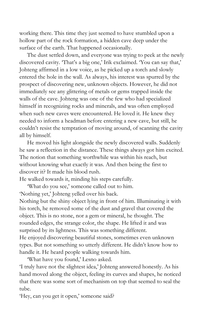working there. This time they just seemed to have stumbled upon a hollow part of the rock formation, a hidden cave deep under the surface of the earth. That happened occasionally.

The dust settled down, and everyone was trying to peek at the newly discovered cavity. 'That's a big one,' Irik exclaimed. 'You can say that,' Johteng affirmed in a low voice, as he picked up a torch and slowly entered the hole in the wall. As always, his interest was spurred by the prospect of discovering new, unknown objects. However, he did not immediately see any glittering of metals or gems trapped inside the walls of the cave. Johteng was one of the few who had specialized himself in recognizing rocks and minerals, and was often employed when such new caves were encountered. He loved it. He knew they needed to inform a headman before entering a new cave, but still, he couldn't resist the temptation of moving around, of scanning the cavity all by himself.

He moved his light alongside the newly discovered walls. Suddenly he saw a reflection in the distance. These things always got him excited. The notion that something worthwhile was within his reach, but without knowing what exactly it was. And then being the first to discover it? It made his blood rush.

He walked towards it, minding his steps carefully.

'What do you see,' someone called out to him. 'Nothing yet,' Johteng yelled over his back.

Nothing but the shiny object lying in front of him. Illuminating it with his torch, he removed some of the dust and gravel that covered the object. This is no stone, nor a gem or mineral, he thought. The rounded edges, the strange color, the shape. He lifted it and was surprised by its lightness. This was something different. He enjoyed discovering beautiful stones, sometimes even unknown types. But not something so utterly different. He didn't know how to handle it. He heard people walking towards him.

'What have you found,' Lesno asked.

'I truly have not the slightest idea,' Johteng answered honestly. As his hand moved along the object, feeling its curves and shapes, he noticed that there was some sort of mechanism on top that seemed to seal the tube.

'Hey, can you get it open,' someone said?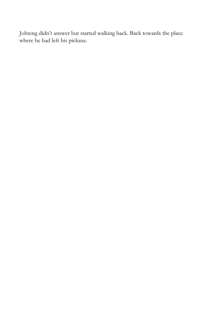Johteng didn't answer but started walking back. Back towards the place where he had left his pickaxe.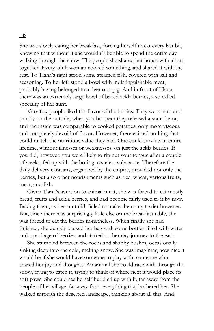She was slowly eating her breakfast, forcing herself to eat every last bit, knowing that without it she wouldn´t be able to spend the entire day walking through the snow. The people she shared her house with all ate together. Every adult woman cooked something, and shared it with the rest. To Tlana's right stood some steamed fish, covered with salt and seasoning. To her left stood a bowl with indistinguishable meat, probably having belonged to a deer or a pig. And in front of Tlana there was an extremely large bowl of baked ackla berries, a so called specialty of her aunt.

Very few people liked the flavor of the berries. They were hard and prickly on the outside, when you bit them they released a sour flavor, and the inside was comparable to cooked potatoes, only more viscous and completely devoid of flavor. However, there existed nothing that could match the nutritious value they had. One could survive an entire lifetime, without illnesses or weaknesses, on just the ackla berries. If you did, however, you were likely to rip out your tongue after a couple of weeks, fed up with the boring, tasteless substance. Therefore the daily delivery caravans, organized by the empire, provided not only the berries, but also other nourishments such as rice, wheat, various fruits, meat, and fish.

Given Tlana's aversion to animal meat, she was forced to eat mostly bread, fruits and ackla berries, and had become fairly used to it by now. Baking them, as her aunt did, failed to make them any tastier however. But, since there was surprisingly little else on the breakfast table, she was forced to eat the berries nonetheless. When finally she had finished, she quickly packed her bag with some bottles filled with water and a package of berries, and started on her day-journey to the east.

She stumbled between the rocks and shabby bushes, occasionally sinking deep into the cold, melting snow. She was imagining how nice it would be if she would have someone to play with, someone who shared her joy and thoughts. An animal she could race with through the snow, trying to catch it, trying to think of where next it would place its soft paws. She could see herself huddled up with it, far away from the people of her village, far away from everything that bothered her. She walked through the deserted landscape, thinking about all this. And

#### **6**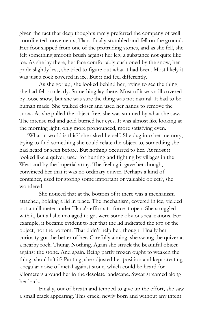given the fact that deep thoughts rarely preferred the company of well coordinated movements, Tlana finally stumbled and fell on the ground. Her foot slipped from one of the protruding stones, and as she fell, she felt something smooth brush against her leg, a substance not quite like ice. As she lay there, her face comfortably cushioned by the snow, her pride slightly less, she tried to figure out what it had been. Most likely it was just a rock covered in ice. But it did feel differently.

As she got up, she looked behind her, trying to see the thing she had felt so clearly. Something lay there. Most of it was still covered by loose snow, but she was sure the thing was not natural. It had to be human made. She walked closer and used her hands to remove the snow. As she pulled the object free, she was stunned by what she saw. The intense red and gold burned her eyes. It was almost like looking at the morning light, only more pronounced, more satisfying even.

'What in world is this?' she asked herself. She dug into her memory, trying to find something she could relate the object to, something she had heard or seen before. But nothing occurred to her. At most it looked like a quiver, used for hunting and fighting by villages in the West and by the imperial army. The feeling it gave her though, convinced her that it was no ordinary quiver. Perhaps a kind of container, used for storing some important or valuable object?, she wondered.

She noticed that at the bottom of it there was a mechanism attached, holding a lid in place. The mechanism, covered in ice, yielded not a millimeter under Tlana's efforts to force it open. She struggled with it, but all she managed to get were some obvious realizations. For example, it became evident to her that the lid indicated the top of the object, not the bottom. That didn't help her, though. Finally her curiosity got the better of her. Carefully aiming, she swung the quiver at a nearby rock. Thung. Nothing. Again she struck the beautiful object against the stone. And again. Being partly frozen ought to weaken the thing, shouldn't it? Panting, she adjusted her position and kept creating a regular noise of metal against stone, which could be heard for kilometers around her in the desolate landscape. Sweat streamed along her back.

Finally, out of breath and temped to give up the effort, she saw a small crack appearing. This crack, newly born and without any intent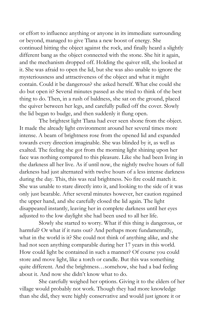or effort to influence anything or anyone in its immediate surrounding or beyond, managed to give Tlana a new boost of energy. She continued hitting the object against the rock, and finally heard a slightly different bang as the object connected with the stone. She hit it again, and the mechanism dropped off. Holding the quiver still, she looked at it. She was afraid to open the lid, but she was also unable to ignore the mysteriousness and attractiveness of the object and what it might contain. Could it be dangerous? she asked herself. What else could she do but open it? Several minutes passed as she tried to think of the best thing to do. Then, in a rush of baldness, she sat on the ground, placed the quiver between her legs, and carefully pulled off the cover. Slowly the lid began to budge, and then suddenly it flung open.

The brightest light Tlana had ever seen shone from the object. It made the already light environment around her several times more intense. A beam of brightness rose from the opened lid and expanded towards every direction imaginable. She was blinded by it, as well as exalted. The feeling she got from the morning light shining upon her face was nothing compared to this pleasure. Like she had been living in the darkness all her live. As if until now, the nightly twelve hours of full darkness had just alternated with twelve hours of a less intense darkness during the day. This, this was real brightness. No fire could match it. She was unable to stare directly into it, and looking to the side of it was only just bearable. After several minutes however, her caution regained the upper hand, and she carefully closed the lid again. The light disappeared instantly, leaving her in complete darkness until her eyes adjusted to the low daylight she had been used to all her life.

Slowly she started to worry. What if this thing is dangerous, or harmful? Or what if it runs out? And perhaps more fundamentally, what in the world is it? She could not think of anything alike, and she had not seen anything comparable during her 17 years in this world. How could light be contained in such a manner? Of course you could store and move light, like a torch or candle. But this was something quite different. And the brightness…somehow, she had a bad feeling about it. And now she didn't know what to do.

She carefully weighed her options. Giving it to the elders of her village would probably not work. Though they had more knowledge than she did, they were highly conservative and would just ignore it or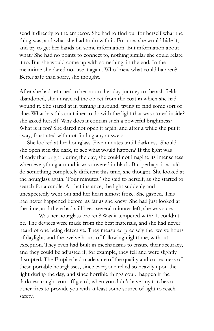send it directly to the emperor. She had to find out for herself what the thing was, and what she had to do with it. For now she would hide it, and try to get her hands on some information. But information about what? She had no points to connect to, nothing similar she could relate it to. But she would come up with something, in the end. In the meantime she dared not use it again. Who knew what could happen? Better safe than sorry, she thought.

After she had returned to her room, her day-journey to the ash fields abandoned, she unraveled the object from the coat in which she had wound it. She stared at it, turning it around, trying to find some sort of clue. What has this container to do with the light that was stored inside? she asked herself. Why does it contain such a powerful brightness? What is it for? She dared not open it again, and after a while she put it away, frustrated with not finding any answers.

She looked at her hourglass. Five minutes untill darkness. Should she open it in the dark, to see what would happen? If the light was already that bright during the day, she could not imagine its intenseness when everything around it was covered in black. But perhaps it would do something completely different this time, she thought. She looked at the hourglass again. 'Four minutes,' she said to herself, as she started to search for a candle. At that instance, the light suddenly and unexpectedly went out and her heart almost froze. She gasped. This had never happened before, as far as she knew. She had just looked at the time, and there had still been several minutes left, she was sure.

Was her hourglass broken? Was it tempered with? It couldn't be. The devices were made from the best materials, and she had never heard of one being defective. They measured precisely the twelve hours of daylight, and the twelve hours of following nighttime, without exception. They even had built in mechanisms to ensure their accuracy, and they could be adjusted if, for example, they fell and were slightly disrupted. The Empire had made sure of the quality and correctness of these portable hourglasses, since everyone relied so heavily upon the light during the day, and since horrible things could happen if the darkness caught you off guard, when you didn't have any torches or other fires to provide you with at least some source of light to reach safety.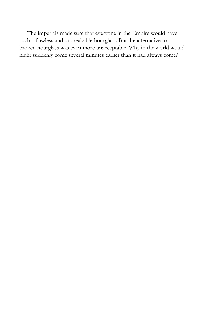The imperials made sure that everyone in the Empire would have such a flawless and unbreakable hourglass. But the alternative to a broken hourglass was even more unacceptable. Why in the world would night suddenly come several minutes earlier than it had always come?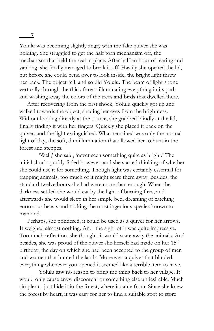Yolulu was becoming slightly angry with the fake quiver she was holding. She struggled to get the half torn mechanism off, the mechanism that held the seal in place. After half an hour of tearing and yanking, she finally managed to break it off. Hastily she opened the lid, but before she could bend over to look inside, the bright light threw her back. The object fell, and so did Yolulu. The beam of light shone vertically through the thick forest, illuminating everything in its path and washing away the colors of the trees and birds that dwelled there.

After recovering from the first shock, Yolulu quickly got up and walked towards the object, shading her eyes from the brightness. Without looking directly at the source, she grabbed blindly at the lid, finally finding it with her fingers. Quickly she placed it back on the quiver, and the light extinguished. What remained was only the normal light of day, the soft, dim illumination that allowed her to hunt in the forest and steppes.

'Well,' she said, 'never seen something quite as bright.' The initial shock quickly faded however, and she started thinking of whether she could use it for something. Though light was certainly essential for trapping animals, too much of it might scare them away. Besides, the standard twelve hours she had were more than enough. When the darkness settled she would eat by the light of burning fires, and afterwards she would sleep in her simple bed, dreaming of catching enormous beasts and tricking the most ingenious species known to mankind.

Perhaps, she pondered, it could be used as a quiver for her arrows. It weighed almost nothing. And the sight of it was quite impressive. Too much reflection, she thought, it would scare away the animals. And besides, she was proud of the quiver she herself had made on her 15<sup>th</sup> birthday, the day on which she had been accepted to the group of men and women that hunted the lands. Moreover, a quiver that blinded everything whenever you opened it seemed like a terrible item to have.

Yolulu saw no reason to bring the thing back to her village. It would only cause envy, discontent or something else undesirable. Much simpler to just hide it in the forest, where it came from. Since she knew the forest by heart, it was easy for her to find a suitable spot to store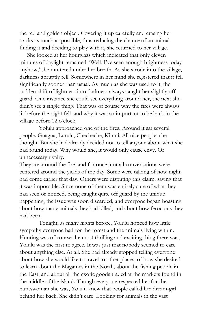the red and golden object. Covering it up carefully and erasing her tracks as much as possible, thus reducing the chance of an animal finding it and deciding to play with it, she returned to her village.

She looked at her hourglass which indicated that only eleven minutes of daylight remained. 'Well, I've seen enough brightness today anyhow,' she muttered under her breath. As she strode into the village, darkness abruptly fell. Somewhere in her mind she registered that it fell significantly sooner than usual. As much as she was used to it, the sudden shift of lightness into darkness always caught her slightly off guard. One instance she could see everything around her, the next she didn't see a single thing. That was of course why the fires were always lit before the night fell, and why it was so important to be back in the village before 12 o'clock.

Yolulu approached one of the fires. Around it sat several people. Guagua, Lurulu, Checheche, Kinini. All nice people, she thought. But she had already decided not to tell anyone about what she had found today. Why would she, it would only cause envy. Or unnecessary rivalry.

They ate around the fire, and for once, not all conversations were centered around the yields of the day. Some were talking of how night had come earlier that day. Others were disputing this claim, saying that it was impossible. Since none of them was entirely sure of what they had seen or noticed, being caught quite off guard by the unique happening, the issue was soon discarded, and everyone began boasting about how many animals they had killed, and about how ferocious they had been.

Tonight, as many nights before, Yolulu noticed how little sympathy everyone had for the forest and the animals living within. Hunting was of course the most thrilling and exciting thing there was, Yolulu was the first to agree. It was just that nobody seemed to care about anything else. At all. She had already stopped telling everyone about how she would like to travel to other places, of how she desired to learn about the Magames in the North, about the fishing people in the East, and about all the exotic goods traded at the markets found in the middle of the island. Though everyone respected her for the huntswoman she was, Yolulu knew that people called her dream-girl behind her back. She didn't care. Looking for animals in the vast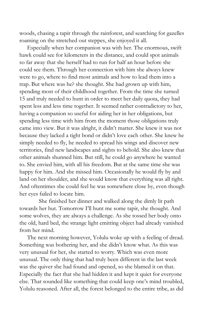woods, chasing a tapir through the rainforest, and searching for gazelles roaming on the stretched out steppes, she enjoyed it all.

Especially when her companion was with her. The enormous, swift hawk could see for kilometers in the distance, and could spot animals so far away that she herself had to run for half an hour before she could see them. Through her connection with him she always knew were to go, where to find most animals and how to lead them into a trap. But where was he? she thought. She had grown up with him, spending most of their childhood together. From the time she turned 15 and truly needed to hunt in order to meet her daily quota, they had spent less and less time together. It seemed rather contradictory to her, having a companion so useful for aiding her in her obligations, but spending less time with him from the moment those obligations truly came into view. But it was alright, it didn't matter. She knew it was not because they lacked a tight bond or didn't love each other. She knew he simply needed to fly, he needed to spread his wings and discover new territories, find new landscapes and sights to behold. She also knew that other animals shunned him. But still, he could go anywhere he wanted to. She envied him, with all his freedom. But at the same time she was happy for him. And she missed him. Occasionally he would fly by and land on her shoulder, and she would know that everything was all right. And oftentimes she could feel he was somewhere close by, even though her eyes failed to locate him.

She finished her dinner and walked along the dimly lit path towards her hut. Tomorrow I'll hunt me some tapir, she thought. And some wolves, they are always a challenge. As she tossed her body onto the old, hard bed, the strange light emitting object had already vanished from her mind.

The next morning however, Yolulu woke up with a feeling of dread. Something was bothering her, and she didn't know what. As this was very unusual for her, she started to worry. Which was even more unusual. The only thing that had truly been different in the last week was the quiver she had found and opened, so she blamed it on that. Especially the fact that she had hidden it and kept it quiet for everyone else. That sounded like something that could keep one's mind troubled, Yolulu reasoned. After all, the forest belonged to the entire tribe, as did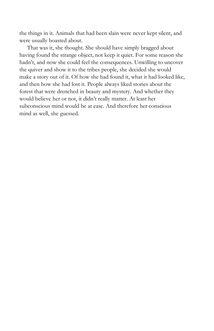the things in it. Animals that had been slain were never kept silent, and were usually boasted about.

That was it, she thought. She should have simply bragged about having found the strange object, not keep it quiet. For some reason she hadn't, and now she could feel the consequences. Unwilling to uncover the quiver and show it to the tribes people, she decided she would make a story out of it. Of how she had found it, what it had looked like, and then how she had lost it. People always liked stories about the forest that were drenched in beauty and mystery. And whether they would believe her or not, it didn't really matter. At least her subconscious mind would be at ease. And therefore her conscious mind as well, she guessed.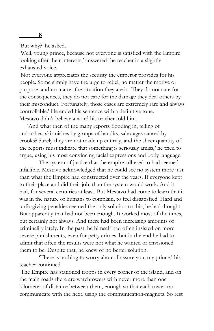'But why?' he asked.

'Well, young prince, because not everyone is satisfied with the Empire looking after their interests,' answered the teacher in a slightly exhausted voice.

'Not everyone appreciates the security the emperor provides for his people. Some simply have the urge to rebel, no matter the motive or purpose, and no matter the situation they are in. They do not care for the consequences, they do not care for the damage they deal others by their misconduct. Fortunately, those cases are extremely rare and always controllable.' He ended his sentence with a definitive tone. Mestavo didn't believe a word his teacher told him.

'And what then of the many reports flooding in, telling of ambushes, skirmishes by groups of bandits, sabotages caused by crooks? Surely they are not made up entirely, and the sheer quantity of the reports must indicate that something is seriously amiss,' he tried to argue, using his most convincing facial expressions and body language.

The system of justice that the empire adhered to had seemed infallible. Mestavo acknowledged that he could see no system more just than what the Empire had constructed over the years. If everyone kept to their place and did their job, than the system would work. And it had, for several centuries at least. But Mestavo had come to learn that it was in the nature of humans to complain, to feel dissatisfied. Hard and unforgiving penalties seemed the only solution to this, he had thought. But apparently that had not been enough. It worked most of the times, but certainly not always. And there had been increasing amounts of criminality lately. In the past, he himself had often insisted on more severe punishments, even for petty crimes, but in the end he had to admit that often the results were not what he wanted or envisioned them to be. Despite that, he knew of no better solution.

'There is nothing to worry about, I assure you, my prince,' his teacher continued.

'The Empire has stationed troops in every corner of the island, and on the main roads there are watchtowers with never more than one kilometer of distance between them, enough so that each tower can communicate with the next, using the communication-magnets. So rest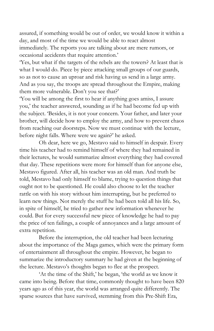assured, if something would be out of order, we would know it within a day, and most of the time we would be able to react almost immediately. The reports you are talking about are mere rumors, or occasional accidents that require attention.'

'Yes, but what if the targets of the rebels are the towers? At least that is what I would do. Piece by piece attacking small groups of our guards, so as not to cause an uproar and risk having us send in a large army. And as you say, the troops are spread throughout the Empire, making them more vulnerable. Don't you see that?'

'You will be among the first to hear if anything goes amiss, I assure you,' the teacher answered, sounding as if he had become fed up with the subject. 'Besides, it is not your concern. Your father, and later your brother, will decide how to employ the army, and how to prevent chaos from reaching our doorsteps. Now we must continue with the lecture, before night falls. Where were we again?' he asked.

Oh dear, here we go, Mestavo said to himself in despair. Every time his teacher had to remind himself of where they had remained in their lectures, he would summarize almost everything they had covered that day. These repetitions were more for himself than for anyone else, Mestavo figured. After all, his teacher was an old man. And truth be told, Mestavo had only himself to blame, trying to question things that ought not to be questioned. He could also choose to let the teacher rattle on with his story without him interrupting, but he preferred to learn new things. Not merely the stuff he had been told all his life. So, in spite of himself, he tried to gather new information whenever he could. But for every successful new piece of knowledge he had to pay the price of ten failings, a couple of annoyances and a large amount of extra repetition.

Before the interruption, the old teacher had been lecturing about the importance of the Maga games, which were the primary form of entertainment all throughout the empire. However, he began to summarize the introductory summary he had given at the beginning of the lecture. Mestavo's thoughts began to flee at the prospect.

'At the time of the Shift,' he began, 'the world as we know it came into being. Before that time, commonly thought to have been 820 years ago as of this year, the world was arranged quite differently. The sparse sources that have survived, stemming from this Pre-Shift Era,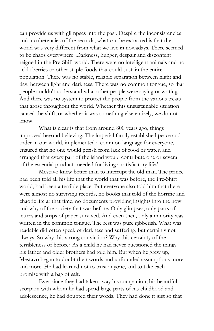can provide us with glimpses into the past. Despite the inconsistencies and incoherencies of the records, what can be extracted is that the world was very different from what we live in nowadays. There seemed to be chaos everywhere. Darkness, hunger, despair and discontent reigned in the Pre-Shift world. There were no intelligent animals and no ackla berries or other staple foods that could sustain the entire population. There was no stable, reliable separation between night and day, between light and darkness. There was no common tongue, so that people couldn't understand what other people were saying or writing. And there was no system to protect the people from the various treats that arose throughout the world. Whether this unsustainable situation caused the shift, or whether it was something else entirely, we do not know.

What is clear is that from around 800 years ago, things improved beyond believing. The imperial family established peace and order in our world, implemented a common language for everyone, ensured that no one would perish from lack of food or water, and arranged that every part of the island would contribute one or several of the essential products needed for living a satisfactory life.'

Mestavo knew better than to interrupt the old man. The prince had been told all his life that the world that was before, the Pre-Shift world, had been a terrible place. But everyone also told him that there were almost no surviving records, no books that told of the horrific and chaotic life at that time, no documents providing insights into the how and why of the society that was before. Only glimpses, only parts of letters and strips of paper survived. And even then, only a minority was written in the common tongue. The rest was pure gibberish. What was readable did often speak of darkness and suffering, but certainly not always. So why this strong conviction? Why this certainty of the terribleness of before? As a child he had never questioned the things his father and older brothers had told him. But when he grew up, Mestavo began to doubt their words and unfounded assumptions more and more. He had learned not to trust anyone, and to take each promise with a bag of salt.

Ever since they had taken away his companion, his beautiful scorpion with whom he had spend large parts of his childhood and adolescence, he had doubted their words. They had done it just so that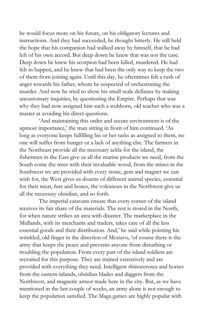he would focus more on his future, on his obligatory lectures and instructions. And they had succeeded, he thought bitterly. He still held the hope that his companion had walked away by himself, that he had left of his own accord. But deep down he knew that was not the case. Deep down he knew his scorpion had been killed, murdered. He had felt in happen, and he knew that had been the only way to keep the two of them from joining again. Until this day, he oftentimes felt a rush of anger towards his father, whom he suspected of orchestrating the murder. And now he tried to show his small scale defiance by making uncustomary inquiries, by questioning the Empire. Perhaps that was why they had now assigned him such a stubborn, old teacher who was a master at avoiding his direct questions.

'And maintaining this order and secure environment is of the upmost importance,' the man sitting in front of him continued. 'As long as everyone keeps fulfilling his or her tasks as assigned to them, no one will suffer from hunger or a lack of anything else. The farmers in the Northeast provide all the necessary ackla for the island, the fishermen in the East give us all the marine products we need, from the South come the trees with their invaluable wood, from the mines in the Southwest we are provided with every stone, gem and magnet we can wish for, the West gives us dozens of different animal species, essential for their meat, furs and bones, the volcanoes in the Northwest give us all the necessary obsidian, and so forth.

The imperial caravans ensure that every corner of the island receives its fair share of the materials. The rest is stored in the North, for when nature strikes an area with disaster. The marketplace in the Midlands, with its merchants and traders, takes care of all the less essential goods and their distribution. And,' he said while pointing his wrinkled, old finger in the direction of Mestavo, 'of course there is the army that keeps the peace and prevents anyone from disturbing or troubling the population. From every part of the island soldiers are recruited for this purpose. They are trained extensively and are provided with everything they need. Intelligent rhinoceroses and horses from the eastern inlands, obsidian blades and daggers from the Northwest, and magnetic armor made here in the city. But, as we have mentioned in the last couple of weeks, an army alone is not enough to keep the population satisfied. The Maga games are highly popular with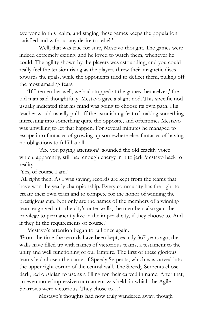everyone in this realm, and staging these games keeps the population satisfied and without any desire to rebel.'

Well, that was true for sure, Mestavo thought. The games were indeed extremely exiting, and he loved to watch them, whenever he could. The agility shown by the players was astounding, and you could really feel the tension rising as the players threw their magnetic discs towards the goals, while the opponents tried to deflect them, pulling off the most amazing feats.

'If I remember well, we had stopped at the games themselves,' the old man said thoughtfully. Mestavo gave a slight nod. This specific nod usually indicated that his mind was going to choose its own path. His teacher would usually pull off the astonishing feat of making something interesting into something quite the opposite, and oftentimes Mestavo was unwilling to let that happen. For several minutes he managed to escape into fantasies of growing up somewhere else, fantasies of having no obligations to fulfill at all.

'Are you paying attention?' sounded the old crackly voice which, apparently, still had enough energy in it to jerk Mestavo back to reality.

'Yes, of course I am.'

'All right then. As I was saying, records are kept from the teams that have won the yearly championship. Every community has the right to create their own team and to compete for the honor of winning the prestigious cup. Not only are the names of the members of a winning team engraved into the city's outer walls, the members also gain the privilege to permanently live in the imperial city, if they choose to. And if they fit the requirements of course.'

Mestavo's attention began to fail once again.

'From the time the records have been kept, exactly 367 years ago, the walls have filled up with names of victorious teams, a testament to the unity and well functioning of our Empire. The first of these glorious teams had chosen the name of Speedy Serpents, which was carved into the upper right corner of the central wall. The Speedy Serpents chose dark, red obsidian to use as a filling for their carved in name. After that, an even more impressive tournament was held, in which the Agile Sparrows were victorious. They chose to…'

Mestavo's thoughts had now truly wandered away, though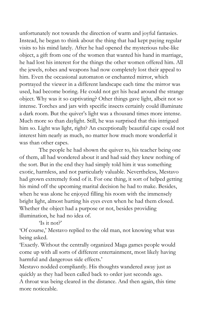unfortunately not towards the direction of warm and joyful fantasies. Instead, he began to think about the thing that had kept paying regular visits to his mind lately. After he had opened the mysterious tube-like object, a gift from one of the women that wanted his hand in marriage, he had lost his interest for the things the other women offered him. All the jewels, robes and weapons had now completely lost their appeal to him. Even the occasional automaton or enchanted mirror, which portrayed the viewer in a different landscape each time the mirror was used, had become boring. He could not get his head around the strange object. Why was it so captivating? Other things gave light, albeit not so intense. Torches and jars with specific insects certainly could illuminate a dark room. But the quiver's light was a thousand times more intense. Much more so than daylight. Still, he was surprised that this intrigued him so. Light was light, right? An exceptionally beautiful cape could not interest him nearly as much, no matter how much more wonderful it was than other capes.

The people he had shown the quiver to, his teacher being one of them, all had wondered about it and had said they knew nothing of the sort. But in the end they had simply told him it was something exotic, harmless, and not particularly valuable. Nevertheless, Mestavo had grown extremely fond of it. For one thing, it sort of helped getting his mind off the upcoming marital decision he had to make. Besides, when he was alone he enjoyed filling his room with the immensely bright light, almost hurting his eyes even when he had them closed. Whether the object had a purpose or not, besides providing illumination, he had no idea of.

'Is it not?'

'Of course,' Mestavo replied to the old man, not knowing what was being asked.

'Exactly. Without the centrally organized Maga games people would come up with all sorts of different entertainment, most likely having harmful and dangerous side effects.'

Mestavo nodded compliantly. His thoughts wandered away just as quickly as they had been called back to order just seconds ago.

A throat was being cleared in the distance. And then again, this time more noticeable.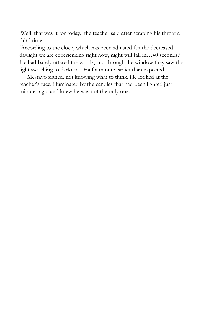'Well, that was it for today,' the teacher said after scraping his throat a third time.

'According to the clock, which has been adjusted for the decreased daylight we are experiencing right now, night will fall in…40 seconds.' He had barely uttered the words, and through the window they saw the light switching to darkness. Half a minute earlier than expected.

Mestavo sighed, not knowing what to think. He looked at the teacher's face, illuminated by the candles that had been lighted just minutes ago, and knew he was not the only one.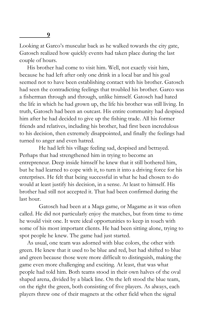Looking at Garco's muscular back as he walked towards the city gate, Gatosch realized how quickly events had taken place during the last couple of hours.

His brother had come to visit him. Well, not exactly visit him, because he had left after only one drink in a local bar and his goal seemed not to have been establishing contact with his brother. Gatosch had seen the contradicting feelings that troubled his brother. Garco was a fisherman through and through, unlike himself. Gatosch had hated the life in which he had grown up, the life his brother was still living. In truth, Gatosch had been an outcast. His entire community had despised him after he had decided to give up the fishing trade. All his former friends and relatives, including his brother, had first been incredulous to his decision, then extremely disappointed, and finally the feelings had turned to anger and even hatred.

He had left his village feeling sad, despised and betrayed. Perhaps that had strengthened him in trying to become an entrepreneur. Deep inside himself he knew that it still bothered him, but he had learned to cope with it, to turn it into a driving force for his enterprises. He felt that being successful in what he had chosen to do would at least justify his decision, in a sense. At least to himself. His brother had still not accepted it. That had been confirmed during the last hour.

Gatosch had been at a Maga game, or Magame as it was often called. He did not particularly enjoy the matches, but from time to time he would visit one. It were ideal opportunities to keep in touch with some of his most important clients. He had been sitting alone, trying to spot people he knew. The game had just started.

As usual, one team was adorned with blue colors, the other with green. He knew that it used to be blue and red, but had shifted to blue and green because those were more difficult to distinguish, making the game even more challenging and exciting. At least, that was what people had told him. Both teams stood in their own halves of the oval shaped arena, divided by a black line. On the left stood the blue team, on the right the green, both consisting of five players. As always, each players threw one of their magnets at the other field when the signal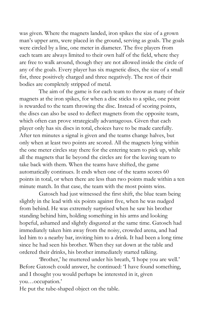was given. Where the magnets landed, iron spikes the size of a grown man's upper arm, were placed in the ground, serving as goals. The goals were circled by a line, one meter in diameter. The five players from each team are always limited to their own half of the field, where they are free to walk around, though they are not allowed inside the circle of any of the goals. Every player has six magnetic discs, the size of a small fist, three positively charged and three negatively. The rest of their bodies are completely stripped of metal.

The aim of the game is for each team to throw as many of their magnets at the iron spikes, for when a disc sticks to a spike, one point is rewarded to the team throwing the disc. Instead of scoring points, the discs can also be used to deflect magnets from the opposite team, which often can prove strategically advantageous. Given that each player only has six discs in total, choices have to be made carefully. After ten minutes a signal is given and the teams change halves, but only when at least two points are scored. All the magnets lying within the one meter circles stay there for the entering team to pick up, while all the magnets that lie beyond the circles are for the leaving team to take back with them. When the teams have shifted, the game automatically continues. It ends when one of the teams scores 60 points in total, or when there are less than two points made within a ten minute match. In that case, the team with the most points wins.

Gatosch had just witnessed the first shift, the blue team being slightly in the lead with six points against five, when he was nudged from behind. He was extremely surprised when he saw his brother standing behind him, holding something in his arms and looking hopeful, ashamed and slightly disgusted at the same time. Gatosch had immediately taken him away from the noisy, crowded arena, and had led him to a nearby bar, inviting him to a drink. It had been a long time since he had seen his brother. When they sat down at the table and ordered their drinks, his brother immediately started talking.

'Brother,' he muttered under his breath, 'I hope you are well.' Before Gatosch could answer, he continued: 'I have found something, and I thought you would perhaps be interested in it, given you…occupation.'

He put the tube-shaped object on the table.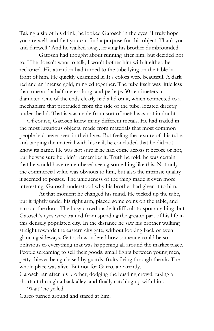Taking a sip of his drink, he looked Gatosch in the eyes. 'I truly hope you are well, and that you can find a purpose for this object. Thank you and farewell.' And he walked away, leaving his brother dumbfounded.

Gatosch had thought about running after him, but decided not to. If he doesn't want to talk, I won't bother him with it either, he reckoned. His attention had turned to the tube lying on the table in front of him. He quickly examined it. It's colors were beautiful. A dark red and an intense gold, mingled together. The tube itself was little less than one and a half meters long, and perhaps 30 centimeters in diameter. One of the ends clearly had a lid on it, which connected to a mechanism that protruded from the side of the tube, located directly under the lid. That is was made from sort of metal was not in doubt.

Of course, Gatosch knew many different metals. He had traded in the most luxurious objects, made from materials that most common people had never seen in their lives. But feeling the texture of this tube, and tapping the material with his nail, he concluded that he did not know its name. He was not sure if he had come across it before or not, but he was sure he didn't remember it. Truth be told, he was certain that he would have remembered seeing something like this. Not only the commercial value was obvious to him, but also the intrinsic quality it seemed to posses. The uniqueness of the thing made it even more interesting. Gatosch understood why his brother had given it to him.

At that moment he changed his mind. He picked up the tube, put it tightly under his right arm, placed some coins on the table, and ran out the door. The busy crowd made it difficult to spot anything, but Gatosch's eyes were trained from spending the greater part of his life in this densely populated city. In the distance he saw his brother walking straight towards the eastern city gate, without looking back or even glancing sideways. Gatosch wondered how someone could be so oblivious to everything that was happening all around the market place. People screaming to sell their goods, small fights between young men, petty thieves being chased by guards, fruits flying through the air. The whole place was alive. But not for Garco, apparently.

Gatosch ran after his brother, dodging the bustling crowd, taking a shortcut through a back alley, and finally catching up with him.

'Wait!' he yelled.

Garco turned around and stared at him.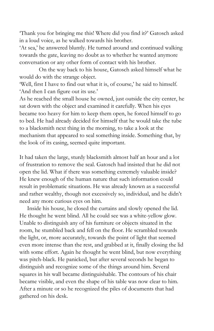'Thank you for bringing me this! Where did you find it?' Gatosch asked in a loud voice, as he walked towards his brother.

'At sea,' he answered bluntly. He turned around and continued walking towards the gate, leaving no doubt as to whether he wanted anymore conversation or any other form of contact with his brother.

On the way back to his house, Gatosch asked himself what he would do with the strange object.

'Well, first I have to find out what it is, of course,' he said to himself. 'And then I can figure out its use.'

As he reached the small house he owned, just outside the city center, he sat down with the object and examined it carefully. When his eyes became too heavy for him to keep them open, he forced himself to go to bed. He had already decided for himself that he would take the tube to a blacksmith next thing in the morning, to take a look at the mechanism that appeared to seal something inside. Something that, by the look of its casing, seemed quite important.

It had taken the large, sturdy blacksmith almost half an hour and a lot of frustration to remove the seal. Gatosch had insisted that he did not open the lid. What if there was something extremely valuable inside? He knew enough of the human nature that such information could result in problematic situations. He was already known as a successful and rather wealthy, though not excessively so, individual, and he didn't need any more curious eyes on him.

Inside his house, he closed the curtains and slowly opened the lid. He thought he went blind. All he could see was a white-yellow glow. Unable to distinguish any of his furniture or objects situated in the room, he stumbled back and fell on the floor. He scrambled towards the light, or, more accurately, towards the point of light that seemed even more intense than the rest, and grabbed at it, finally closing the lid with some effort. Again he thought he went blind, but now everything was pitch-black. He panicked, but after several seconds he began to distinguish and recognize some of the things around him. Several squares in his wall became distinguishable. The contours of his chair became visible, and even the shape of his table was now clear to him. After a minute or so he recognized the piles of documents that had gathered on his desk.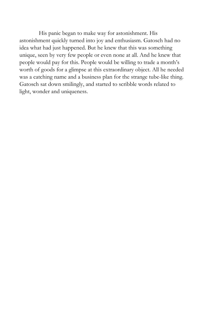His panic began to make way for astonishment. His astonishment quickly turned into joy and enthusiasm. Gatosch had no idea what had just happened. But he knew that this was something unique, seen by very few people or even none at all. And he knew that people would pay for this. People would be willing to trade a month's worth of goods for a glimpse at this extraordinary object. All he needed was a catching name and a business plan for the strange tube-like thing. Gatosch sat down smilingly, and started to scribble words related to light, wonder and uniqueness.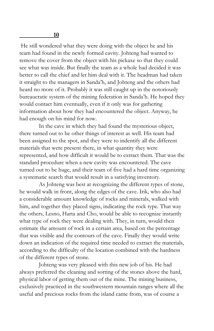He still wondered what they were doing with the object he and his team had found in the newly formed cavity. Johteng had wanted to remove the cover from the object with his pickaxe so that they could see what was inside. But finally the team as a whole had decided it was better to call the chief and let him deal with it. The headman had taken it straight to the managers in Sanda'h, and Johteng and the others had heard no more of it. Probably it was still caught up in the notoriously bureaucratic system of the mining federation in Sanda'h. He hoped they would contact him eventually, even if it only was for gathering information about how they had encountered the object. Anyway, he had enough on his mind for now.

In the cave in which they had found the mysterious object, there turned out to be other things of interest as well. His team had been assigned to the spot, and they were to indentify all the different materials that were present there, in what quantity they were represented, and how difficult it would be to extract them. That was the standard procedure when a new cavity was encountered. The cave turned out to be huge, and their team of five had a hard time organizing a systematic search that would result in a satisfying inventory.

As Johteng was best at recognizing the different types of stone, he would walk in front, along the edges of the cave. Irik, who also had a considerable amount knowledge of rocks and minerals, walked with him, and together they placed signs, indicating the rock type. That way the others, Lesno, Harta and Cho, would be able to recognize instantly what type of rock they were dealing with. They, in turn, would then estimate the amount of rock in a certain area, based on the percentage that was visible and the contours of the cave. Finally they would write down an indication of the required time needed to extract the materials, according to the difficulty of the location combined with the hardness of the different types of stone.

Johteng was very pleased with this new job of his. He had always preferred the cleaning and sorting of the stones above the hard, physical labor of getting them out of the mine. The mining business, exclusively practiced in the southwestern mountain ranges where all the useful and precious rocks from the island came from, was of course a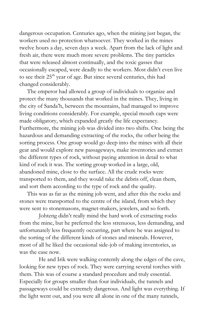dangerous occupation. Centuries ago, when the mining just began, the workers used no protection whatsoever. They worked in the mines twelve hours a day, seven days a week. Apart from the lack of light and fresh air, there were much more severe problems. The tiny particles that were released almost continually, and the toxic gasses that occasionally escaped, were deadly to the workers. Most didn't even live to see their 25<sup>th</sup> year of age. But since several centuries, this had changed considerably.

The emperor had allowed a group of individuals to organize and protect the many thousands that worked in the mines. They, living in the city of Sanda'h, between the mountains, had managed to improve living conditions considerably. For example, special mouth caps were made obligatory, which expanded greatly the life expectancy. Furthermore, the mining job was divided into two shifts. One being the hazardous and demanding extracting of the rocks, the other being the sorting process. One group would go deep into the mines with all their gear and would explore new passageways, make inventories and extract the different types of rock, without paying attention in detail to what kind of rock it was. The sorting group worked in a large, old, abandoned mine, close to the surface. All the crude rocks were transported to them, and they would take the debris off, clean them, and sort them according to the type of rock and the quality.

This was as far as the mining job went, and after this the rocks and stones were transported to the centre of the island, from which they were sent to stonemasons, magnet-makers, jewelers, and so forth.

Johteng didn't really mind the hard work of extracting rocks from the mine, but he preferred the less strenuous, less demanding, and unfortunately less frequently occurring, part where he was assigned to the sorting of the different kinds of stones and minerals. However, most of all he liked the occasional side-job of making inventories, as was the case now.

He and Irik were walking contently along the edges of the cave, looking for new types of rock. They were carrying several torches with them. This was of course a standard procedure and truly essential. Especially for groups smaller than four individuals, the tunnels and passageways could be extremely dangerous. And light was everything. If the light went out, and you were all alone in one of the many tunnels,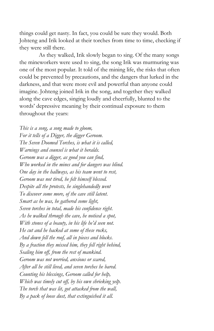things could get nasty. In fact, you could be sure they would. Both Johteng and Irik looked at their torches from time to time, checking if they were still there.

As they walked, Irik slowly began to sing. Of the many songs the mineworkers were used to sing, the song Irik was murmuring was one of the most popular. It told of the mining life, the risks that often could be prevented by precautions, and the dangers that lurked in the darkness, and that were more evil and powerful than anyone could imagine. Johteng joined Irik in the song, and together they walked along the cave edges, singing loudly and cheerfully, blunted to the words' depressive meaning by their continual exposure to them throughout the years:

*This is a song, a song made to gloom, For it tells of a Digger, the digger Geroom. The Seven Doomed Torches, is what it is called, Warnings and counsel is what it heralds. Geroom was a digger, as good you can find, Who worked in the mines and for dangers was blind. One day in the hallways, as his team went to rest, Geroom was not tired, he felt himself blessed. Despite all the protests, he singlehandedly went To discover some more, of the cave still latent. Smart as he was, he gathered some light, Seven torches in total, made his confidence right. As he walked through the cave, he noticed a spot, With stones of a beauty, in his life he'd seen not. He cut and he hacked at some of these rocks, And down fell the roof, all in pieces and blocks. By a fraction they missed him, they fell right behind, Sealing him of , from the rest of mankind. Geroom was not worried, anxious or scared, After all he still lived, and seven torches he bared. Counting his blessings, Geroom called for help, Which was timely cut of , by his own shrieking yelp. The torch that was lit, got attacked from the wall, By a pack of loose dust, that extinguished it all.*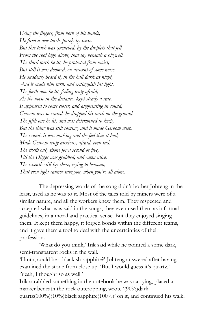*Using the fingers, from both of his hands, He fired a new torch, purely by sense. But this torch was quenched, by the droplets that fell, From the roof high above, that lay beneath a big well. The third torch he lit, he protected from moist, But still it was doomed, on account of some noise. He suddenly heard it, in the hall dark as night, And it made him turn, and extinguish his light. The forth now he lit, feeling truly afraid, As the noise in the distance, kept steady a rate. It appeared to come closer, and augmenting in sound, Geroom was so scared, he dropped his torch on the ground. The fifth one he lit, and was determined to keep, But the thing was still coming, and it made Geroom weep. The sounds it was making and the feel that it had, Made Geroom truly anxious, afraid, even sad. The sixth only shone for a second or five, Till the Digger was grabbed, and eaten alive. The seventh still lay there, trying to bemoan, That even light cannot save you, when you're all alone.*

The depressing words of the song didn't bother Johteng in the least, used as he was to it. Most of the tales told by miners were of a similar nature, and all the workers knew them. They respected and accepted what was said in the songs, they even used them as informal guidelines, in a moral and practical sense. But they enjoyed singing them. It kept them happy, it forged bonds within the different teams, and it gave them a tool to deal with the uncertainties of their profession.

'What do you think,' Irik said while he pointed a some dark, semi-transparent rocks in the wall.

'Hmm, could be a blackish sapphire?' Johteng answered after having examined the stone from close up. 'But I would guess it's quartz.' 'Yeah, I thought so as well.'

Irik scrabbled something in the notebook he was carrying, placed a marker beneath the rock outcropping, wrote '(90%)dark quartz(100%)(10%)black sapphire(100%)' on it, and continued his walk.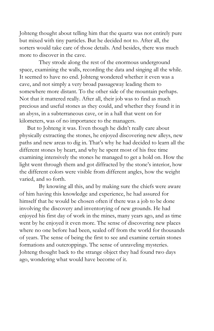Johteng thought about telling him that the quartz was not entirely pure but mixed with tiny particles. But he decided not to. After all, the sorters would take care of those details. And besides, there was much more to discover in the cave.

They strode along the rest of the enormous underground space, examining the walls, recording the data and singing all the while. It seemed to have no end. Johteng wondered whether it even was a cave, and not simply a very broad passageway leading them to somewhere more distant. To the other side of the mountain perhaps. Not that it mattered really. After all, their job was to find as much precious and useful stones as they could, and whether they found it in an abyss, in a subterraneous cave, or in a hall that went on for kilometers, was of no importance to the managers.

But to Johteng it was. Even though he didn't really care about physically extracting the stones, he enjoyed discovering new alleys, new paths and new areas to dig in. That's why he had decided to learn all the different stones by heart, and why he spent most of his free time examining intensively the stones he managed to get a hold on. How the light went through them and got diffracted by the stone's interior, how the different colors were visible from different angles, how the weight varied, and so forth.

By knowing all this, and by making sure the chiefs were aware of him having this knowledge and experience, he had assured for himself that he would be chosen often if there was a job to be done involving the discovery and inventorying of new grounds. He had enjoyed his first day of work in the mines, many years ago, and as time went by he enjoyed it even more. The sense of discovering new places where no one before had been, sealed off from the world for thousands of years. The sense of being the first to see and examine certain stones formations and outcroppings. The sense of unraveling mysteries. Johteng thought back to the strange object they had found two days ago, wondering what would have become of it.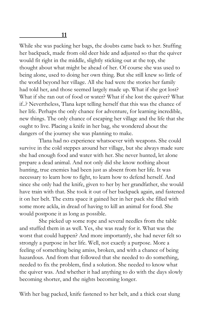While she was packing her bags, the doubts came back to her. Stuffing her backpack, made from old deer hide and adjusted so that the quiver would fit right in the middle, slightly sticking out at the top, she thought about what might be ahead of her. Of course she was used to being alone, used to doing her own thing. But she still knew so little of the world beyond her village. All she had were the stories her family had told her, and those seemed largely made up. What if she got lost? What if she ran out of food or water? What if she lost the quiver? What if..? Nevertheless, Tlana kept telling herself that this was the chance of her life. Perhaps the only chance for adventure, for learning incredible, new things. The only chance of escaping her village and the life that she ought to live. Placing a knife in her bag, she wondered about the dangers of the journey she was planning to make.

Tlana had no experience whatsoever with weapons. She could survive in the cold steppes around her village, but she always made sure she had enough food and water with her. She never hunted, let alone prepare a dead animal. And not only did she know nothing about hunting, true enemies had been just as absent from her life. It was necessary to learn how to fight, to learn how to defend herself. And since she only had the knife, given to her by her grandfather, she would have train with that. She took it out of her backpack again, and fastened it on her belt. The extra space it gained her in her pack she filled with some more ackla, in dread of having to kill an animal for food. She would postpone it as long as possible.

She picked up some rope and several needles from the table and stuffed them in as well. Yes, she was ready for it. What was the worst that could happen? And more importantly, she had never felt so strongly a purpose in her life. Well, not exactly a purpose. More a feeling of something being amiss, broken, and with a chance of being hazardous. And from that followed that she needed to do something, needed to fix the problem, find a solution. She needed to know what the quiver was. And whether it had anything to do with the days slowly becoming shorter, and the nights becoming longer.

With her bag packed, knife fastened to her belt, and a thick coat slung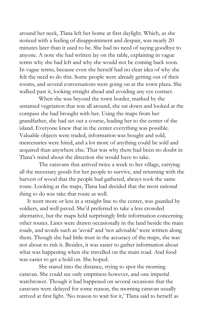around her neck, Tlana left her home at first daylight. Which, as she noticed with a feeling of disappointment and despair, was nearly 20 minutes later than it used to be. She had no need of saying goodbye to anyone. A note she had written lay on the table, explaining in vague terms why she had left and why she would not be coming back soon. In vague terms, because even she herself had no clear idea of why she felt the need to do this. Some people were already getting out of their rooms, and several conversations were going on at the town plaza. She walked past it, looking straight ahead and avoiding any eye contact.

When she was beyond the town border, marked by the untamed vegetation that was all around, she sat down and looked at the compass she had brought with her. Using the maps from her grandfather, she had set out a course, leading her to the center of the island. Everyone knew that in the center everything was possible. Valuable objects were traded, information was bought and sold, mercenaries were hired, and a lot more of anything could be sold and acquired than anywhere else. That was why there had been no doubt in Tlana's mind about the direction she would have to take.

The caravans that arrived twice a week to her village, carrying all the necessary goods for her people to survive, and returning with the harvest of wood that the people had gathered, always took the same route. Looking at the maps, Tlana had decided that the most rational thing to do was take that route as well.

It went more or less in a straight line to the center, was guarded by soldiers, and well paved. She'd preferred to take a less crowded alternative, but the maps held surprisingly little information concerning other routes. Lines were drawn occasionally in the land beside the main roads, and words such as 'avoid' and 'not advisable' were written along them. Though she had little trust in the accuracy of the maps, she was not about to risk it. Besides, it was easier to gather information about what was happening when she travelled on the main road. And food was easier to get a hold on. She hoped.

She stared into the distance, trying to spot the morning caravan. She could see only emptiness however, and one imperial watchtower. Though it had happened on several occasions that the caravans were delayed for some reason, the morning caravan usually arrived at first light. 'No reason to wait for it,' Tlana said to herself as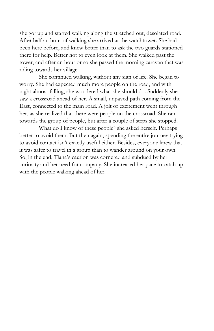she got up and started walking along the stretched out, desolated road. After half an hour of walking she arrived at the watchtower. She had been here before, and knew better than to ask the two guards stationed there for help. Better not to even look at them. She walked past the tower, and after an hour or so she passed the morning caravan that was riding towards her village.

She continued walking, without any sign of life. She began to worry. She had expected much more people on the road, and with night almost falling, she wondered what she should do. Suddenly she saw a crossroad ahead of her. A small, unpaved path coming from the East, connected to the main road. A jolt of excitement went through her, as she realized that there were people on the crossroad. She ran towards the group of people, but after a couple of steps she stopped.

What do I know of these people? she asked herself. Perhaps better to avoid them. But then again, spending the entire journey trying to avoid contact isn't exactly useful either. Besides, everyone knew that it was safer to travel in a group than to wander around on your own. So, in the end, Tlana's caution was cornered and subdued by her curiosity and her need for company. She increased her pace to catch up with the people walking ahead of her.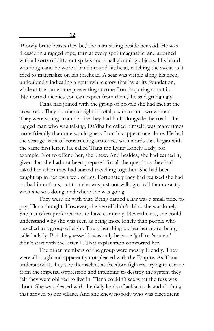'Bloody brute beasts they be,' the man sitting beside her said. He was dressed in a ragged rope, torn at every spot imaginable, and adorned with all sorts of different spikes and small gleaming objects. His beard was rough and he wore a band around his head, catching the sweat as it tried to materialize on his forehead. A scar was visible along his neck, undoubtedly indicating a worthwhile story that lay at its foundation, while at the same time preventing anyone from inquiring about it. 'No normal niceties you can expect from them,' he said grudgingly.

Tlana had joined with the group of people she had met at the crossroad. They numbered eight in total, six men and two women. They were sitting around a fire they had built alongside the road. The rugged man who was talking, Da'dha he called himself, was many times more friendly than one would guess from his appearance alone. He had the strange habit of constructing sentences with words that began with the same first letter. He called Tlana the Lying Lonely Lady, for example. Not to offend her, she knew. And besides, she had earned it, given that she had not been prepared for all the questions they had asked her when they had started travelling together. She had been caught up in her own web of lies. Fortunately they had realized she had no bad intentions, but that she was just not willing to tell them exactly what she was doing, and where she was going.

They were ok with that. Being named a liar was a small price to pay, Tlana thought. However, she herself didn't think she was lonely. She just often preferred not to have company. Nevertheless, she could understand why she was seen as being more lonely than people who travelled in a group of eight. The other thing bother her more, being called a lady. But she guessed it was only because 'girl' or 'woman' didn't start with the letter L. That explanation comforted her.

The other members of the group were mostly friendly. They were all rough and apparently not pleased with the Empire. As Tlana understood it, they saw themselves as freedom fighters, trying to escape from the imperial oppression and intending to destroy the system they felt they were obliged to live in. Tlana couldn't see what the fuss was about. She was pleased with the daily loads of ackla, tools and clothing that arrived to her village. And she knew nobody who was discontent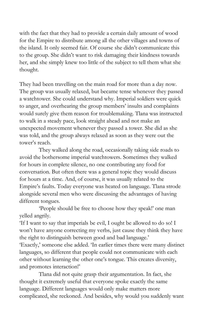with the fact that they had to provide a certain daily amount of wood for the Empire to distribute among all the other villages and towns of the island. It only seemed fair. Of course she didn't communicate this to the group. She didn't want to risk damaging their kindness towards her, and she simply knew too little of the subject to tell them what she thought.

They had been travelling on the main road for more than a day now. The group was usually relaxed, but became tense whenever they passed a watchtower. She could understand why. Imperial soldiers were quick to anger, and overhearing the group members' insults and complaints would surely give them reason for troublemaking. Tlana was instructed to walk in a steady pace, look straight ahead and not make an unexpected movement whenever they passed a tower. She did as she was told, and the group always relaxed as soon as they were out the tower's reach.

They walked along the road, occasionally taking side roads to avoid the bothersome imperial watchtowers. Sometimes they walked for hours in complete silence, no one contributing any food for conversation. But often there was a general topic they would discuss for hours at a time. And, of course, it was usually related to the Empire's faults. Today everyone was heated on language. Tlana strode alongside several men who were discussing the advantages of having different tongues.

'People should be free to choose how they speak!' one man yelled angrily.

'If I want to say that imperials be evil, I ought be allowed to do so! I won't have anyone correcting my verbs, just cause they think they have the right to distinguish between good and bad language.' 'Exactly,' someone else added. 'In earlier times there were many distinct languages, so different that people could not communicate with each other without learning the other one's tongue. This creates diversity, and promotes interaction!'

Tlana did not quite grasp their argumentation. In fact, she thought it extremely useful that everyone spoke exactly the same language. Different languages would only make matters more complicated, she reckoned. And besides, why would you suddenly want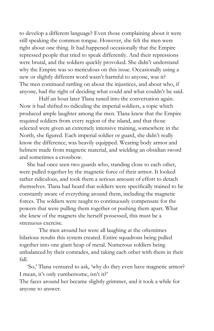to develop a different language? Even those complaining about it were still speaking the common tongue. However, she felt the men were right about one thing. It had happened occasionally that the Empire repressed people that tried to speak differently. And their repressions were brutal, and the soldiers quickly provoked. She didn't understand why the Empire was so meticulous on this issue. Occasionally using a new or slightly different word wasn't harmful to anyone, was it? The men continued rattling on about the injustices, and about who, if anyone, had the right of deciding what could and what couldn't be said.

Half an hour later Tlana tuned into the conversation again. Now it had shifted to ridiculing the imperial soldiers, a topic which produced ample laughter among the men. Tlana knew that the Empire required soldiers from every region of the island, and that those selected were given an extremely intensive training, somewhere in the North, she figured. Each imperial soldier or guard, she didn't really know the difference, was heavily equipped. Wearing body armor and helmets made from magnetic material, and wielding an obsidian sword and sometimes a crossbow.

She had once seen two guards who, standing close to each other, were pulled together by the magnetic force of their armor. It looked rather ridiculous, and took them a serious amount of effort to detach themselves. Tlana had heard that soldiers were specifically trained to be constantly aware of everything around them, including the magnetic forces. The soldiers were taught to continuously compensate for the powers that were pulling them together or pushing them apart. What she knew of the magnets she herself possessed, this must be a strenuous exercise.

The men around her were all laughing at the oftentimes hilarious results this system created. Entire squadrons being pulled together into one giant heap of metal. Numerous soldiers being unbalanced by their comrades, and taking each other with them in their fall.

'So,' Tlana ventured to ask, 'why do they even have magnetic armor? I mean, it's only cumbersome, isn't it?'

The faces around her became slightly grimmer, and it took a while for anyone to answer.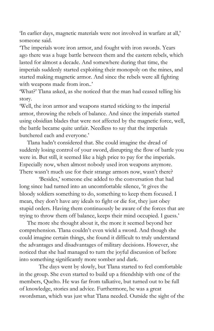'In earlier days, magnetic materials were not involved in warfare at all,' someone said.

'The imperials wore iron armor, and fought with iron swords. Years ago there was a huge battle between them and the eastern rebels, which lasted for almost a decade. And somewhere during that time, the imperials suddenly started exploiting their monopoly on the mines, and started making magnetic armor. And since the rebels were all fighting with weapons made from iron..'

'What?' Tlana asked, as she noticed that the man had ceased telling his story.

'Well, the iron armor and weapons started sticking to the imperial armor, throwing the rebels of balance. And since the imperials started using obsidian blades that were not affected by the magnetic force, well, the battle became quite unfair. Needless to say that the imperials butchered each and everyone.'

Tlana hadn't considered that. She could imagine the dread of suddenly losing control of your sword, disrupting the flow of battle you were in. But still, it seemed like a high price to pay for the imperials. Especially now, when almost nobody used iron weapons anymore. There wasn't much use for their strange armors now, wasn't there?

'Besides,' someone else added to the conversation that had long since had turned into an uncomfortable silence, 'it gives the bloody soldiers something to do, something to keep them focused. I mean, they don't have any ideals to fight or die for, they just obey stupid orders. Having them continuously be aware of the forces that are trying to throw them off balance, keeps their mind occupied. I guess.'

The more she thought about it, the more it seemed beyond her comprehension. Tlana couldn't even wield a sword. And though she could imagine certain things, she found it difficult to truly understand the advantages and disadvantages of military decisions. However, she noticed that she had managed to turn the joyful discussion of before into something significantly more somber and dark.

The days went by slowly, but Tlana started to feel comfortable in the group. She even started to build up a friendship with one of the members, Quelto. He was far from talkative, but turned out to be full of knowledge, stories and advice. Furthermore, he was a great swordsman, which was just what Tlana needed. Outside the sight of the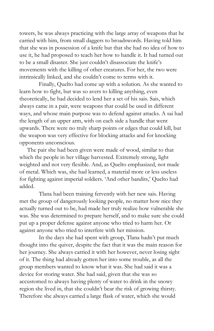towers, he was always practicing with the large array of weapons that he carried with him, from small daggers to broadswords. Having told him that she was in possession of a knife but that she had no idea of how to use it, he had proposed to teach her how to handle it. It had turned out to be a small disaster. She just couldn't disassociate the knife's movements with the killing of other creatures. For her, the two were intrinsically linked, and she couldn't come to terms with it.

Finally, Quelto had come up with a solution. As she wanted to learn how to fight, but was so avers to killing anything, even theoretically, he had decided to lend her a set of his sais. Sais, which always came in a pair, were weapons that could be used in different ways, and whose main purpose was to defend against attacks. A sai had the length of an upper arm, with on each side a handle that went upwards. There were no truly sharp points or edges that could kill, but the weapon was very effective for blocking attacks and for knocking opponents unconscious.

The pair she had been given were made of wood, similar to that which the people in her village harvested. Extremely strong, light weighted and not very flexible. And, as Quelto emphasized, not made of metal. Which was, she had learned, a material more or less useless for fighting against imperial soldiers. 'And other bandits,' Quelto had added.

Tlana had been training fervently with her new sais. Having met the group of dangerously looking people, no matter how nice they actually turned out to be, had made her truly realize how vulnerable she was. She was determined to prepare herself, and to make sure she could put up a proper defense against anyone who tried to harm her. Or against anyone who tried to interfere with her mission.

In the days she had spent with group, Tlana hadn't put much thought into the quiver, despite the fact that it was the main reason for her journey. She always carried it with her however, never losing sight of it. The thing had already gotten her into some trouble, as all the group members wanted to know what it was. She had said it was a device for storing water. She had said, given that she was so accustomed to always having plenty of water to drink in the snowy region she lived in, that she couldn't bear the risk of growing thirsty. Therefore she always carried a large flask of water, which she would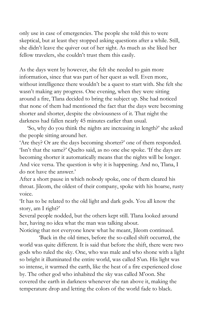only use in case of emergencies. The people she told this to were skeptical, but at least they stopped asking questions after a while. Still, she didn't leave the quiver out of her sight. As much as she liked her fellow travelers, she couldn't trust them this easily.

As the days went by however, she felt she needed to gain more information, since that was part of her quest as well. Even more, without intelligence there wouldn't be a quest to start with. She felt she wasn't making any progress. One evening, when they were sitting around a fire, Tlana decided to bring the subject up. She had noticed that none of them had mentioned the fact that the days were becoming shorter and shorter, despite the obviousness of it. That night the darkness had fallen nearly 45 minutes earlier than usual.

'So, why do you think the nights are increasing in length?' she asked the people sitting around her.

'Are they? Or are the days becoming shorter?' one of them responded. 'Isn't that the same?' Quelto said, as no one else spoke. 'If the days are becoming shorter it automatically means that the nights will be longer. And vice versa. The question is why it is happening. And no, Tlana, I do not have the answer.'

After a short pause in which nobody spoke, one of them cleared his throat. Jileom, the oldest of their company, spoke with his hoarse, rusty voice.

'It has to be related to the old light and dark gods. You all know the story, am I right?'

Several people nodded, but the others kept still. Tlana looked around her, having no idea what the man was talking about.

Noticing that not everyone knew what he meant, Jileom continued.

'Back in the old times, before the so-called shift occurred, the world was quite different. It is said that before the shift, there were two gods who ruled the sky. One, who was male and who shone with a light so bright it illuminated the entire world, was called S'un. His light was so intense, it warmed the earth, like the heat of a fire experienced close by. The other god who inhabited the sky was called M'oon. She covered the earth in darkness whenever she ran above it, making the temperature drop and letting the colors of the world fade to black.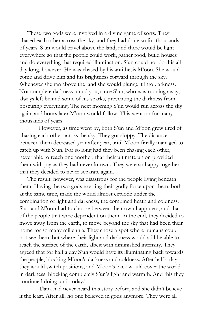These two gods were involved in a divine game of sorts. They chased each other across the sky, and they had done so for thousands of years. S'un would travel above the land, and there would be light everywhere so that the people could work, gather food, build houses and do everything that required illumination. S'un could not do this all day long, however. He was chased by his antithesis M'oon. She would come and drive him and his brightness forward through the sky. Whenever she ran above the land she would plunge it into darkness. Not complete darkness, mind you, since S'un, who was running away, always left behind some of his sparks, preventing the darkness from obscuring everything. The next morning S'un would run across the sky again, and hours later M'oon would follow. This went on for many thousands of years.

However, as time went by, both S'un and M'oon grew tired of chasing each other across the sky. They got sloppy. The distance between them decreased year after year, until M'oon finally managed to catch up with S'un. For so long had they been chasing each other, never able to reach one another, that their ultimate union provided them with joy as they had never known. They were so happy together that they decided to never separate again.

The result, however, was disastrous for the people living beneath them. Having the two gods exerting their godly force upon them, both at the same time, made the world almost explode under the combination of light and darkness, the combined heath and coldness. S'un and M'oon had to choose between their own happiness, and that of the people that were dependent on them. In the end, they decided to move away from the earth, to move beyond the sky that had been their home for so many millennia. They chose a spot where humans could not see them, but where their light and darkness would still be able to reach the surface of the earth, albeit with diminished intensity. They agreed that for half a day S'un would have its illuminating back towards the people, blocking M'oon's darkness and coldness. After half a day they would switch positions, and M'oon's back would cover the world in darkness, blocking completely S'un's light and warmth. And this they continued doing until today.'

Tlana had never heard this story before, and she didn't believe it the least. After all, no one believed in gods anymore. They were all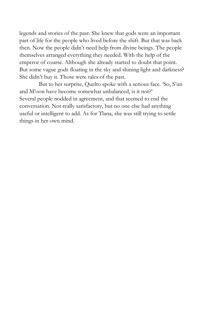legends and stories of the past. She knew that gods were an important part of life for the people who lived before the shift. But that was back then. Now the people didn't need help from divine beings. The people themselves arranged everything they needed. With the help of the emperor of course. Although she already started to doubt that point. But some vague gods floating in the sky and shining light and darkness? She didn't buy it. Those were tales of the past.

But to her surprise, Quelto spoke with a serious face. 'So, S'un and M'oon have become somewhat unbalanced, is it not?' Several people nodded in agreement, and that seemed to end the conversation. Not really satisfactory, but no one else had anything useful or intelligent to add. As for Tlana, she was still trying to settle things in her own mind.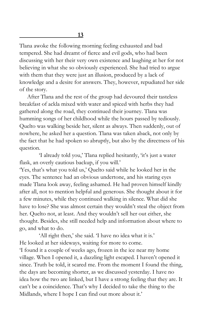Tlana awoke the following morning feeling exhausted and bad tempered. She had dreamt of fierce and evil gods, who had been discussing with her their very own existence and laughing at her for not believing in what she so obviously experienced. She had tried to argue with them that they were just an illusion, produced by a lack of knowledge and a desire for answers. They, however, repudiated her side of the story.

After Tlana and the rest of the group had devoured their tasteless breakfast of ackla mixed with water and spiced with herbs they had gathered along the road, they continued their journey. Tlana was humming songs of her childhood while the hours passed by tediously. Quelto was walking beside her, silent as always. Then suddenly, out of nowhere, he asked her a question. Tlana was taken aback, not only by the fact that he had spoken so abruptly, but also by the directness of his question.

'I already told you,' Tlana replied hesitantly, 'it's just a water flask, an overly cautious backup, if you will.'

'Yes, that's what you told us,' Quelto said while he looked her in the eyes. The sentence had an obvious undertone, and his staring eyes made Tlana look away, feeling ashamed. He had proven himself kindly after all, not to mention helpful and generous. She thought about it for a few minutes, while they continued walking in silence. What did she have to lose? She was almost certain they wouldn't steal the object from her. Quelto not, at least. And they wouldn't sell her out either, she thought. Besides, she still needed help and information about where to go, and what to do.

'All right then,' she said. 'I have no idea what it is.' He looked at her sideways, waiting for more to come. 'I found it a couple of weeks ago, frozen in the ice near my home village. When I opened it, a dazzling light escaped. I haven't opened it since. Truth be told, it scared me. From the moment I found the thing, the days are becoming shorter, as we discussed yesterday. I have no idea how the two are linked, but I have a strong feeling that they are. It can't be a coincidence. That's why I decided to take the thing to the Midlands, where I hope I can find out more about it.'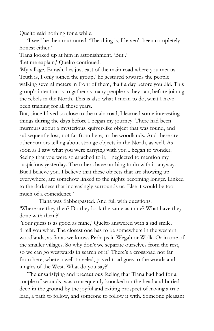Quelto said nothing for a while.

'I see,' he then murmured. 'The thing is, I haven't been completely honest either.'

Tlana looked up at him in astonishment. 'But..'

'Let me explain,' Quelto continued.

'My village, Eqrash, lies just east of the main road where you met us. Truth is, I only joined the group,' he gestured towards the people walking several meters in front of them, 'half a day before you did. This group's intention is to gather as many people as they can, before joining the rebels in the North. This is also what I mean to do, what I have been training for all these years.

But, since I lived so close to the main road, I learned some interesting things during the days before I began my journey. There had been murmurs about a mysterious, quiver-like object that was found, and subsequently lost, not far from here, in the woodlands. And there are other rumors telling about strange objects in the North, as well. As soon as I saw what you were carrying with you I began to wonder. Seeing that you were so attached to it, I neglected to mention my suspicions yesterday. The others have nothing to do with it, anyway. But I believe you. I believe that these objects that are showing up everywhere, are somehow linked to the nights becoming longer. Linked to the darkness that increasingly surrounds us. Else it would be too much of a coincidence.'

Tlana was flabbergasted. And full with questions. 'Where are they then? Do they look the same as mine? What have they done with them?'

'Your guess is as good as mine,' Quelto answered with a sad smile. 'I tell you what. The closest one has to be somewhere in the western woodlands, as far as we know. Perhaps in Wegah or Wolk. Or in one of the smaller villages. So why don't we separate ourselves from the rest, so we can go westwards in search of it? There's a crossroad not far from here, where a well-traveled, paved road goes to the woods and jungles of the West. What do you say?'

The unsatisfying and precautious feeling that Tlana had had for a couple of seconds, was consequently knocked on the head and buried deep in the ground by the joyful and exiting prospect of having a true lead, a path to follow, and someone to follow it with. Someone pleasant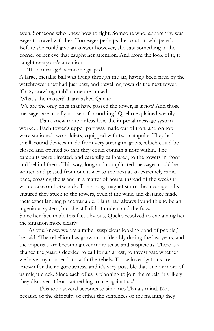even. Someone who knew how to fight. Someone who, apparently, was eager to travel with her. Too eager perhaps, her caution whispered. Before she could give an answer however, she saw something in the corner of her eye that caught her attention. And from the look of it, it caught everyone's attention.

'It's a message!' someone gasped. A large, metallic ball was flying through the air, having been fired by the watchtower they had just past, and travelling towards the next tower. 'Crazy crawling crab!' someone cursed.

'What's the matter?' Tlana asked Quelto.

'We are the only ones that have passed the tower, is it not? And those messages are usually not sent for nothing,' Quelto explained wearily.

Tlana knew more or less how the imperial message system worked. Each tower's upper part was made out of iron, and on top were stationed two soldiers, equipped with two catapults. They had small, round devices made from very strong magnets, which could be closed and opened so that they could contain a note within. The catapults were directed, and carefully calibrated, to the towers in front and behind them. This way, long and complicated messages could be written and passed from one tower to the next at an extremely rapid pace, crossing the island in a matter of hours, instead of the weeks it would take on horseback. The strong magnetism of the message balls ensured they stuck to the towers, even if the wind and distance made their exact landing place variable. Tlana had always found this to be an ingenious system, but she still didn't understand the fuss. Since her face made this fact obvious, Quelto resolved to explaining her the situation more clearly.

'As you know, we are a rather suspicious looking band of people,' he said. 'The rebellion has grown considerably during the last years, and the imperials are becoming ever more tense and suspicious. There is a chance the guards decided to call for an arrest, to investigate whether we have any connections with the rebels. Those investigations are known for their rigorousness, and it's very possible that one or more of us might crack. Since each of us is planning to join the rebels, it's likely they discover at least something to use against us.'

This took several seconds to sink into Tlana's mind. Not because of the difficulty of either the sentences or the meaning they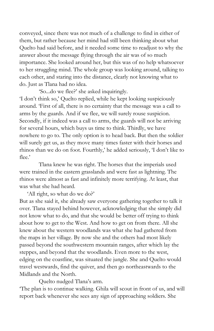conveyed, since there was not much of a challenge to find in either of them, but rather because her mind had still been thinking about what Quelto had said before, and it needed some time to readjust to why the answer about the message flying through the air was of so much importance. She looked around her, but this was of no help whatsoever to her struggling mind. The whole group was looking around, talking to each other, and staring into the distance, clearly not knowing what to do. Just as Tlana had no idea.

'So...do we flee?' she asked inquiringly.

'I don't think so,' Quelto replied, while he kept looking suspiciously around. 'First of all, there is no certainty that the message was a call to arms by the guards. And if we flee, we will surely rouse suspicion. Secondly, if it indeed was a call to arms, the guards will not be arriving for several hours, which buys us time to think. Thirdly, we have nowhere to go to. The only option is to head back. But then the soldier will surely get us, as they move many times faster with their horses and rhinos than we do on foot. Fourthly,' he added seriously, 'I don't like to flee.'

Tlana knew he was right. The horses that the imperials used were trained in the eastern grasslands and were fast as lightning. The rhinos were almost as fast and infinitely more terrifying. At least, that was what she had heard.

'All right, so what do we do?'

But as she said it, she already saw everyone gathering together to talk it over. Tlana stayed behind however, acknowledging that she simply did not know what to do, and that she would be better off trying to think about how to get to the West. And how to get on from there. All she knew about the western woodlands was what she had gathered from the maps in her village. By now she and the others had most likely passed beyond the southwestern mountain ranges, after which lay the steppes, and beyond that the woodlands. Even more to the west, edging on the coastline, was situated the jungle. She and Quelto would travel westwards, find the quiver, and then go northeastwards to the Midlands and the North.

Quelto nudged Tlana's arm.

'The plan is to continue walking. Ghila will scout in front of us, and will report back whenever she sees any sign of approaching soldiers. She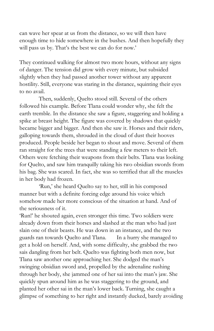can wave her spear at us from the distance, so we will then have enough time to hide somewhere in the bushes. And then hopefully they will pass us by. That's the best we can do for now.'

They continued walking for almost two more hours, without any signs of danger. The tension did grow with every minute, but subsided slightly when they had passed another tower without any apparent hostility. Still, everyone was staring in the distance, squinting their eyes to no avail.

Then, suddenly, Quelto stood still. Several of the others followed his example. Before Tlana could wonder why, she felt the earth tremble. In the distance she saw a figure, staggering and holding a spike at breast height. The figure was covered by shadows that quickly became bigger and bigger. And then she saw it. Horses and their riders, galloping towards them, shrouded in the cloud of dust their hooves produced. People beside her began to shout and move. Several of them ran straight for the trees that were standing a few meters to their left. Others were fetching their weapons from their belts. Tlana was looking for Quelto, and saw him tranquilly taking his two obsidian swords from his bag. She was scared. In fact, she was so terrified that all the muscles in her body had frozen.

'Run,' she heard Quelto say to her, still in his composed manner but with a definite forcing edge around his voice which somehow made her more conscious of the situation at hand. And of the seriousness of it.

'Run!' he shouted again, even stronger this time. Two soldiers were already down from their horses and slashed at the man who had just slain one of their beasts. He was down in an instance, and the two guards ran towards Quelto and Tlana. In a hurry she managed to get a hold on herself. And, with some difficulty, she grabbed the two sais dangling from her belt. Quelto was fighting both men now, but Tlana saw another one approaching her. She dodged the man's swinging obsidian sword and, propelled by the adrenaline rushing through her body, she jammed one of her sai into the man's jaw. She quickly spun around him as he was staggering to the ground, and planted her other sai in the man's lower back. Turning, she caught a glimpse of something to her right and instantly ducked, barely avoiding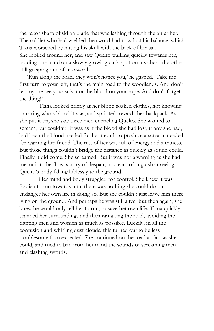the razor sharp obsidian blade that was lashing through the air at her. The soldier who had wielded the sword had now lost his balance, which Tlana worsened by hitting his skull with the back of her sai. She looked around her, and saw Quelto walking quickly towards her, holding one hand on a slowly growing dark spot on his chest, the other still grasping one of his swords.

'Run along the road, they won't notice you,' he gasped. 'Take the first turn to your left, that's the main road to the woodlands. And don't let anyone see your sais, nor the blood on your rope. And don't forget the thing!'

Tlana looked briefly at her blood soaked clothes, not knowing or caring who's blood it was, and sprinted towards her backpack. As she put it on, she saw three men encircling Quelto. She wanted to scream, but couldn't. It was as if the blood she had lost, if any she had, had been the blood needed for her mouth to produce a scream, needed for warning her friend. The rest of her was full of energy and alertness. But those things couldn't bridge the distance as quickly as sound could. Finally it did come. She screamed. But it was not a warning as she had meant it to be. It was a cry of despair, a scream of anguish at seeing Quelto's body falling lifelessly to the ground.

Her mind and body struggled for control. She knew it was foolish to run towards him, there was nothing she could do but endanger her own life in doing so. But she couldn't just leave him there, lying on the ground. And perhaps he was still alive. But then again, she knew he would only tell her to run, to save her own life. Tlana quickly scanned her surroundings and then ran along the road, avoiding the fighting men and women as much as possible. Luckily, in all the confusion and whirling dust clouds, this turned out to be less troublesome than expected. She continued on the road as fast as she could, and tried to ban from her mind the sounds of screaming men and clashing swords.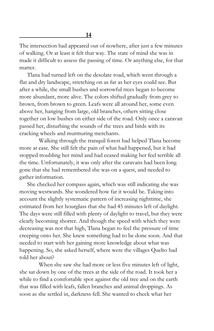**14**

The intersection had appeared out of nowhere, after just a few minutes of walking. Or at least it felt that way. The state of mind she was in made it difficult to assess the passing of time. Or anything else, for that matter.

Tlana had turned left on the desolate road, which went through a flat and dry landscape, stretching on as far as her eyes could see. But after a while, the small bushes and sorrowful trees began to become more abundant, more alive. The colors shifted gradually from grey to brown, from brown to green. Leafs were all around her, some even above her, hanging from large, old branches, others sitting close together on low bushes on either side of the road. Only once a caravan passed her, disturbing the sounds of the trees and birds with its cracking wheels and murmuring merchants.

Walking through the tranquil forest had helped Tlana become more at ease. She still felt the pain of what had happened, but it had stopped troubling her mind and had ceased making her feel terrible all the time. Unfortunately, it was only after the caravans had been long gone that she had remembered she was on a quest, and needed to gather information.

She checked her compass again, which was still indicating she was moving westwards. She wondered how far it would be. Taking into account the slightly systematic pattern of increasing nighttime, she estimated from her hourglass that she had 45 minutes left of daylight. The days were still filled with plenty of daylight to travel, but they were clearly becoming shorter. And though the speed with which they were decreasing was not that high, Tlana began to feel the pressure of time creeping onto her. She knew something had to be done soon. And that needed to start with her gaining more knowledge about what was happening. So, she asked herself, where were the villages Quelto had told her about?

When she saw she had more or less five minutes left of light, she sat down by one of the trees at the side of the road. It took her a while to find a comfortable spot against the old tree and on the earth that was filled with leafs, fallen branches and animal droppings. As soon as she settled in, darkness fell. She wanted to check what her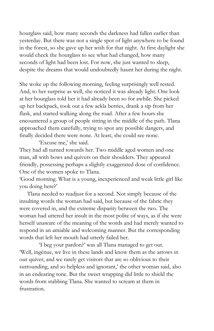hourglass said, how many seconds the darkness had fallen earlier than yesterday. But there was not a single spot of light anywhere to be found in the forest, so she gave up her wish for that night. At first daylight she would check the hourglass to see what had changed, how many seconds of light had been lost. For now, she just wanted to sleep, despite the dreams that would undoubtedly haunt her during the night.

She woke up the following morning, feeling surprisingly well rested. And, to her surprise as well, she noticed it was already light. One look at her hourglass told her it had already been so for awhile. She picked up her backpack, took out a few ackla berries, drank a sip from her flask, and started walking along the road. After a few hours she encountered a group of people sitting in the middle of the path. Tlana approached them carefully, trying to spot any possible dangers, and finally decided there were none. At least, she could see none.

'Excuse me,' she said.

They had all turned towards her. Two middle aged women and one man, all with bows and quivers on their shoulders. They appeared friendly, possessing perhaps a slightly exaggerated dose of confidence. One of the women spoke to Tlana.

'Good morning. What is a young, inexperienced and weak little girl like you doing here?'

Tlana needed to readjust for a second. Not simply because of the insulting words the woman had said, but because of the fabric they were covered in, and the extreme disparity between the two. The woman had uttered her insult in the most polite of ways, as if she were herself unaware of the meaning of the words and had merely wanted to respond in an amiable and welcoming manner. But the corresponding words that left her mouth had utterly failed her.

'I beg your pardon?' was all Tlana managed to get out. 'Well, ingénue, we live in these lands and know them as the arrows in our quiver, and we rarely get visitors that are so oblivious to their surrounding, and so helpless and ignorant,' the other woman said, also in an endearing tone. But the sweet wrapping did little to shield the words from stabbing Tlana. She wanted to scream at them in frustration.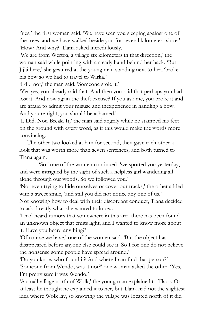'Yes,' the first woman said. 'We have seen you sleeping against one of the trees, and we have walked beside you for several kilometers since.' 'How? And why?' Tlana asked incredulously.

'We are from Wertoa, a village six kilometers in that direction,' the woman said while pointing with a steady hand behind her back. 'But Jijiji here,' she gestured at the young man standing next to her, 'broke his bow so we had to travel to Wirka.'

'I did not,' the man said. 'Someone stole it.'

'Yes yes, you already said that. And then you said that perhaps you had lost it. And now again the theft excuse? If you ask me, you broke it and are afraid to admit your misuse and inexperience in handling a bow. And you're right, you should be ashamed.'

'I. Did. Not. Break. It,' the man said angrily while he stamped his feet on the ground with every word, as if this would make the words more convincing.

The other two looked at him for second, then gave each other a look that was worth more than seven sentences, and both turned to Tlana again.

'So,' one of the women continued, 'we spotted you yesterday, and were intrigued by the sight of such a helpless girl wandering all alone through our woods. So we followed you.'

'Not even trying to hide ourselves or cover our tracks,' the other added with a sweet smile, 'and still you did not notice any one of us.'

Not knowing how to deal with their discordant conduct, Tlana decided to ask directly what she wanted to know.

'I had heard rumors that somewhere in this area there has been found an unknown object that emits light, and I wanted to know more about it. Have you heard anything?'

'Of course we have,' one of the women said. 'But the object has disappeared before anyone else could see it. So I for one do not believe the nonsense some people have spread around.'

'Do you know who found it? And where I can find that person?' 'Someone from Wendo, was it not?' one woman asked the other. 'Yes, I'm pretty sure it was Wendo.'

'A small village north of Wolk,' the young man explained to Tlana. Or at least he thought he explained it to her, but Tlana had not the slightest idea where Wolk lay, so knowing the village was located north of it did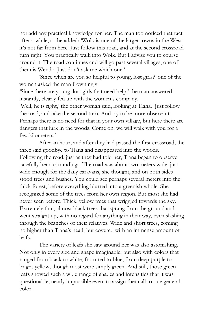not add any practical knowledge for her. The man too noticed that fact after a while, so he added: 'Wolk is one of the larger towns in the West, it's not far from here. Just follow this road, and at the second crossroad turn right. You practically walk into Wolk. But I advise you to course around it. The road continues and will go past several villages, one of them is Wendo. Just don't ask me which one.'

'Since when are you so helpful to young, lost girls?' one of the women asked the man frowningly.

'Since there are young, lost girls that need help,' the man answered instantly, clearly fed up with the women's company.

'Well, he is right,' the other woman said, looking at Tlana. 'Just follow the road, and take the second turn. And try to be more observant. Perhaps there is no need for that in your own village, but here there are dangers that lurk in the woods. Come on, we will walk with you for a few kilometers.'

After an hour, and after they had passed the first crossroad, the three said goodbye to Tlana and disappeared into the woods. Following the road, just as they had told her, Tlana began to observe carefully her surroundings. The road was about two meters wide, just wide enough for the daily caravans, she thought, and on both sides stood trees and bushes. You could see perhaps several meters into the thick forest, before everything blurred into a greenish whole. She recognized some of the trees from her own region. But most she had never seen before. Thick, yellow trees that wriggled towards the sky. Extremely thin, almost black trees that sprang from the ground and went straight up, with no regard for anything in their way, even slashing through the branches of their relatives. Wide and short trees, coming no higher than Tlana's head, but covered with an immense amount of leafs.

The variety of leafs she saw around her was also astonishing. Not only in every size and shape imaginable, but also with colors that ranged from black to white, from red to blue, from deep purple to bright yellow, though most were simply green. And still, those green leafs showed such a wide range of shades and intensities that it was questionable, nearly impossible even, to assign them all to one general color.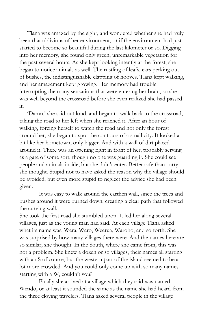Tlana was amazed by the sight, and wondered whether she had truly been that oblivious of her environment, or if the environment had just started to become so beautiful during the last kilometer or so. Digging into her memory, she found only green, unremarkable vegetation for the past several hours. As she kept looking intently at the forest, she began to notice animals as well. The rustling of leafs, ears perking out of bushes, the indistinguishable clapping of hooves. Tlana kept walking, and her amazement kept growing. Her memory had trouble interrupting the many sensations that were entering her brain, so she was well beyond the crossroad before she even realized she had passed it.

'Damn,' she said out loud, and began to walk back to the crossroad, taking the road to her left when she reached it. After an hour of walking, forcing herself to watch the road and not only the forest around her, she began to spot the contours of a small city. It looked a bit like her hometown, only bigger. And with a wall of dirt placed around it. There was an opening right in front of her, probably serving as a gate of some sort, though no one was guarding it. She could see people and animals inside, but she didn't enter. Better safe than sorry, she thought. Stupid not to have asked the reason why the village should be avoided, but even more stupid to neglect the advice she had been given.

It was easy to walk around the earthen wall, since the trees and bushes around it were burned down, creating a clear path that followed the curving wall.

She took the first road she stumbled upon. It led her along several villages, just as the young man had said. At each village Tlana asked what its name was. Wera, Waro, Weerua, Waroho, and so forth. She was surprised by how many villages there were. And the names here are so similar, she thought. In the South, where she came from, this was not a problem. She knew a dozen or so villages, their names all starting with an S of course, but the western part of the island seemed to be a lot more crowded. And you could only come up with so many names starting with a W, couldn't you?

Finally she arrived at a village which they said was named Wendo, or at least it sounded the same as the name she had heard from the three cloying travelers. Tlana asked several people in the village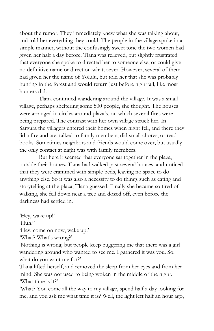about the rumor. They immediately knew what she was talking about, and told her everything they could. The people in the village spoke in a simple manner, without the confusingly sweet tone the two women had given her half a day before. Tlana was relieved, but slightly frustrated that everyone she spoke to directed her to someone else, or could give no definitive name or direction whatsoever. However, several of them had given her the name of Yolulu, but told her that she was probably hunting in the forest and would return just before nightfall, like most hunters did.

Tlana continued wandering around the village. It was a small village, perhaps sheltering some 500 people, she thought. The houses were arranged in circles around plaza's, on which several fires were being prepared. The contrast with her own village struck her. In Sargura the villagers entered their homes when night fell, and there they lid a fire and ate, talked to family members, did small chores, or read books. Sometimes neighbors and friends would come over, but usually the only contact at night was with family members.

But here it seemed that everyone sat together in the plaza, outside their homes. Tlana had walked past several houses, and noticed that they were crammed with simple beds, leaving no space to do anything else. So it was also a necessity to do things such as eating and storytelling at the plaza, Tlana guessed. Finally she became so tired of walking, she fell down near a tree and dozed off, even before the darkness had settled in.

'Hey, wake up!' 'Huh?' 'Hey, come on now, wake up.' 'What? What's wrong?'

'Nothing is wrong, but people keep buggering me that there was a girl wandering around who wanted to see me. I gathered it was you. So, what do you want me for?'

Tlana lifted herself, and removed the sleep from her eyes and from her mind. She was not used to being woken in the middle of the night. 'What time is it?'

'What? You come all the way to my village, spend half a day looking for me, and you ask me what time it is? Well, the light left half an hour ago,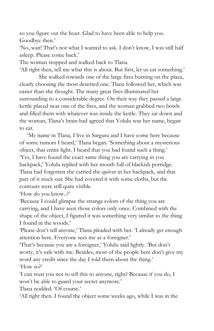so you figure out the hour. Glad to have been able to help you. Goodbye then.'

'No, wait! That's not what I wanted to ask. I don't know, I was still half asleep. Please come back.'

The woman stopped and walked back to Tlana.

'All right then, tell me what this is about. But first, let us eat something.'

She walked towards one of the large fires burning on the plaza, clearly choosing the most deserted one. Tlana followed her, which was easier than she thought. The many great fires illuminated her surrounding to a considerable degree. On their way they passed a large kettle placed near one of the fires, and the woman grabbed two bowls and filled them with whatever was inside the kettle. They sat down and the woman, Tlana's brain had agreed that Yolulu was her name, began to eat.

'My name in Tlana, I live in Sargura and I have come here because of some rumors I heard,' Tlana began. 'Something about a mysterious object, that emits light. I heard that you had found such a thing.' 'Yes, I have found the exact same thing you are carrying in you backpack,' Yolulu replied with her mouth full of blackish porridge. Tlana had forgotten she carried the quiver in her backpack, and that part of it stuck out. She had covered it with some cloths, but the contours were still quite visible.

'How do you know..?'

'Because I could glimpse the strange colors of the thing you are carrying, and I have seen those colors only once. Combined with the shape of the object, I figured it was something very similar to the thing I found in the woods.'

'Please don't tell anyone,' Tlana pleaded with her. 'I already get enough attention here. Everyone sees me as a foreigner.'

'That's because you are a foreigner,' Yolulu said lightly. 'But don't worry, it's safe with me. Besides, most of the people here don't give my word any credit since the day I told them about the thing.' 'How so?'

'I can trust you not to tell this to anyone, right? Because if you do, I won't be able to guard your secret anymore.'

Tlana nodded. 'Of course.'

'All right then. I found the object some weeks ago, while I was in the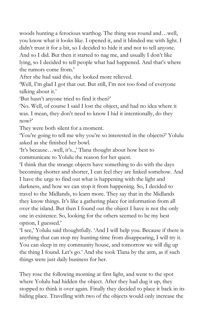woods hunting a ferocious warthog. The thing was round and…well, you know what it looks like. I opened it, and it blinded me with light. I didn't trust it for a bit, so I decided to hide it and not to tell anyone. And so I did. But then it started to nag me, and usually I don't like lying, so I decided to tell people what had happened. And that's where the rumors come from.'

After she had said this, she looked more relieved.

'Well, I'm glad I got that out. But still, I'm not too fond of everyone talking about it.'

'But hasn't anyone tried to find it then?'

'No. Well, of course I said I lost the object, and had no idea where it was. I mean, they don't need to know I hid it intentionally, do they now?'

They were both silent for a moment.

'You're going to tell me why you're so interested in the objects?' Yolulu asked as she finished her bowl.

'It's because…well, it's..,' Tlana thought about how best to communicate to Yolulu the reason for her quest.

'I think that the strange objects have something to do with the days becoming shorter and shorter, I can feel they are linked somehow. And I have the urge to find out what is happening with the light and darkness, and how we can stop it from happening. So, I decided to travel to the Midlands, to learn more. They say that in the Midlands they know things. It's like a gathering place for information from all over the island. But then I found out the object I have is not the only one in existence. So, looking for the others seemed to be my best option, I guessed.'

'I see,' Yolulu said thoughtfully. 'And I will help you. Because if there is anything that can stop my hunting-time from disappearing, I will try it. You can sleep in my community house, and tomorrow we will dig up the thing I found. Let's go.' And she took Tlana by the arm, as if such things were just daily business for her.

They rose the following morning at first light, and went to the spot where Yolulu had hidden the object. After they had dug it up, they stopped to think it over again. Finally they decided to place it back in its hiding place. Travelling with two of the objects would only increase the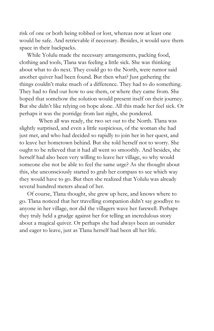risk of one or both being robbed or lost, whereas now at least one would be safe. And retrievable if necessary. Besides, it would save them space in their backpacks.

While Yolulu made the necessary arrangements, packing food, clothing and tools, Tlana was feeling a little sick. She was thinking about what to do next. They could go to the North, were rumor said another quiver had been found. But then what? Just gathering the things couldn't make much of a difference. They had to do something. They had to find out how to use them, or where they came from. She hoped that somehow the solution would present itself on their journey. But she didn't like relying on hope alone. All this made her feel sick. Or perhaps it was the porridge from last night, she pondered.

When all was ready, the two set out to the North. Tlana was slightly surprised, and even a little suspicious, of the woman she had just met, and who had decided so rapidly to join her in her quest, and to leave her hometown behind. But she told herself not to worry. She ought to be relieved that it had all went so smoothly. And besides, she herself had also been very willing to leave her village, so why would someone else not be able to feel the same urge? As she thought about this, she unconsciously started to grab her compass to see which way they would have to go. But then she realized that Yolulu was already several hundred meters ahead of her.

Of course, Tlana thought, she grew up here, and knows where to go. Tlana noticed that her travelling companion didn't say goodbye to anyone in her village, nor did the villagers wave her farewell. Perhaps they truly held a grudge against her for telling an incredulous story about a magical quiver. Or perhaps she had always been an outsider and eager to leave, just as Tlana herself had been all her life.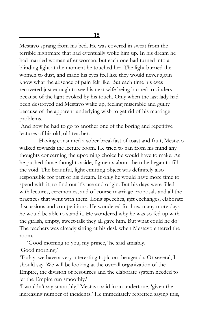Mestavo sprang from his bed. He was covered in sweat from the terrible nightmare that had eventually woke him up. In his dream he had married woman after woman, but each one had turned into a blinding light at the moment he touched her. The light burned the women to dust, and made his eyes feel like they would never again know what the absence of pain felt like. But each time his eyes recovered just enough to see his next wife being burned to cinders because of the light evoked by his touch. Only when the last lady had been destroyed did Mestavo wake up, feeling miserable and guilty because of the apparent underlying wish to get rid of his marriage problems.

And now he had to go to another one of the boring and repetitive lectures of his old, old teacher.

Having consumed a sober breakfast of toast and fruit, Mestavo walked towards the lecture room. He tried to ban from his mind any thoughts concerning the upcoming choice he would have to make. As he pushed those thoughts aside, figments about the tube began to fill the void. The beautiful, light emitting object was definitely also responsible for part of his dream. If only he would have more time to spend with it, to find out it's use and origin. But his days were filled with lectures, ceremonies, and of course marriage proposals and all the practices that went with them. Long speeches, gift exchanges, elaborate discussions and competitions. He wondered for how many more days he would be able to stand it. He wondered why he was so fed up with the girlish, empty, sweet-talk they all gave him. But what could he do? The teachers was already sitting at his desk when Mestavo entered the room.

'Good morning to you, my prince,' he said amiably. 'Good morning.'

'Today, we have a very interesting topic on the agenda. Or several, I should say. We will be looking at the overall organization of the Empire, the division of resources and the elaborate system needed to let the Empire run smoothly.'

'I wouldn't say smoothly,' Mestavo said in an undertone, 'given the increasing number of incidents.' He immediately regretted saying this,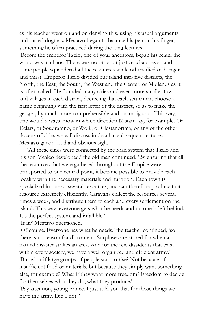as his teacher went on and on denying this, using his usual arguments and rusted dogmas. Mestavo began to balance his pen on his finger, something he often practiced during the long lectures.

'Before the emperor Tzelo, one of your ancestors, began his reign, the world was in chaos. There was no order or justice whatsoever, and some people squandered all the resources while others died of hunger and thirst. Emperor Tzelo divided our island into five districts, the North, the East, the South, the West and the Center, or Midlands as it is often called. He founded many cities and even more smaller towns and villages in each district, decreeing that each settlement choose a name beginning with the first letter of the district, so as to make the geography much more comprehensible and unambiguous. This way, one would always know in which direction Nistam lay, for example. Or Eclars, or Soudramno, or Wolk, or Clestanorima, or any of the other dozens of cities we will discuss in detail in subsequent lectures.' Mestavo gave a loud and obvious sigh.

'All these cities were connected by the road system that Tzelo and his son Mealco developed,' the old man continued. 'By ensuring that all the resources that were gathered throughout the Empire were transported to one central point, it became possible to provide each locality with the necessary materials and nutrition. Each town is specialized in one or several resources, and can therefore produce that resource extremely efficiently. Caravans collect the resources several times a week, and distribute them to each and every settlement on the island. This way, everyone gets what he needs and no one is left behind. It's the perfect system, and infallible.'

'Is it?' Mestavo questioned.

'Of course. Everyone has what he needs,' the teacher continued, 'so there is no reason for discontent. Surpluses are stored for when a natural disaster strikes an area. And for the few dissidents that exist within every society, we have a well organized and efficient army.' 'But what if large groups of people start to rise? Not because of insufficient food or materials, but because they simply want something else, for example? What if they want more freedom? Freedom to decide for themselves what they do, what they produce.'

'Pay attention, young prince. I just told you that for those things we have the army. Did I not?'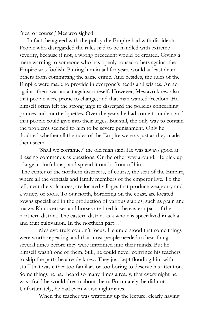'Yes, of course,' Mestavo sighed.

In fact, he agreed with the policy the Empire had with dissidents. People who disregarded the rules had to be handled with extreme severity, because if not, a wrong precedent would be created. Giving a mere warning to someone who has openly roused others against the Empire was foolish. Putting him in jail for years would at least deter others from committing the same crime. And besides, the rules of the Empire were made to provide in everyone's needs and wishes. An act against them was an act against oneself. However, Mestavo knew also that people were prone to change, and that man wanted freedom. He himself often felt the strong urge to disregard the policies concerning princes and court etiquettes. Over the years he had come to understand that people could give into their urges. But still, the only way to contain the problems seemed to him to be severe punishment. Only he doubted whether all the rules of the Empire were as just as they made them seem.

'Shall we continue?' the old man said. He was always good at dressing commands as questions. Or the other way around. He pick up a large, colorful map and spread it out in front of him. 'The center of the northern district is, of course, the seat of the Empire, where all the officials and family members of the emperor live. To the left, near the volcanoes, are located villages that produce weaponry and a variety of tools. To our north, bordering on the coast, are located towns specialized in the production of various staples, such as grain and maize. Rhinoceroses and horses are bred in the eastern part of the northern district. The eastern district as a whole is specialized in ackla and fruit cultivation. In the northern part…'

Mestavo truly couldn't focus. He understood that some things were worth repeating, and that most people needed to hear things several times before they were imprinted into their minds. But he himself wasn't one of them. Still, he could never convince his teachers to skip the parts he already knew. They just kept flooding him with stuff that was either too familiar, or too boring to deserve his attention. Some things he had heard so many times already, that every night he was afraid he would dream about them. Fortunately, he did not. Unfortunately, he had even worse nightmares.

When the teacher was wrapping up the lecture, clearly having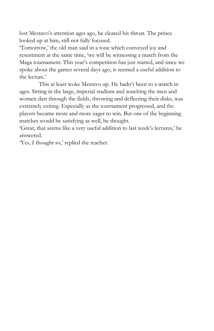lost Mestavo's attention ages ago, he cleared his throat. The prince looked up at him, still not fully focused.

'Tomorrow,' the old man said in a tone which conveyed joy and resentment at the same time, 'we will be witnessing a match from the Maga tournament. This year's competition has just started, and since we spoke about the games several days ago, it seemed a useful addition to the lecture.'

This at least woke Mestavo up. He hadn't been to a match in ages. Sitting in the large, imperial stadium and watching the men and women dart through the fields, throwing and deflecting their disks, was extremely exiting. Especially as the tournament progressed, and the players became more and more eager to win. But one of the beginning matches would be satisfying as well, he thought.

'Great, that seems like a very useful addition to last week's lectures,' he answered.

'Yes, I thought so,' replied the teacher.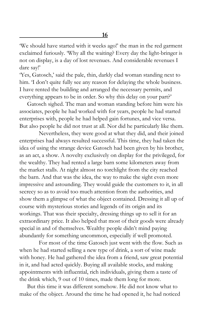'We should have started with it weeks ago!' the man in the red garment exclaimed furiously. 'Why all the waiting? Every day the light-bringer is not on display, is a day of lost revenues. And considerable revenues I dare say!'

'Yes, Gatosch,' said the pale, thin, darkly clad woman standing next to him. 'I don't quite fully see any reason for delaying the whole business. I have rented the building and arranged the necessary permits, and everything appears to be in order. So why this delay on your part?'

Gatosch sighed. The man and woman standing before him were his associates, people he had worked with for years, people he had started enterprises with, people he had helped gain fortunes, and vice versa. But also people he did not trust at all. Nor did he particularly like them.

Nevertheless, they were good at what they did, and their joined enterprises had always resulted successful. This time, they had taken the idea of using the strange device Gatosch had been given by his brother, as an act, a show. A novelty exclusively on display for the privileged, for the wealthy. They had rented a large barn some kilometers away from the market stalls. At night almost no torchlight from the city reached the barn. And that was the idea, the way to make the sight even more impressive and astounding. They would guide the customers to it, in all secrecy so as to avoid too much attention from the authorities, and show them a glimpse of what the object contained. Dressing it all up of course with mysterious stories and legends of its origin and its workings. That was their specialty, dressing things up to sell it for an extraordinary price. It also helped that most of their goods were already special in and of themselves. Wealthy people didn't mind paying abundantly for something uncommon, especially if well promoted.

For most of the time Gatosch just went with the flow. Such as when he had started selling a new type of drink, a sort of wine made with honey. He had gathered the idea from a friend, saw great potential in it, and had acted quickly. Buying all available stocks, and making appointments with influential, rich individuals, giving them a taste of the drink which, 9 out of 10 times, made them long for more.

But this time it was different somehow. He did not know what to make of the object. Around the time he had opened it, he had noticed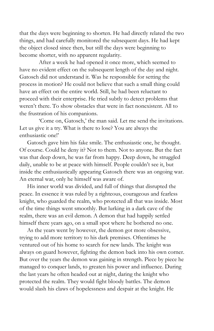that the days were beginning to shorten. He had directly related the two things, and had carefully monitored the subsequent days. He had kept the object closed since then, but still the days were beginning to become shorter, with no apparent regularity.

After a week he had opened it once more, which seemed to have no evident effect on the subsequent length of the day and night. Gatosch did not understand it. Was he responsible for setting the process in motion? He could not believe that such a small thing could have an effect on the entire world. Still, he had been reluctant to proceed with their enterprise. He tried subtly to detect problems that weren't there. To show obstacles that were in fact nonexistent. All to the frustration of his companions.

'Come on, Gatosch,' the man said. Let me send the invitations. Let us give it a try. What is there to lose? You are always the enthusiastic one!'

Gatosch gave him his fake smile. The enthusiastic one, he thought. Of course. Could he deny it? Not to them. Not to anyone. But the fact was that deep down, he was far from happy. Deep down, he struggled daily, unable to be at peace with himself. People couldn't see it, but inside the enthusiastically appearing Gatosch there was an ongoing war. An eternal war, only he himself was aware of.

His inner world was divided, and full of things that disrupted the peace. In essence it was ruled by a righteous, courageous and fearless knight, who guarded the realm, who protected all that was inside. Most of the time things went smoothly. But lurking in a dark cave of the realm, there was an evil demon. A demon that had happily settled himself there years ago, on a small spot where he bothered no one.

As the years went by however, the demon got more obsessive, trying to add more territory to his dark premises. Oftentimes he ventured out of his home to search for new lands. The knight was always on guard however, fighting the demon back into his own corner. But over the years the demon was gaining in strength. Piece by piece he managed to conquer lands, to greaten his power and influence. During the last years he often headed out at night, daring the knight who protected the realm. They would fight bloody battles. The demon would slash his claws of hopelessness and despair at the knight. He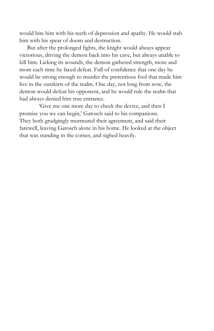would bite him with his teeth of depression and apathy. He would stab him with his spear of doom and destruction.

But after the prolonged fights, the knight would always appear victorious, driving the demon back into his cave, but always unable to kill him. Licking its wounds, the demon gathered strength, more and more each time he faced defeat. Full of confidence that one day he would be strong enough to murder the pretentious fool that made him live in the outskirts of the realm. One day, not long from now, the demon would defeat his opponent, and he would rule the realm that had always denied him true entrance.

'Give me one more day to check the device, and then I promise you we can begin,' Gatosch said to his companions. They both grudgingly murmured their agreement, and said their farewell, leaving Gatosch alone in his home. He looked at the object that was standing in the corner, and sighed heavily.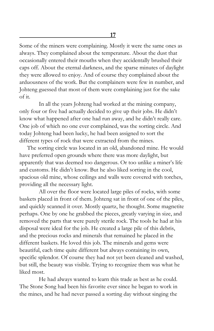Some of the miners were complaining. Mostly it were the same ones as always. They complained about the temperature. About the dust that occasionally entered their mouths when they accidentally brushed their caps off. About the eternal darkness, and the sparse minutes of daylight they were allowed to enjoy. And of course they complained about the arduousness of the work. But the complainers were few in number, and Johteng guessed that most of them were complaining just for the sake of it.

In all the years Johteng had worked at the mining company, only four or five had actually decided to give up their jobs. He didn't know what happened after one had run away, and he didn't really care. One job of which no one ever complained, was the sorting circle. And today Johteng had been lucky, he had been assigned to sort the different types of rock that were extracted from the mines.

The sorting circle was located in an old, abandoned mine. He would have preferred open grounds where there was more daylight, but apparently that was deemed too dangerous. Or too unlike a miner's life and customs. He didn't know. But he also liked sorting in the cool, spacious old mine, whose ceilings and walls were covered with torches, providing all the necessary light.

All over the floor were located large piles of rocks, with some baskets placed in front of them. Johteng sat in front of one of the piles, and quickly scanned it over. Mostly quartz, he thought. Some magnetite perhaps. One by one he grabbed the pieces, greatly varying in size, and removed the parts that were purely sterile rock. The tools he had at his disposal were ideal for the job. He created a large pile of this debris, and the precious rocks and minerals that remained he placed in the different baskets. He loved this job. The minerals and gems were beautiful, each time quite different but always containing its own, specific splendor. Of course they had not yet been cleaned and washed, but still, the beauty was visible. Trying to recognize them was what he liked most.

He had always wanted to learn this trade as best as he could. The Stone Song had been his favorite ever since he began to work in the mines, and he had never passed a sorting day without singing the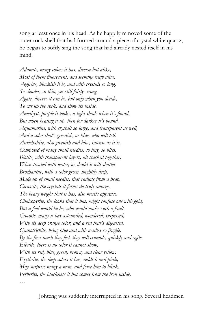song at least once in his head. As he happily removed some of the outer rock shell that had formed around a piece of crystal white quartz, he began to softly sing the song that had already nested itself in his mind.

*Adamite, many colors it has, diverse but alike, Most of them fluorescent, and seeming truly alive. Aegirine, blackish it is, and with crystals so long, So slender, so thin, yet still fairly strong. Agate, diverse it can be, but only when you decide, To cut up the rock, and show its inside. Amethyst, purple it looks, a light shade when it's found, But when heating it up, then for darker it's bound. Aquamarine, with crystals so large, and transparent as well, And a color that's greenish, or blue, who will tell. Aurichalcite, also greenish and blue, intense as it is, Composed of many small needles, so tiny, so bliss. Biotite, with transparent layers, all stacked together, When treated with water, no doubt it will shatter. Brochantite, with a color green, mightily deep, Made up of small needles, that radiate from a heap. Cerussite, the crystals it forms do truly amaze, The heavy weight that is has, also merits appraise. Chalcopyrite, the looks that it has, might confuse one with gold, But a fool would be he, who would make such a fault. Crocoite, many it has astounded, wondered, surprised, With its deep orange color, and a red that's disguised. Cyanotrichite, being blue and with needles so fragile, By the first touch they feel, they will crumble, quickly and agile. Elbaite, there is no color it cannot show, With its red, blue, green, brown, and clear yellow. Erythrite, the deep colors it has, reddish and pink, May surprise many a man, and force him to blink. Ferberite, the blackness it has comes from the iron inside,*

*…*

Johteng was suddenly interrupted in his song. Several headmen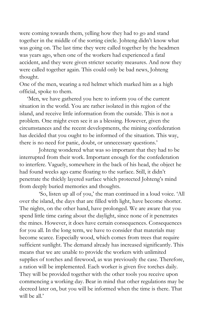were coming towards them, yelling how they had to go and stand together in the middle of the sorting circle. Johteng didn't know what was going on. The last time they were called together by the headmen was years ago, when one of the workers had experienced a fatal accident, and they were given stricter security measures. And now they were called together again. This could only be bad news, Johteng thought.

One of the men, wearing a red helmet which marked him as a high official, spoke to them.

'Men, we have gathered you here to inform you of the current situation in the world. You are rather isolated in this region of the island, and receive little information from the outside. This is not a problem. One might even see it as a blessing. However, given the circumstances and the recent developments, the mining confederation has decided that you ought to be informed of the situation. This way, there is no need for panic, doubt, or unnecessary questions.'

Johteng wondered what was so important that they had to be interrupted from their work. Important enough for the confederation to interfere. Vaguely, somewhere in the back of his head, the object he had found weeks ago came floating to the surface. Still, it didn't penetrate the thickly layered surface which protected Johteng's mind from deeply buried memories and thoughts.

'So, listen up all of you,' the man continued in a loud voice. 'All over the island, the days that are filled with light, have become shorter. The nights, on the other hand, have prolonged. We are aware that you spend little time caring about the daylight, since none of it penetrates the mines. However, it does have certain consequences. Consequences for you all. In the long term, we have to consider that materials may become scarce. Especially wood, which comes from trees that require sufficient sunlight. The demand already has increased significantly. This means that we are unable to provide the workers with unlimited supplies of torches and firewood, as was previously the case. Therefore, a ration will be implemented. Each worker is given five torches daily. They will be provided together with the other tools you receive upon commencing a working day. Bear in mind that other regulations may be decreed later on, but you will be informed when the time is there. That will be all.'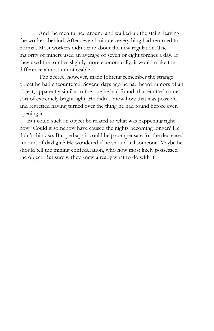And the men turned around and walked up the stairs, leaving the workers behind. After several minutes everything had returned to normal. Most workers didn't care about the new regulation. The majority of miners used an average of seven or eight torches a day. If they used the torches slightly more economically, it would make the difference almost unnoticeable.

The decree, however, made Johteng remember the strange object he had encountered. Several days ago he had heard rumors of an object, apparently similar to the one he had found, that emitted some sort of extremely bright light. He didn't know how that was possible, and regretted having turned over the thing he had found before even opening it.

But could such an object be related to what was happening right now? Could it somehow have caused the nights becoming longer? He didn't think so. But perhaps it could help compensate for the decreased amount of daylight? He wondered if he should tell someone. Maybe he should tell the mining confederation, who now most likely possessed the object. But surely, they knew already what to do with it.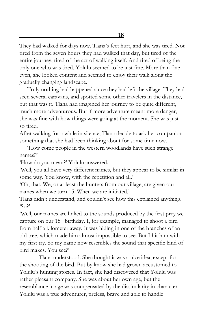They had walked for days now. Tlana's feet hurt, and she was tired. Not tired from the seven hours they had walked that day, but tired of the entire journey, tired of the act of walking itself. And tired of being the only one who was tired. Yolulu seemed to be just fine. More than fine even, she looked content and seemed to enjoy their walk along the gradually changing landscape.

Truly nothing had happened since they had left the village. They had seen several caravans, and spotted some other travelers in the distance, but that was it. Tlana had imagined her journey to be quite different, much more adventurous. But if more adventure meant more danger, she was fine with how things were going at the moment. She was just so tired.

After walking for a while in silence, Tlana decide to ask her companion something that she had been thinking about for some time now.

'How come people in the western woodlands have such strange names?'

'How do you mean?' Yolulu answered.

'Well, you all have very different names, but they appear to be similar in some way. You know, with the repetition and all.'

'Oh, that. We, or at least the hunters from our village, are given our names when we turn 15. When we are initiated.'

Tlana didn't understand, and couldn't see how this explained anything. 'So?'

'Well, our names are linked to the sounds produced by the first prey we capture on our  $15<sup>th</sup>$  birthday. I, for example, managed to shoot a bird from half a kilometer away. It was hiding in one of the branches of an old tree, which made him almost impossible to see. But I hit him with my first try. So my name now resembles the sound that specific kind of bird makes. You see?'

Tlana understood. She thought it was a nice idea, except for the shooting of the bird. But by know she had grown accustomed to Yolulu's hunting stories. In fact, she had discovered that Yolulu was rather pleasant company. She was about her own age, but the resemblance in age was compensated by the dissimilarity in character. Yolulu was a true adventurer, tireless, brave and able to handle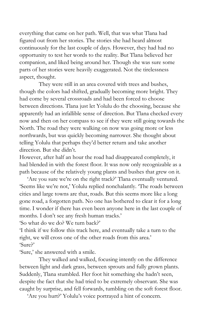everything that came on her path. Well, that was what Tlana had figured out from her stories. The stories she had heard almost continuously for the last couple of days. However, they had had no opportunity to test her words to the reality. But Tlana believed her companion, and liked being around her. Though she was sure some parts of her stories were heavily exaggerated. Not the tirelessness aspect, thought.

They were still in an area covered with trees and bushes, though the colors had shifted, gradually becoming more bright. They had come by several crossroads and had been forced to choose between directions. Tlana just let Yolulu do the choosing, because she apparently had an infallible sense of direction. But Tlana checked every now and then on her compass to see if they were still going towards the North. The road they were walking on now was going more or less northwards, but was quickly becoming narrower. She thought about telling Yolulu that perhaps they'd better return and take another direction. But she didn't.

However, after half an hour the road had disappeared completely, it had blended in with the forest floor. It was now only recognizable as a path because of the relatively young plants and bushes that grew on it.

'Are you sure we're on the right track?' Tlana eventually ventured. 'Seems like we're not,' Yolulu replied nonchalantly. 'The roads between cities and large towns are that, roads. But this seems more like a long gone road, a forgotten path. No one has bothered to clear it for a long time. I wonder if there has even been anyone here in the last couple of months. I don't see any fresh human tracks.'

'So what do we do? We turn back?'

'I think if we follow this track here, and eventually take a turn to the right, we will cross one of the other roads from this area.' 'Sure?'

'Sure,' she answered with a smile.

They walked and walked, focusing intently on the difference between light and dark grass, between sprouts and fully grown plants. Suddenly, Tlana stumbled. Her foot hit something she hadn't seen, despite the fact that she had tried to be extremely observant. She was caught by surprise, and fell forwards, tumbling on the soft forest floor.

'Are you hurt?' Yolulu's voice portrayed a hint of concern.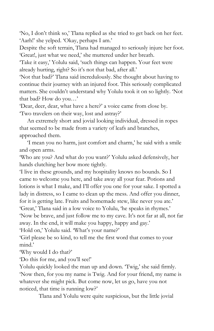'No, I don't think so,' Tlana replied as she tried to get back on her feet. 'Aarh!' she yelped. 'Okay, perhaps I am.'

Despite the soft terrain, Tlana had managed to seriously injure her foot. 'Great!, just what we need,' she muttered under her breath.

'Take it easy,' Yolulu said, 'such things can happen. Your feet were already hurting, right? So it's not that bad, after all.'

'Not that bad?' Tlana said incredulously. She thought about having to continue their journey with an injured foot. This seriously complicated matters. She couldn't understand why Yolulu took it on so lightly. 'Not that bad? How do you…'

'Dear, deer, dear, what have a here?' a voice came from close by. 'Two travelers on their way, lost and astray?'

An extremely short and jovial looking individual, dressed in ropes that seemed to be made from a variety of leafs and branches, approached them.

'I mean you no harm, just comfort and charm,' he said with a smile and open arms.

'Who are you? And what do you want?' Yolulu asked defensively, her hands clutching her bow more tightly.

'I live in these grounds, and my hospitality knows no bounds. So I came to welcome you here, and take away all your fear. Potions and lotions is what I make, and I'll offer you one for your sake. I spotted a lady in distress, so I came to clean up the mess. And offer you dinner, for it is getting late. Fruits and homemade stew, like never you ate.' 'Great,' Tlana said in a low voice to Yolulu, 'he speaks in rhymes.' 'Now be brave, and just follow me to my cave. It's not far at all, not far away. In the end, it will make you happy, happy and gay.'

'Hold on,' Yolulu said. 'What's your name?'

'Girl please be so kind, to tell me the first word that comes to your mind.'

'Why would I do that?'

'Do this for me, and you'll see!'

Yolulu quickly looked the man up and down. 'Twig,' she said firmly. 'Now then, for you my name is Twig. And for your friend, my name is whatever she might pick. But come now, let us go, have you not noticed, that time is running low?'

Tlana and Yolulu were quite suspicious, but the little jovial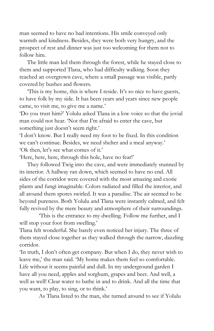man seemed to have no bad intentions. His smile conveyed only warmth and kindness. Besides, they were both very hungry, and the prospect of rest and dinner was just too welcoming for them not to follow him.

The little man led them through the forest, while he stayed close to them and supported Tlana, who had difficulty walking. Soon they reached an overgrown cave, where a small passage was visible, partly covered by bushes and flowers.

'This is my home, this is where I reside. It's so nice to have guests, to have folk by my side. It has been years and years since new people came, to visit me, to give me a name.'

'Do you trust him?' Yolulu asked Tlana in a low voice so that the jovial man could not hear. 'Not that I'm afraid to enter the cave, but something just doesn't seem right.'

'I don't know. But I really need my foot to be fixed. In this condition we can't continue. Besides, we need shelter and a meal anyway.' 'Ok then, let's see what comes of it.'

'Here, here, here, through this hole, have no fear!'

They followed Twig into the cave, and were immediately stunned by its interior. A hallway ran down, which seemed to have no end. All sides of the corridor were covered with the most amazing and exotic plants and fungi imaginable. Colors radiated and filled the interior, and all around them spores swirled. It was a paradise. The air seemed to be beyond pureness. Both Yolulu and Tlana were instantly calmed, and felt fully revived by the mere beauty and atmosphere of their surroundings.

'This is the entrance to my dwelling. Follow me further, and I will stop your foot from swelling.'

Tlana felt wonderful. She barely even noticed her injury. The three of them stayed close together as they walked through the narrow, dazzling corridor.

'In truth, I don't often get company. But when I do, they never wish to leave me,' the man said. 'My home makes them feel so comfortable. Life without it seems painful and dull. In my underground garden I have all you need, apples and sorghum, grapes and beet. And well, a well as well! Clear water to bathe in and to drink. And all the time that you want, to play, to sing, or to think.'

As Tlana listed to the man, she turned around to see if Yolulu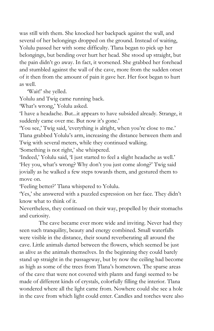was still with them. She knocked her backpack against the wall, and several of her belongings dropped on the ground. Instead of waiting, Yolulu passed her with some difficulty. Tlana began to pick up her belongings, but bending over hurt her head. She stood up straight, but the pain didn't go away. In fact, it worsened. She grabbed her forehead and stumbled against the wall of the cave, more from the sudden onset of it then from the amount of pain it gave her. Her foot began to hurt as well.

'Wait!' she yelled.

Yolulu and Twig came running back.

'What's wrong,' Yolulu asked.

'I have a headache. But...it appears to have subsided already. Strange, it suddenly came over me. But now it's gone.'

'You see,' Twig said, 'everything is alright, when you're close to me.' Tlana grabbed Yolulu's arm, increasing the distance between them and Twig with several meters, while they continued walking.

'Something is not right,' she whispered.

'Indeed,' Yolulu said, 'I just started to feel a slight headache as well.' 'Hey you, what's wrong? Why don't you just come along?' Twig said jovially as he walked a few steps towards them, and gestured them to move on.

'Feeling better?' Tlana whispered to Yolulu.

'Yes,' she answered with a puzzled expression on her face. They didn't know what to think of it.

Nevertheless, they continued on their way, propelled by their stomachs and curiosity.

The cave became ever more wide and inviting. Never had they seen such tranquility, beauty and energy combined. Small waterfalls were visible in the distance, their sound reverberating all around the cave. Little animals darted between the flowers, which seemed be just as alive as the animals themselves. In the beginning they could barely stand up straight in the passageway, but by now the ceiling had become as high as some of the trees from Tlana's hometown. The sparse areas of the cave that were not covered with plants and fungi seemed to be made of different kinds of crystals, colorfully filling the interior. Tlana wondered where all the light came from. Nowhere could she see a hole in the cave from which light could enter. Candles and torches were also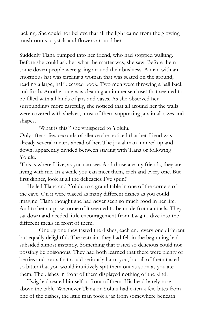lacking. She could not believe that all the light came from the glowing mushrooms, crystals and flowers around her.

Suddenly Tlana bumped into her friend, who had stopped walking. Before she could ask her what the matter was, she saw. Before them some dozen people were going around their business. A man with an enormous hat was circling a woman that was seated on the ground, reading a large, half decayed book. Two men were throwing a ball back and forth. Another one was cleaning an immense closet that seemed to be filled with all kinds of jars and vases. As she observed her surroundings more carefully, she noticed that all around her the walls were covered with shelves, most of them supporting jars in all sizes and shapes.

'What is this?' she whispered to Yolulu.

Only after a few seconds of silence she noticed that her friend was already several meters ahead of her. The jovial man jumped up and down, apparently divided between staying with Tlana or following Yolulu.

'This is where I live, as you can see. And those are my friends, they are living with me. In a while you can meet them, each and every one. But first dinner, look at all the delicacies I've spun!'

He led Tlana and Yolulu to a grand table in one of the corners of the cave. On it were placed as many different dishes as you could imagine. Tlana thought she had never seen so much food in her life. And to her surprise, none of it seemed to be made from animals. They sat down and needed little encouragement from Twig to dive into the different meals in front of them.

One by one they tasted the dishes, each and every one different but equally delightful. The restraint they had felt in the beginning had subsided almost instantly. Something that tasted so delicious could not possibly be poisonous. They had both learned that there were plenty of berries and roots that could seriously harm you, but all of them tasted so bitter that you would intuitively spit them out as soon as you ate them. The dishes in front of them displayed nothing of the kind.

Twig had seated himself in front of them. His head barely rose above the table. Whenever Tlana or Yolulu had eaten a few bites from one of the dishes, the little man took a jar from somewhere beneath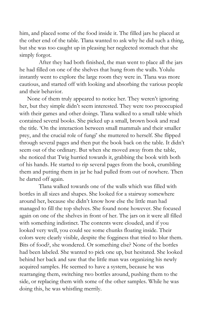him, and placed some of the food inside it. The filled jars he placed at the other end of the table. Tlana wanted to ask why he did such a thing, but she was too caught up in pleasing her neglected stomach that she simply forgot.

After they had both finished, the man went to place all the jars he had filled on one of the shelves that hung from the walls. Yolulu instantly went to explore the large room they were in. Tlana was more cautious, and started off with looking and absorbing the various people and their behavior.

None of them truly appeared to notice her. They weren't ignoring her, but they simple didn't seem interested. They were too preoccupied with their games and other doings. Tlana walked to a small table which contained several books. She picked up a small, brown book and read the title. 'On the interaction between small mammals and their smaller prey, and the crucial role of fungi' she muttered to herself. She flipped through several pages and then put the book back on the table. It didn't seem out of the ordinary. But when she moved away from the table, she noticed that Twig hurried towards it, grabbing the book with both of his hands. He started to rip several pages from the book, crumbling them and putting them in jar he had pulled from out of nowhere. Then he darted off again.

Tlana walked towards one of the walls which was filled with bottles in all sizes and shapes. She looked for a stairway somewhere around her, because she didn't know how else the little man had managed to fill the top shelves. She found none however. She focused again on one of the shelves in front of her. The jars on it were all filled with something indistinct. The contents were clouded, and if you looked very well, you could see some chunks floating inside. Their colors were clearly visible, despite the fogginess that tried to blur them. Bits of food?, she wondered. Or something else? None of the bottles had been labeled. She wanted to pick one up, but hesitated. She looked behind her back and saw that the little man was organizing his newly acquired samples. He seemed to have a system, because he was rearranging them, switching two bottles around, pushing them to the side, or replacing them with some of the other samples. While he was doing this, he was whistling merrily.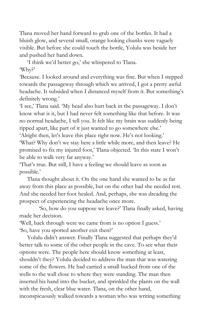Tlana moved her hand forward to grab one of the bottles. It had a bluish glow, and several small, orange looking chunks were vaguely visible. But before she could touch the bottle, Yolulu was beside her and pushed her hand down.

'I think we'd better go,' she whispered to Tlana. 'Why?'

'Because. I looked around and everything was fine. But when I stepped towards the passageway through which we arrived, I got a pretty awful headache. It subsided when I distanced myself from it. But something's definitely wrong.'

'I see,' Tlana said. 'My head also hurt back in the passageway. I don't know what is it, but I had never felt something like that before. It was no normal headache, I tell you. It felt like my brain was suddenly being ripped apart, like part of it just wanted to go somewhere else.'

'Alright then, let's leave this place right now. He's not looking.' 'What? Why don't we stay here a little while more, and then leave? He promised to fix my injured foot,' Tlana objected. 'In this state I won't be able to walk very far anyway.'

'That's true. But still, I have a feeling we should leave as soon as possible.'

Tlana thought about it. On the one hand she wanted to be as far away from this place as possible, but on the other had she needed rest. And she needed her foot healed. And, perhaps, she was dreading the prospect of experiencing the headache once more.

'So, how do you suppose we leave?' Tlana finally asked, having made her decision.

'Well, back through were we came from is no option I guess.' 'So, have you spotted another exit then?'

Yolulu didn't answer. Finally Tlana suggested that perhaps they'd better talk to some of the other people in the cave. To see what their options were. The people here should know something at least, shouldn't they? Yolulu decided to address the man that was watering some of the flowers. He had carried a small bucked from one of the wells to the wall close to where they were standing. The man then inserted his hand into the bucket, and sprinkled the plants on the wall with the fresh, clear blue water. Tlana, on the other hand, inconspicuously walked towards a woman who was writing something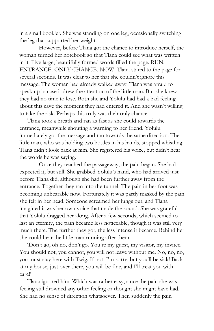in a small booklet. She was standing on one leg, occasionally switching the leg that supported her weight.

However, before Tlana got the chance to introduce herself, the woman turned her notebook so that Tlana could see what was written in it. Five large, beautifully formed words filled the page. RUN. ENTRANCE. ONLY CHANCE. NOW. Tlana stared to the page for several seconds. It was clear to her that she couldn't ignore this message. The woman had already walked away. Tlana was afraid to speak up in case it drew the attention of the little man. But she knew they had no time to lose. Both she and Yolulu had had a bad feeling about this cave the moment they had entered it. And she wasn't willing to take the risk. Perhaps this truly was their only chance.

Tlana took a breath and ran as fast as she could towards the entrance, meanwhile shouting a warning to her friend. Yolulu immediately got the message and ran towards the same direction. The little man, who was holding two bottles in his hands, stopped whistling. Tlana didn't look back at him. She registered his voice, but didn't hear the words he was saying.

Once they reached the passageway, the pain began. She had expected it, but still. She grabbed Yolulu's hand, who had arrived just before Tlana did, although she had been further away from the entrance. Together they ran into the tunnel. The pain in her foot was becoming unbearable now. Fortunately it was partly masked by the pain she felt in her head. Someone screamed her lungs out, and Tlana imagined it was her own voice that made the sound. She was grateful that Yolulu dragged her along. After a few seconds, which seemed to last an eternity, the pain became less noticeable, though it was still very much there. The further they got, the less intense it became. Behind her she could hear the little man running after them.

'Don't go, oh no, don't go. You're my guest, my visitor, my invitee. You should not, you cannot, you will not leave without me. No, no, no, you must stay here with Twig. If not, I'm sorry, but you'll be sick! Back at my house, just over there, you will be fine, and I'll treat you with care!'

Tlana ignored him. Which was rather easy, since the pain she was feeling still drowned any other feeling or thought she might have had. She had no sense of direction whatsoever. Then suddenly the pain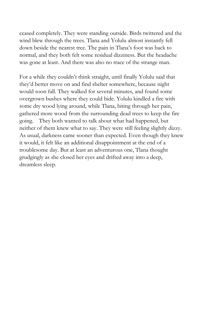ceased completely. They were standing outside. Birds twittered and the wind blew through the trees. Tlana and Yolulu almost instantly fell down beside the nearest tree. The pain in Tlana's foot was back to normal, and they both felt some residual dizziness. But the headache was gone at least. And there was also no trace of the strange man.

For a while they couldn't think straight, until finally Yolulu said that they'd better move on and find shelter somewhere, because night would soon fall. They walked for several minutes, and found some overgrown bushes where they could hide. Yolulu kindled a fire with some dry wood lying around, while Tlana, biting through her pain, gathered more wood from the surrounding dead trees to keep the fire going. They both wanted to talk about what had happened, but neither of them knew what to say. They were still feeling slightly dizzy. As usual, darkness came sooner than expected. Even though they knew it would, it felt like an additional disappointment at the end of a troublesome day. But at least an adventurous one, Tlana thought grudgingly as she closed her eyes and drifted away into a deep, dreamless sleep.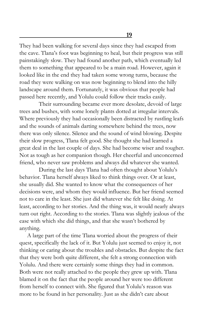**19**

They had been walking for several days since they had escaped from the cave. Tlana's foot was beginning to heal, but their progress was still painstakingly slow. They had found another path, which eventually led them to something that appeared to be a main road. However, again it looked like in the end they had taken some wrong turns, because the road they were walking on was now beginning to blend into the hilly landscape around them. Fortunately, it was obvious that people had passed here recently, and Yolulu could follow their tracks easily.

Their surrounding became ever more desolate, devoid of large trees and bushes, with some lonely plants dotted at irregular intervals. Where previously they had occasionally been distracted by rustling leafs and the sounds of animals darting somewhere behind the trees, now there was only silence. Silence and the sound of wind blowing. Despite their slow progress, Tlana felt good. She thought she had learned a great deal in the last couple of days. She had become wiser and tougher. Not as tough as her companion though. Her cheerful and unconcerned friend, who never saw problems and always did whatever she wanted.

During the last days Tlana had often thought about Yolulu's behavior. Tlana herself always liked to think things over. Or at least, she usually did. She wanted to know what the consequences of her decisions were, and whom they would influence. But her friend seemed not to care in the least. She just did whatever she felt like doing. At least, according to her stories. And the thing was, it would nearly always turn out right. According to the stories. Tlana was slightly jealous of the ease with which she did things, and that she wasn't bothered by anything.

A large part of the time Tlana worried about the progress of their quest, specifically the lack of it. But Yolulu just seemed to enjoy it, not thinking or caring about the troubles and obstacles. But despite the fact that they were both quite different, she felt a strong connection with Yolulu. And there were certainly some things they had in common. Both were not really attached to the people they grew up with. Tlana blamed it on the fact that the people around her were too different from herself to connect with. She figured that Yolulu's reason was more to be found in her personality. Just as she didn't care about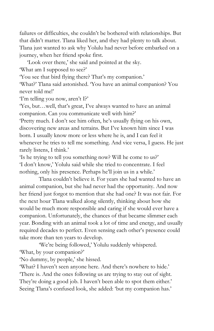failures or difficulties, she couldn't be bothered with relationships. But that didn't matter. Tlana liked her, and they had plenty to talk about. Tlana just wanted to ask why Yolulu had never before embarked on a journey, when her friend spoke first.

'Look over there,' she said and pointed at the sky. 'What am I supposed to see?'

'You see that bird flying there? That's my companion.'

'What?' Tlana said astonished. 'You have an animal companion? You never told me!'

'I'm telling you now, aren't I?'

'Yes, but…well, that's great, I've always wanted to have an animal companion. Can you communicate well with him?'

'Pretty much. I don't see him often, he's usually flying on his own, discovering new areas and terrains. But I've known him since I was born. I usually know more or less where he is, and I can feel it whenever he tries to tell me something. And vice versa, I guess. He just rarely listens, I think.'

'Is he trying to tell you something now? Will he come to us?' 'I don't know,' Yolulu said while she tried to concentrate. I feel nothing, only his presence. Perhaps he'll join us in a while.'

Tlana couldn't believe it. For years she had wanted to have an animal companion, but she had never had the opportunity. And now her friend just forgot to mention that she had one? It was not fair. For the next hour Tlana walked along silently, thinking about how she would be much more responsible and caring if she would ever have a companion. Unfortunately, the chances of that became slimmer each year. Bonding with an animal took a lot of time and energy, and usually required decades to perfect. Even sensing each other's presence could take more than ten years to develop.

'We're being followed,' Yolulu suddenly whispered. 'What, by your companion?'

'No dummy, by people,' she hissed.

'What? I haven't seen anyone here. And there's nowhere to hide.' 'There is. And the ones following us are trying to stay out of sight. They're doing a good job. I haven't been able to spot them either.' Seeing Tlana's confused look, she added: 'but my companion has.'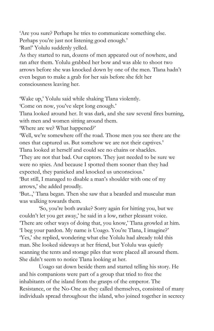'Are you sure? Perhaps he tries to communicate something else.

Perhaps you're just not listening good enough.'

'Run!' Yolulu suddenly yelled.

As they started to run, dozens of men appeared out of nowhere, and ran after them. Yolulu grabbed her bow and was able to shoot two arrows before she was knocked down by one of the men. Tlana hadn't even begun to make a grab for her sais before she felt her consciousness leaving her.

'Wake up,' Yolulu said while shaking Tlana violently.

'Come on now, you've slept long enough.'

Tlana looked around her. It was dark, and she saw several fires burning, with men and women sitting around them.

'Where are we? What happened?'

'Well, we're somewhere off the road. Those men you see there are the ones that captured us. But somehow we are not their captives.'

Tlana looked at herself and could see no chains or shackles.

'They are not that bad. Our captors. They just needed to be sure we were no spies. And because I spotted them sooner than they had expected, they panicked and knocked us unconscious.'

'But still, I managed to disable a man's shoulder with one of my arrows,' she added proudly.

'But..,' Tlana began. Then she saw that a bearded and muscular man was walking towards them.

'So, you're both awake? Sorry again for hitting you, but we couldn't let you get away,' he said in a low, rather pleasant voice. 'There are other ways of doing that, you know,' Tlana growled at him. 'I beg your pardon. My name is Uoago. You're Tlana, I imagine?' 'Yes,' she replied, wondering what else Yolulu had already told this man. She looked sideways at her friend, but Yolulu was quietly scanning the tents and storage piles that were placed all around them. She didn't seem to notice Tlana looking at her.

Uoago sat down beside them and started telling his story. He and his companions were part of a group that tried to free the inhabitants of the island from the grasps of the emperor. The Resistance, or the No-One as they called themselves, consisted of many individuals spread throughout the island, who joined together in secrecy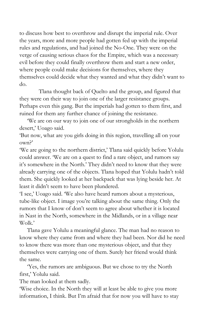to discuss how best to overthrow and disrupt the imperial rule. Over the years, more and more people had gotten fed up with the imperial rules and regulations, and had joined the No-One. They were on the verge of causing serious chaos for the Empire, which was a necessary evil before they could finally overthrow them and start a new order, where people could make decisions for themselves, where they themselves could decide what they wanted and what they didn't want to do.

Tlana thought back of Quelto and the group, and figured that they were on their way to join one of the larger resistance groups. Perhaps even this gang. But the imperials had gotten to them first, and ruined for them any further chance of joining the resistance.

'We are on our way to join one of our strongholds in the northern desert,' Uoago said.

'But now, what are you girls doing in this region, travelling all on your own?'

'We are going to the northern district,' Tlana said quickly before Yolulu could answer. 'We are on a quest to find a rare object, and rumors say it's somewhere in the North.' They didn't need to know that they were already carrying one of the objects. Tlana hoped that Yolulu hadn't told them. She quickly looked at her backpack that was lying beside her. At least it didn't seem to have been plundered.

'I see,' Uoago said. 'We also have heard rumors about a mysterious, tube-like object. I image you're talking about the same thing. Only the rumors that I know of don't seem to agree about whether it is located in Nast in the North, somewhere in the Midlands, or in a village near Wolk.'

Tlana gave Yolulu a meaningful glance. The man had no reason to know where they came from and where they had been. Nor did he need to know there was more than one mysterious object, and that they themselves were carrying one of them. Surely her friend would think the same.

'Yes, the rumors are ambiguous. But we chose to try the North first,' Yolulu said.

The man looked at them sadly.

'Wise choice. In the North they will at least be able to give you more information, I think. But I'm afraid that for now you will have to stay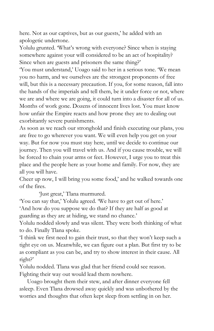here. Not as our captives, but as our guests,' he added with an apologetic undertone.

Yolulu grunted. 'What's wrong with everyone? Since when is staying somewhere against your will considered to be an act of hospitality? Since when are guests and prisoners the same thing?'

'You must understand,' Uoago said to her in a serious tone. 'We mean you no harm, and we ourselves are the strongest proponents of free will, but this is a necessary precaution. If you, for some reason, fall into the hands of the imperials and tell them, be it under force or not, where we are and where we are going, it could turn into a disaster for all of us. Months of work gone. Dozens of innocent lives lost. You must know how unfair the Empire reacts and how prone they are to dealing out exorbitantly severe punishments.

As soon as we reach our stronghold and finish executing our plans, you are free to go wherever you want. We will even help you get on your way. But for now you must stay here, until we decide to continue our journey. Then you will travel with us. And if you cause trouble, we will be forced to chain your arms or feet. However, I urge you to treat this place and the people here as your home and family. For now, they are all you will have.

Cheer up now, I will bring you some food,' and he walked towards one of the fires.

'Just great,' Tlana murmured.

'You can say that,' Yolulu agreed. 'We have to get out of here.' 'And how do you suppose we do that? If they are half as good at guarding as they are at hiding, we stand no chance.'

Yolulu nodded slowly and was silent. They were both thinking of what to do. Finally Tlana spoke.

'I think we first need to gain their trust, so that they won't keep such a tight eye on us. Meanwhile, we can figure out a plan. But first try to be as compliant as you can be, and try to show interest in their cause. All right?'

Yolulu nodded. Tlana was glad that her friend could see reason. Fighting their way out would lead them nowhere.

Uoago brought them their stew, and after dinner everyone fell asleep. Even Tlana drowsed away quickly and was unbothered by the worries and thoughts that often kept sleep from settling in on her.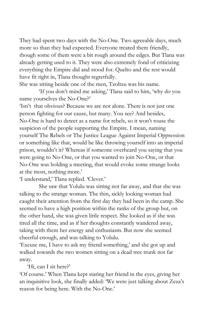They had spent two days with the No-One. Two agreeable days, much more so than they had expected. Everyone treated them friendly, though some of them were a bit rough around the edges. But Tlana was already getting used to it. They were also extremely fond of criticizing everything the Empire did and stood for. Quelto and the rest would have fit right in, Tlana thought regretfully.

She was sitting beside one of the men, Tzoltzu was his name.

'If you don't mind me asking,' Tlana said to him, 'why do you name yourselves the No-One?'

'Isn't that obvious? Because we are not alone. There is not just one person fighting for our cause, but many. You see? And besides, No-One is hard to detect as a name for rebels, so it won't rouse the suspicion of the people supporting the Empire. I mean, naming yourself The Rebels or The Justice League Against Imperial Oppression or something like that, would be like throwing yourself into an imperial prison, wouldn't it? Whereas if someone overheard you saying that you were going to No-One, or that you wanted to join No-One, or that No-One was holding a meeting, that would evoke some strange looks at the most, nothing more.'

'I understand,' Tlana replied. 'Clever.'

She saw that Yolulu was sitting not far away, and that she was talking to the strange woman. The thin, sickly looking woman had caught their attention from the first day they had been in the camp. She seemed to have a high position within the ranks of the group but, on the other hand, she was given little respect. She looked as if she was tired all the time, and as if her thoughts constantly wandered away, taking with them her energy and enthusiasm. But now she seemed cheerful enough, and was talking to Yolulu.

'Excuse me, I have to ask my friend something,' and she got up and walked towards the two women sitting on a dead tree trunk not far away.

'Hi, can I sit here?'

'Of course.' When Tlana kept staring her friend in the eyes, giving her an inquisitive look, she finally added: 'We were just talking about Zeza's reason for being here. With the No-One.'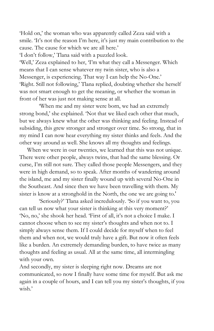'Hold on,' the woman who was apparently called Zeza said with a smile. 'It's not the reason I'm here, it's just my main contribution to the cause. The cause for which we are all here.'

'I don't follow,' Tlana said with a puzzled look.

'Well,' Zeza explained to her, 'I'm what they call a Messenger. Which means that I can sense whatever my twin sister, who is also a Messenger, is experiencing. That way I can help the No-One.' 'Right. Still not following,' Tlana replied, doubting whether she herself was not smart enough to get the meaning, or whether the woman in front of her was just not making sense at all.

'When me and my sister were born, we had an extremely strong bond,' she explained. 'Not that we liked each other that much, but we always knew what the other was thinking and feeling. Instead of subsiding, this grew stronger and stronger over time. So strong, that in my mind I can now hear everything my sister thinks and feels. And the other way around as well. She knows all my thoughts and feelings.

When we were in our twenties, we learned that this was not unique. There were other people, always twins, that had the same blessing. Or curse, I'm still not sure. They called those people Messengers, and they were in high demand, so to speak. After months of wandering around the island, me and my sister finally wound up with several No-One in the Southeast. And since then we have been travelling with them. My sister is know at a stronghold in the North, the one we are going to.'

'Seriously?' Tlana asked incredulously. 'So if you want to, you can tell us now what your sister is thinking at this very moment?' 'No, no,' she shook her head. 'First of all, it's not a choice I make. I cannot choose when to see my sister's thoughts and when not to. I simply always sense them. If I could decide for myself when to feel them and when not, we would truly have a gift. But now it often feels like a burden. An extremely demanding burden, to have twice as many thoughts and feeling as usual. All at the same time, all intermingling with your own.

And secondly, my sister is sleeping right now. Dreams are not communicated, so now I finally have some time for myself. But ask me again in a couple of hours, and I can tell you my sister's thoughts, if you wish.'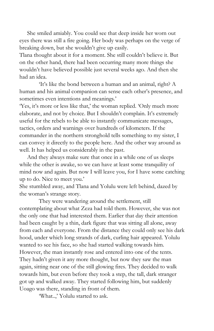She smiled amiably. You could see that deep inside her worn out eyes there was still a fire going. Her body was perhaps on the verge of breaking down, but she wouldn't give up easily.

Tlana thought about it for a moment. She still couldn't believe it. But on the other hand, there had been occurring many more things she wouldn't have believed possible just several weeks ago. And then she had an idea.

'It's like the bond between a human and an animal, right? A human and his animal companion can sense each other's presence, and sometimes even intentions and meanings.'

'Yes, it's more or less like that,' the woman replied. 'Only much more elaborate, and not by choice. But I shouldn't complain. It's extremely useful for the rebels to be able to instantly communicate messages, tactics, orders and warnings over hundreds of kilometers. If the commander in the northern stronghold tells something to my sister, I can convey it directly to the people here. And the other way around as well. It has helped us considerably in the past.

And they always make sure that once in a while one of us sleeps while the other is awake, so we can have at least some tranquility of mind now and again. But now I will leave you, for I have some catching up to do. Nice to meet you.'

She stumbled away, and Tlana and Yolulu were left behind, dazed by the woman's strange story.

They were wandering around the settlement, still contemplating about what Zeza had told them. However, she was not the only one that had interested them. Earlier that day their attention had been caught by a thin, dark figure that was sitting all alone, away from each and everyone. From the distance they could only see his dark hood, under which long strands of dark, curling hair appeared. Yolulu wanted to see his face, so she had started walking towards him. However, the man instantly rose and entered into one of the tents. They hadn't given it any more thought, but now they saw the man again, sitting near one of the still glowing fires. They decided to walk towards him, but even before they took a step, the tall, dark stranger got up and walked away. They started following him, but suddenly Uoago was there, standing in front of them.

'What..,' Yolulu started to ask.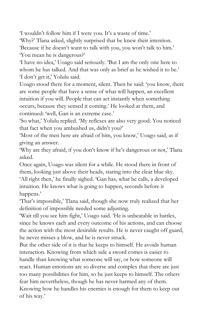'I wouldn't follow him if I were you. It's a waste of time.'

'Why?' Tlana asked, slightly surprised that he knew their intention. 'Because if he doesn't want to talk with you, you won't talk to him.' 'You mean he is dangerous?'

'I have no idea,' Uoago said seriously. 'But I am the only one here to whom he has talked. And that was only as brief as he wished it to be.' 'I don't get it,' Yolulu said.

Uoago stood there for a moment, silent. Then he said: 'you know, there are some people that have a sense of what will happen, an excellent intuition if you will. People that can act instantly when something occurs, because they sensed it coming.' He looked at them, and continued: 'well, Gan is an extreme case.'

'So what,' Yolulu replied. 'My reflexes are also very good. You noticed that fact when you ambushed us, didn't you?'

'Most of the men here are afraid of him, you know,' Uoago said, as if giving an answer.

'Why are they afraid, if you don't know if he's dangerous or not,' Tlana asked.

Once again, Uoago was silent for a while. He stood there in front of them, looking just above their heads, staring into the clear blue sky. 'All right then,' he finally sighed. 'Gan has, what he calls, a developed intuition. He knows what is going to happen, seconds before it happens.'

'That's impossible,' Tlana said, though she now truly realized that her definition of impossible needed some adjusting.

'Wait till you see him fight,' Uoago said. 'He is unbeatable in battles, since he knows each and every outcome of his actions, and can choose the action with the most desirable results. He is never caught off guard, he never misses a blow, and he is never struck.

But the other side of it is that he keeps to himself. He avoids human interaction. Knowing from which side a sword comes is easier to handle than knowing what someone will say, or how someone will react. Human emotions are so diverse and complex that there are just too many possibilities for him, so he just keeps to himself. The others fear him nevertheless, though he has never harmed any of them. Knowing how he handles his enemies is enough for them to keep out of his way.'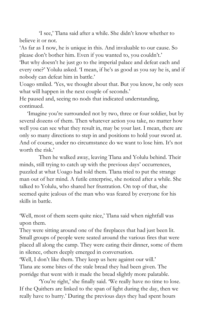'I see,' Tlana said after a while. She didn't know whether to believe it or not.

'As far as I now, he is unique in this. And invaluable to our cause. So please don't bother him. Even if you wanted to, you couldn't.'

'But why doesn't he just go to the imperial palace and defeat each and every one?' Yolulu asked. 'I mean, if he's as good as you say he is, and if nobody can defeat him in battle.'

Uoago smiled. 'Yes, we thought about that. But you know, he only sees what will happen in the next couple of seconds.'

He paused and, seeing no nods that indicated understanding, continued.

'Imagine you're surrounded not by two, three or four soldier, but by several dozens of them. Then whatever action you take, no matter how well you can see what they result in, may be your last. I mean, there are only so many directions to step in and positions to hold your sword at. And of course, under no circumstance do we want to lose him. It's not worth the risk.'

Then he walked away, leaving Tlana and Yolulu behind. Their minds, still trying to catch up with the previous days' occurrences, puzzled at what Uoago had told them. Tlana tried to put the strange man out of her mind. A futile enterprise, she noticed after a while. She talked to Yolulu, who shared her frustration. On top of that, she seemed quite jealous of the man who was feared by everyone for his skills in battle.

'Well, most of them seem quite nice,' Tlana said when nightfall was upon them.

They were sitting around one of the fireplaces that had just been lit. Small groups of people were seated around the various fires that were placed all along the camp. They were eating their dinner, some of them in silence, others deeply emerged in conversation.

'Well, I don't like them. They keep us here against our will.' Tlana ate some bites of the stale bread they had been given. The porridge that went with it made the bread slightly more palatable.

'You're right,' she finally said. 'We really have no time to lose. If the Quithers are linked to the span of light during the day, then we really have to hurry.' During the previous days they had spent hours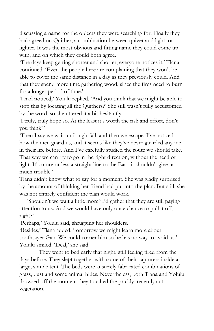discussing a name for the objects they were searching for. Finally they had agreed on Quither, a combination between quiver and light, or lighter. It was the most obvious and fitting name they could come up with, and on which they could both agree.

'The days keep getting shorter and shorter, everyone notices it,' Tlana continued. 'Even the people here are complaining that they won't be able to cover the same distance in a day as they previously could. And that they spend more time gathering wood, since the fires need to burn for a longer period of time.'

'I had noticed,' Yolulu replied. 'And you think that we might be able to stop this by locating all the Quithers?' She still wasn't fully accustomed by the word, so she uttered it a bit hesitantly.

'I truly, truly hope so. At the least it's worth the risk and effort, don't you think?'

'Then I say we wait until nightfall, and then we escape. I've noticed how the men guard us, and it seems like they've never guarded anyone in their life before. And I've carefully studied the route we should take. That way we can try to go in the right direction, without the need of light. It's more or less a straight line to the East, it shouldn't give us much trouble.'

Tlana didn't know what to say for a moment. She was gladly surprised by the amount of thinking her friend had put into the plan. But still, she was not entirely confident the plan would work.

'Shouldn't we wait a little more? I'd gather that they are still paying attention to us. And we would have only once chance to pull it off, right?'

'Perhaps,' Yolulu said, shrugging her shoulders.

'Besides,' Tlana added, 'tomorrow we might learn more about soothsayer Gan. We could corner him so he has no way to avoid us.' Yolulu smiled. 'Deal,' she said.

They went to bed early that night, still feeling tired from the days before. They slept together with some of their capturers inside a large, simple tent. The beds were austerely fabricated combinations of grass, dust and some animal hides. Nevertheless, both Tlana and Yolulu drowsed off the moment they touched the prickly, recently cut vegetation.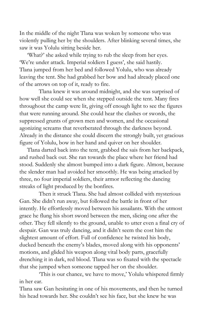In the middle of the night Tlana was woken by someone who was violently pulling her by the shoulders. After blinking several times, she saw it was Yolulu sitting beside her.

'What?' she asked while trying to rub the sleep from her eyes. 'We're under attack. Imperial soldiers I guess', she said hastily. Tlana jumped from her bed and followed Yolulu, who was already leaving the tent. She had grabbed her bow and had already placed one of the arrows on top of it, ready to fire.

Tlana knew it was around midnight, and she was surprised of how well she could see when she stepped outside the tent. Many fires throughout the camp were lit, giving off enough light to see the figures that were running around. She could hear the clashes or swords, the suppressed grunts of grown men and women, and the occasional agonizing screams that reverberated through the darkness beyond. Already in the distance she could discern the strongly built, yet gracious figure of Yolulu, bow in her hand and quiver on her shoulder.

Tlana darted back into the tent, grabbed the sais from her backpack, and rushed back out. She ran towards the place where her friend had stood. Suddenly she almost bumped into a dark figure. Almost, because the slender man had avoided her smoothly. He was being attacked by three, no four imperial soldiers, their armor reflecting the dancing streaks of light produced by the bonfires.

Then it struck Tlana. She had almost collided with mysterious Gan. She didn't run away, but followed the battle in front of her intently. He effortlessly moved between his assailants. With the utmost grace he flung his short sword between the men, slicing one after the other. They fell silently to the ground, unable to utter even a final cry of despair. Gan was truly dancing, and it didn't seem the cost him the slightest amount of effort. Full of confidence he twisted his body, ducked beneath the enemy's blades, moved along with his opponents' motions, and glided his weapon along vital body parts, gracefully drenching it in dark, red blood. Tlana was so fixated with the spectacle that she jumped when someone tapped her on the shoulder.

'This is our chance, we have to move,' Yolulu whispered firmly in her ear.

Tlana saw Gan hesitating in one of his movements, and then he turned his head towards her. She couldn't see his face, but she knew he was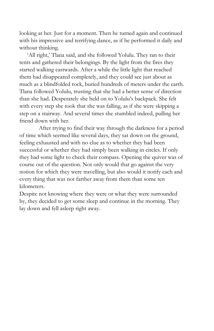looking at her. Just for a moment. Then he turned again and continued with his impressive and terrifying dance, as if he performed it daily and without thinking.

'All right,' Tlana said, and she followed Yolulu. They ran to their tents and gathered their belongings. By the light from the fires they started walking eastwards. After a while the little light that reached them had disappeared completely, and they could see just about as much as a blindfolded rock, buried hundreds of meters under the earth. Tlana followed Yolulu, trusting that she had a better sense of direction than she had. Desperately she held on to Yolulu's backpack. She felt with every step she took that she was falling, as if she were skipping a step on a stairway. And several times she stumbled indeed, pulling her friend down with her.

After trying to find their way through the darkness for a period of time which seemed like several days, they sat down on the ground, feeling exhausted and with no clue as to whether they had been successful or whether they had simply been walking in circles. If only they had some light to check their compass. Opening the quiver was of course out of the question. Not only would that go against the very notion for which they were travelling, but also would it notify each and every thing that was not farther away from them than some ten kilometers.

Despite not knowing where they were or what they were surrounded by, they decided to get some sleep and continue in the morning. They lay down and fell asleep right away.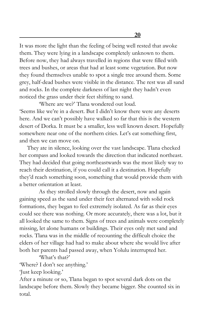It was more the light than the feeling of being well rested that awoke them. They were lying in a landscape completely unknown to them. Before now, they had always travelled in regions that were filled with trees and bushes, or areas that had at least some vegetation. But now they found themselves unable to spot a single tree around them. Some grey, half-dead bushes were visible in the distance. The rest was all sand and rocks. In the complete darkness of last night they hadn't even noticed the grass under their feet shifting to sand.

'Where are we?' Tlana wondered out loud. 'Seems like we're in a desert. But I didn't know there were any deserts here. And we can't possibly have walked so far that this is the western desert of Dorka. It must be a smaller, less well known desert. Hopefully somewhere near one of the northern cities. Let's eat something first, and then we can move on.

They ate in silence, looking over the vast landscape. Tlana checked her compass and looked towards the direction that indicated northeast. They had decided that going northeastwards was the most likely way to reach their destination, if you could call it a destination. Hopefully they'd reach something soon, something that would provide them with a better orientation at least.

As they strolled slowly through the desert, now and again gaining speed as the sand under their feet alternated with solid rock formations, they began to feel extremely isolated. As far as their eyes could see there was nothing. Or more accurately, there was a lot, but it all looked the same to them. Signs of trees and animals were completely missing, let alone humans or buildings. Their eyes only met sand and rocks. Tlana was in the middle of recounting the difficult choice the elders of her village had had to make about where she would live after both her parents had passed away, when Yolulu interrupted her.

'What's that?'

'Where? I don't see anything.'

'Just keep looking.'

After a minute or so, Tlana began to spot several dark dots on the landscape before them. Slowly they became bigger. She counted six in total.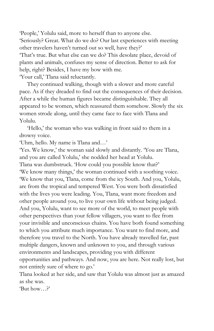'People,' Yolulu said, more to herself than to anyone else. 'Seriously? Great. What do we do? Our last experiences with meeting other travelers haven't turned out so well, have they?' 'That's true. But what else can we do? This desolate place, devoid of plants and animals, confuses my sense of direction. Better to ask for help, right? Besides, I have my bow with me. 'Your call,' Tlana said reluctantly.

They continued walking, though with a slower and more careful pace. As if they dreaded to find out the consequences of their decision. After a while the human figures became distinguishable. They all appeared to be women, which reassured them somehow. Slowly the six women strode along, until they came face to face with Tlana and Yolulu.

'Hello,' the woman who was walking in front said to them in a drowsy voice.

'Uhm, hello. My name is Tlana and…'

'Yes. We know,' the woman said slowly and distantly. 'You are Tlana, and you are called Yolulu,' she nodded her head at Yolulu.

Tlana was dumbstruck. 'How could you possible know that?' 'We know many things,' the woman continued with a soothing voice. 'We know that you, Tlana, come from the icy South. And you, Yolulu, are from the tropical and tempered West. You were both dissatisfied with the lives you were leading. You, Tlana, want more freedom and other people around you, to live your own life without being judged. And you, Yolulu, want to see more of the world, to meet people with other perspectives than your fellow villagers, you want to flee from your invisible and unconscious chains. You have both found something to which you attribute much importance. You want to find more, and therefore you travel to the North. You have already travelled far, past multiple dangers, known and unknown to you, and through various environments and landscapes, providing you with different opportunities and pathways. And now, you are here. Not really lost, but not entirely sure of where to go.'

Tlana looked at her side, and saw that Yolulu was almost just as amazed as she was.

'But how…?'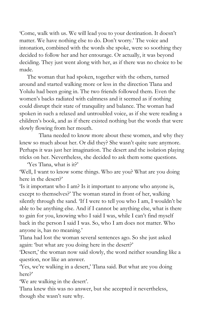'Come, walk with us. We will lead you to your destination. It doesn't matter. We have nothing else to do. Don't worry.' The voice and intonation, combined with the words she spoke, were so soothing they decided to follow her and her entourage. Or actually, it was beyond deciding. They just went along with her, as if there was no choice to be made.

The woman that had spoken, together with the others, turned around and started walking more or less in the direction Tlana and Yolulu had been going in. The two friends followed them. Even the women's backs radiated with calmness and it seemed as if nothing could disrupt their state of tranquility and balance. The woman had spoken in such a relaxed and untroubled voice, as if she were reading a children's book, and as if there existed nothing but the words that were slowly flowing from her mouth.

Tlana needed to know more about these women, and why they knew so much about her. Or did they? She wasn't quite sure anymore. Perhaps it was just her imagination. The desert and the isolation playing tricks on her. Nevertheless, she decided to ask them some questions.

'Yes Tlana, what is it?' 'Well, I want to know some things. Who are you? What are you doing here in the desert?'

'Is it important who I am? Is it important to anyone who anyone is, except to themselves?' The woman stared in front of her, walking silently through the sand. 'If I were to tell you who I am, I wouldn't be able to be anything else. And if I cannot be anything else, what is there to gain for you, knowing who I said I was, while I can't find myself back in the person I said I was. So, who I am does not matter. Who anyone is, has no meaning.'

Tlana had lost the woman several sentences ago. So she just asked again: 'but what are you doing here in the desert?'

'Desert,' the woman now said slowly, the word neither sounding like a question, nor like an answer.

'Yes, we're walking in a desert,' Tlana said. But what are you doing here?'

'We are walking in the desert'.

Tlana knew this was no answer, but she accepted it nevertheless, though she wasn't sure why.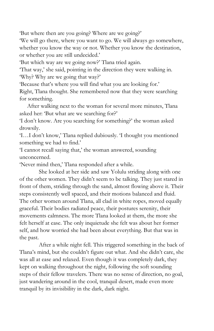'But where then are you going? Where are we going?'

'We will go there, where you want to go. We will always go somewhere, whether you know the way or not. Whether you know the destination, or whether you are still undecided.'

'But which way are we going now?' Tlana tried again.

'That way,' she said, pointing in the direction they were walking in. 'Why? Why are we going that way?'

'Because that's where you will find what you are looking for.'

Right, Tlana thought. She remembered now that they were searching for something.

After walking next to the woman for several more minutes, Tlana asked her: 'But what are we searching for?'

'I don't know. Are you searching for something?' the woman asked drowsily.

'I…I don't know,' Tlana replied dubiously. 'I thought you mentioned something we had to find.'

'I cannot recall saying that,' the woman answered, sounding unconcerned.

'Never mind then,' Tlana responded after a while.

She looked at her side and saw Yolulu striding along with one of the other women. They didn't seem to be talking. They just stared in front of them, striding through the sand, almost flowing above it. Their steps consistently well spaced, and their motions balanced and fluid. The other women around Tlana, all clad in white ropes, moved equally graceful. Their bodies radiated peace, their postures serenity, their movements calmness. The more Tlana looked at them, the more she felt herself at ease. The only inquietude she felt was about her former self, and how worried she had been about everything. But that was in the past.

After a while night fell. This triggered something in the back of Tlana's mind, but she couldn't figure out what. And she didn't care, she was all at ease and relaxed. Even though it was completely dark, they kept on walking throughout the night, following the soft sounding steps of their fellow travelers. There was no sense of direction, no goal, just wandering around in the cool, tranquil desert, made even more tranquil by its invisibility in the dark, dark night.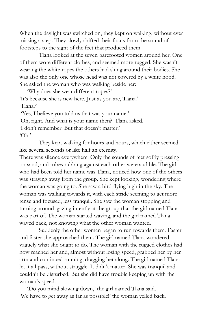When the daylight was switched on, they kept on walking, without ever missing a step. They slowly shifted their focus from the sound of footsteps to the sight of the feet that produced them.

Tlana looked at the seven barefooted women around her. One of them wore different clothes, and seemed more rugged. She wasn't wearing the white ropes the others had slung around their bodies. She was also the only one whose head was not covered by a white hood. She asked the woman who was walking beside her:

'Why does she wear different ropes?' 'It's because she is new here. Just as you are, Tlana.' 'Tlana?'

'Yes, I believe you told us that was your name.' 'Oh, right. And what is your name then?' Tlana asked. 'I don't remember. But that doesn't matter.' 'Oh.'

They kept walking for hours and hours, which either seemed like several seconds or like half an eternity.

There was silence everywhere. Only the sounds of feet softly pressing on sand, and robes rubbing against each other were audible. The girl who had been told her name was Tlana, noticed how one of the others was straying away from the group. She kept looking, wondering where the woman was going to. She saw a bird flying high in the sky. The woman was walking towards it, with each stride seeming to get more tense and focused, less tranquil. She saw the woman stopping and turning around, gazing intently at the group that the girl named Tlana was part of. The woman started waving, and the girl named Tlana waved back, not knowing what the other woman wanted.

Suddenly the other woman began to run towards them. Faster and faster she approached them. The girl named Tlana wondered vaguely what she ought to do. The woman with the rugged clothes had now reached her and, almost without losing speed, grabbed her by her arm and continued running, dragging her along. The girl named Tlana let it all pass, without struggle. It didn't matter. She was tranquil and couldn't be disturbed. But she did have trouble keeping up with the woman's speed.

'Do you mind slowing down,' the girl named Tlana said. 'We have to get away as far as possible!' the woman yelled back.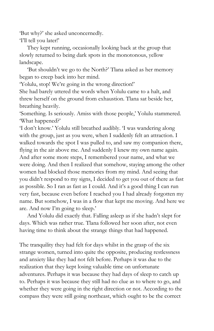'But why?' she asked unconcernedly.

'I'll tell you later!'

They kept running, occasionally looking back at the group that slowly returned to being dark spots in the monotonous, yellow landscape.

'But shouldn't we go to the North?' Tlana asked as her memory began to creep back into her mind.

'Yolulu, stop! We're going in the wrong direction!'

She had barely uttered the words when Yolulu came to a halt, and threw herself on the ground from exhaustion. Tlana sat beside her, breathing heavily.

'Something. Is seriously. Amiss with those people,' Yolulu stammered. 'What happened?'

'I don't know.' Yolulu still breathed audibly. 'I was wandering along with the group, just as you were, when I suddenly felt an attraction. I walked towards the spot I was pulled to, and saw my companion there, flying in the air above me. And suddenly I knew my own name again. And after some more steps, I remembered your name, and what we were doing. And then I realized that somehow, staying among the other women had blocked those memories from my mind. And seeing that you didn't respond to my signs, I decided to get you out of there as fast as possible. So I ran as fast as I could. And it's a good thing I can run very fast, because even before I reached you I had already forgotten my name. But somehow, I was in a flow that kept me moving. And here we are. And now I'm going to sleep.'

And Yolulu did exactly that. Falling asleep as if she hadn't slept for days. Which was rather true. Tlana followed her soon after, not even having time to think about the strange things that had happened.

The tranquility they had felt for days whilst in the grasp of the six strange women, turned into quite the opposite, producing restlessness and anxiety like they had not felt before. Perhaps it was due to the realization that they kept losing valuable time on unfortunate adventures. Perhaps it was because they had days of sleep to catch up to. Perhaps it was because they still had no clue as to where to go, and whether they were going in the right direction or not. According to the compass they were still going northeast, which ought to be the correct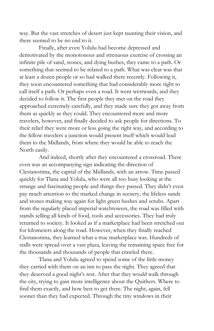way. But the vast stretches of desert just kept taunting their vision, and there seemed to be no end to it.

Finally, after even Yolulu had become depressed and demotivated by the monotonous and strenuous exercise of crossing an infinite pile of sand, stones, and dying bushes, they came to a path. Or something that seemed to be related to a path. What was clear was that at least a dozen people or so had walked there recently. Following it, they soon encountered something that had considerably more right to call itself a path. Or perhaps even a road. It went westwards, and they decided to follow it. The first people they met on the road they approached extremely carefully, and they made sure they got away from them as quickly as they could. They encountered more and more travelers, however, and finally decided to ask people for directions. To their relief they were more or less going the right way, and according to the fellow travelers a junction would present itself which would lead them to the Midlands, from where they would be able to reach the North easily.

And indeed, shortly after they encountered a crossroad. There even was an accompanying sign indicating the direction of Clestanorima, the capital of the Midlands, with an arrow. Time passed quickly for Tlana and Yolulu, who were all too busy looking at the strange and fascinating people and things they passed. They didn't even pay much attention to the marked change in scenery, the lifeless sands and stones making way again for light green bushes and scrubs. Apart from the regularly placed imperial watchtowers, the road was filled with stands selling all kinds of food, tools and accessories. They had truly returned to society. It looked as if a marketplace had been stretched out for kilometers along the road. However, when they finally reached Clestanorima, they learned what a true marketplace was. Hundreds of stalls were spread over a vast plaza, leaving the remaining space free for the thousands and thousands of people that crawled there.

Tlana and Yolulu agreed to spend some of the little money they carried with them on an inn to pass the night. They agreed that they deserved a good night's rest. After that they would walk through the city, trying to gain more intelligence about the Quithers. Where to find them exactly, and how best to get there. The night, again, fell sooner than they had expected. Through the tiny windows in their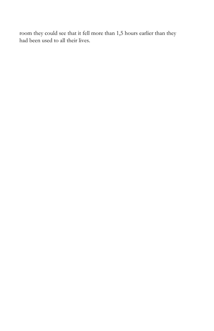room they could see that it fell more than 1,5 hours earlier than they had been used to all their lives.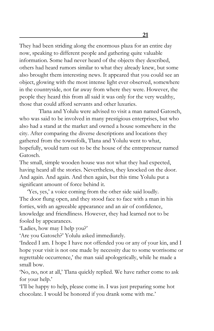They had been striding along the enormous plaza for an entire day now, speaking to different people and gathering quite valuable information. Some had never heard of the objects they described, others had heard rumors similar to what they already knew, but some also brought them interesting news. It appeared that you could see an object, glowing with the most intense light ever observed, somewhere in the countryside, not far away from where they were. However, the people they heard this from all said it was only for the very wealthy, those that could afford servants and other luxuries.

Tlana and Yolulu were advised to visit a man named Gatosch, who was said to be involved in many prestigious enterprises, but who also had a stand at the market and owned a house somewhere in the city. After comparing the diverse descriptions and locations they gathered from the townsfolk, Tlana and Yolulu went to what, hopefully, would turn out to be the house of the entrepreneur named Gatosch.

The small, simple wooden house was not what they had expected, having heard all the stories. Nevertheless, they knocked on the door. And again. And again. And then again, but this time Yolulu put a significant amount of force behind it.

'Yes, yes,' a voice coming from the other side said loudly. The door flung open, and they stood face to face with a man in his forties, with an agreeable appearance and an air of confidence, knowledge and friendliness. However, they had learned not to be fooled by appearances.

'Ladies, how may I help you?'

'Are you Gatosch?' Yolulu asked immediately.

'Indeed I am. I hope I have not offended you or any of your kin, and I hope your visit is not one made by necessity due to some worrisome or regrettable occurrence,' the man said apologetically, while he made a small bow.

'No, no, not at all,' Tlana quickly replied. We have rather come to ask for your help.'

'I'll be happy to help, please come in. I was just preparing some hot chocolate. I would be honored if you drank some with me.'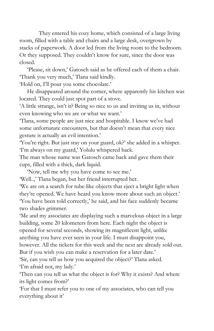They entered his cozy home, which consisted of a large living room, filled with a table and chairs and a large desk, overgrown by stacks of paperwork. A door led from the living room to the bedroom. Or they supposed. They couldn't know for sure, since the door was closed.

'Please, sit down,' Gatosch said as he offered each of them a chair. 'Thank you very much,' Tlana said kindly.

'Hold on, I'll pour you some chocolate.'

He disappeared around the corner, where apparently his kitchen was located. They could just spot part of a stove.

'A little strange, isn't it? Being so nice to us and inviting us in, without even knowing who we are or what we want.'

'Tlana, some people are just nice and hospitable. I know we've had some unfortunate encounters, but that doesn't mean that every nice gesture is actually an evil intention.'

'You're right. But just stay on your guard, ok?' she added in a whisper. 'I'm always on my guard,' Yolulu whispered back.

The man whose name was Gatosch came back and gave them their cups, filled with a thick, dark liquid.

'Now, tell me why you have come to see me.'

'Well..,' Tlana began, but her friend interrupted her.

'We are on a search for tube-like objects that eject a bright light when they're opened. We have heard you know more about such an object.' 'You have been told correctly,' he said, and his face suddenly became two shades grimmer.

'Me and my associates are displaying such a marvelous object in a large building, some 20 kilometers from here. Each night the object is opened for several seconds, showing its magnificent light, unlike anything you have ever seen in your life. I must disappoint you, however. All the tickets for this week and the next are already sold out. But if you wish you can make a reservation for a later date.'

'Sir, can you tell us how you acquired the object?' Tlana asked. 'I'm afraid not, my lady.'

'Then can you tell us what the object is for? Why it exists? And where its light comes from?'

'For that I must refer you to one of my associates, who can tell you everything about it'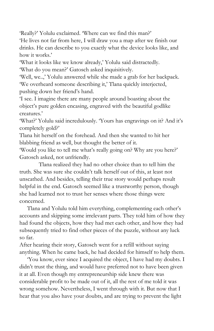'Really?' Yolulu exclaimed. 'Where can we find this man?'

'He lives not far from here, I will draw you a map after we finish our drinks. He can describe to you exactly what the device looks like, and how it works.'

'What it looks like we know already,' Yolulu said distractedly. 'What do you mean?' Gatosch asked inquisitively.

'Well, we..,' Yolulu answered while she made a grab for her backpack. 'We overheard someone describing it,' Tlana quickly interjected, pushing down her friend's hand.

'I see. I imagine there are many people around boasting about the object's pure golden encasing, engraved with the beautiful godlike creatures.'

'What?' Yolulu said incredulously. 'Yours has engravings on it? And it's completely gold?'

Tlana hit herself on the forehead. And then she wanted to hit her blabbing friend as well, but thought the better of it.

'Would you like to tell me what's really going on? Why are you here?' Gatosch asked, not unfriendly.

Tlana realized they had no other choice than to tell him the truth. She was sure she couldn't talk herself out of this, at least not unscathed. And besides, telling their true story would perhaps result helpful in the end. Gatosch seemed like a trustworthy person, though she had learned not to trust her senses where those things were concerned.

Tlana and Yolulu told him everything, complementing each other's accounts and skipping some irrelevant parts. They told him of how they had found the objects, how they had met each other, and how they had subsequently tried to find other pieces of the puzzle, without any luck so far.

After hearing their story, Gatosch went for a refill without saying anything. When he came back, he had decided for himself to help them.

'You know, ever since I acquired the object, I have had my doubts. I didn't trust the thing, and would have preferred not to have been given it at all. Even though my entrepreneurship side knew there was considerable profit to be made out of it, all the rest of me told it was wrong somehow. Nevertheless, I went through with it. But now that I hear that you also have your doubts, and are trying to prevent the light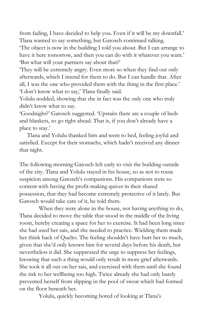from fading, I have decided to help you. Even if it will be my downfall.' Tlana wanted to say something, but Gatosch continued talking.

'The object is now in the building I told you about. But I can arrange to have it here tomorrow, and then you can do with it whatever you want.' 'But what will your partners say about that?'

'They will be extremely angry. Even more so when they find out only afterwards, which I intend for them to do. But I can handle that. After all, I was the one who provided them with the thing in the first place.' 'I don't know what to say,' Tlana finally said.

Yolulu nodded, showing that she in fact was the only one who truly didn't know what to say.

'Goodnight?' Gatosch suggested. 'Upstairs there are a couple of beds and blankets, so go right ahead. That is, if you don't already have a place to stay.'

Tlana and Yolulu thanked him and went to bed, feeling joyful and satisfied. Except for their stomachs, which hadn't received any dinner that night.

The following morning Gatosch left early to visit the building outside of the city. Tlana and Yolulu stayed in his house, so as not to rouse suspicion among Gatosch's companions. His companions were so content with having the profit-making quiver in their shared possession, that they had become extremely protective of it lately. But Gatosch would take care of it, he told them.

When they were alone in the house, not having anything to do, Tlana decided to move the table that stood in the middle of the living room, hereby creating a space for her to exercise. It had been long since she had used her sais, and she needed to practice. Wielding them made her think back of Quelto. The feeling shouldn't have hurt her so much, given that she'd only known him for several days before his death, but nevertheless it did. She suppressed the urge to suppress her feelings, knowing that such a thing would only result in more grief afterwards. She took it all out on her sais, and exercised with them until she found the risk to her wellbeing too high. Twice already she had only barely prevented herself from slipping in the pool of sweat which had formed on the floor beneath her.

Yolulu, quickly becoming bored of looking at Tlana's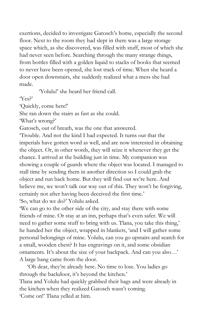exertions, decided to investigate Gatosch's home, especially the second floor. Next to the room they had slept in there was a large storage space which, as she discovered, was filled with stuff, most of which she had never seen before. Searching through the many strange things, from bottles filled with a golden liquid to stacks of books that seemed to never have been opened, she lost track of time. When she heard a door open downstairs, she suddenly realized what a mess she had made.

'Yolulu!' she heard her friend call.

'Yes?'

'Quickly, come here!'

She ran down the stairs as fast as she could.

'What's wrong?'

Gatosch, out of breath, was the one that answered.

'Trouble. And not the kind I had expected. It turns out that the imperials have gotten word as well, and are now interested in obtaining the object. Or, in other words, they will seize it whenever they get the chance. I arrived at the building just in time. My companion was showing a couple of guards where the object was located. I managed to stall time by sending them in another direction so I could grab the object and run back home. But they will find out we're here. And believe me, we won't talk our way out of this. They won't be forgiving, certainly not after having been deceived the first time.'

'So, what do we do?' Yolulu asked.

'We can go to the other side of the city, and stay there with some friends of mine. Or stay at an inn, perhaps that's even safer. We will need to gather some stuff to bring with us. Tlana, you take this thing,' he handed her the object, wrapped in blankets, 'and I will gather some personal belongings of mine. Yolulu, can you go upstairs and search for a small, wooden chest? It has engravings on it, and some obsidian ornaments. It's about the size of your backpack. And can you also…' A large bang came from the door.

'Oh dear, they're already here. No time to lose. You ladies go through the backdoor, it's beyond the kitchen.'

Tlana and Yolulu had quickly grabbed their bags and were already in the kitchen when they realized Gatosch wasn't coming. 'Come on!' Tlana yelled at him.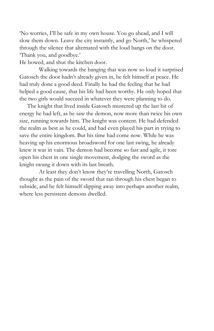'No worries, I'll be safe in my own house. You go ahead, and I will slow them down. Leave the city instantly, and go North,' he whispered through the silence that alternated with the loud bangs on the door. 'Thank you, and goodbye.'

He bowed, and shut the kitchen door.

Walking towards the banging that was now so loud it surprised Gatosch the door hadn't already given in, he felt himself at peace. He had truly done a good deed. Finally he had the feeling that he had helped a good cause, that his life had been worthy. He only hoped that the two girls would succeed in whatever they were planning to do.

The knight that lived inside Gatosch mustered up the last bit of energy he had left, as he saw the demon, now more than twice his own size, running towards him. The knight was content. He had defended the realm as best as he could, and had even played his part in trying to save the entire kingdom. But his time had come now. While he was heaving up his enormous broadsword for one last swing, he already knew it was in vain. The demon had become so fast and agile, it tore open his chest in one single movement, dodging the sword as the knight swung it down with its last breath.

At least they don't know they're travelling North, Gatosch thought as the pain of the sword that ran through his chest began to subside, and he felt himself slipping away into perhaps another realm, where less persistent demons dwelled.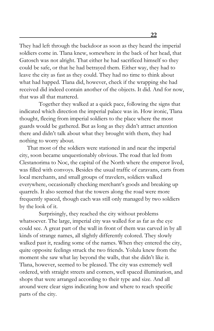They had left through the backdoor as soon as they heard the imperial soldiers come in. Tlana knew, somewhere in the back of her head, that Gatosch was not alright. That either he had sacrificed himself so they could be safe, or that he had betrayed them. Either way, they had to leave the city as fast as they could. They had no time to think about what had happed. Tlana did, however, check if the wrapping she had received did indeed contain another of the objects. It did. And for now, that was all that mattered.

Together they walked at a quick pace, following the signs that indicated which direction the imperial palace was in. How ironic, Tlana thought, fleeing from imperial soldiers to the place where the most guards would be gathered. But as long as they didn't attract attention there and didn't talk about what they brought with them, they had nothing to worry about.

That most of the soldiers were stationed in and near the imperial city, soon became unquestionably obvious. The road that led from Clestanorima to Noc, the capital of the North where the emperor lived, was filled with convoys. Besides the usual traffic of caravans, carts from local merchants, and small groups of travelers, soldiers walked everywhere, occasionally checking merchant's goods and breaking up quarrels. It also seemed that the towers along the road were more frequently spaced, though each was still only managed by two soldiers by the look of it.

Surprisingly, they reached the city without problems whatsoever. The large, imperial city was walled for as far as the eye could see. A great part of the wall in front of them was carved in by all kinds of strange names, all slightly differently colored. They slowly walked past it, reading some of the names. When they entered the city, quite opposite feelings struck the two friends. Yolulu knew from the moment she saw what lay beyond the walls, that she didn't like it. Tlana, however, seemed to be pleased. The city was extremely well ordered, with straight streets and corners, well spaced illumination, and shops that were arranged according to their type and size. And all around were clear signs indicating how and where to reach specific parts of the city.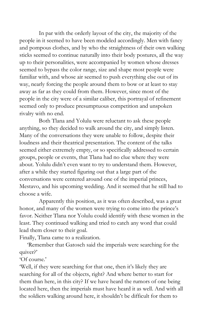In par with the orderly layout of the city, the majority of the people in it seemed to have been modeled accordingly. Men with fancy and pompous clothes, and by who the straightness of their own walking sticks seemed to continue naturally into their body postures, all the way up to their personalities, were accompanied by women whose dresses seemed to bypass the color range, size and shape most people were familiar with, and whose air seemed to push everything else out of its way, nearly forcing the people around them to bow or at least to stay away as far as they could from them. However, since most of the people in the city were of a similar caliber, this portrayal of refinement seemed only to produce presumptuous competition and unspoken rivalry with no end.

Both Tlana and Yolulu were reluctant to ask these people anything, so they decided to walk around the city, and simply listen. Many of the conversations they were unable to follow, despite their loudness and their theatrical presentation. The content of the talks seemed either extremely empty, or so specifically addressed to certain groups, people or events, that Tlana had no clue where they were about. Yolulu didn't even want to try to understand them. However, after a while they started figuring out that a large part of the conversations were centered around one of the imperial princes, Mestavo, and his upcoming wedding. And it seemed that he still had to choose a wife.

Apparently this position, as it was often described, was a great honor, and many of the women were trying to come into the prince's favor. Neither Tlana nor Yolulu could identify with these women in the least. They continued walking and tried to catch any word that could lead them closer to their goal.

Finally, Tlana came to a realization.

'Remember that Gatosch said the imperials were searching for the quiver?'

'Of course.'

'Well, if they were searching for that one, then it's likely they are searching for all of the objects, right? And where better to start for them than here, in this city? If we have heard the rumors of one being located here, then the imperials must have heard it as well. And with all the soldiers walking around here, it shouldn't be difficult for them to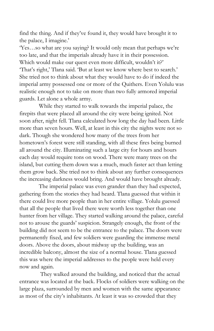find the thing. And if they've found it, they would have brought it to the palace, I imagine.'

'Yes…so what are you saying? It would only mean that perhaps we're too late, and that the imperials already have it in their possession. Which would make our quest even more difficult, wouldn't it?' 'That's right,' Tlana said. 'But at least we know where best to search.' She tried not to think about what they would have to do if indeed the imperial army possessed one or more of the Quithers. Even Yolulu was realistic enough not to take on more than two fully armored imperial guards. Let alone a whole army.

While they started to walk towards the imperial palace, the firepits that were placed all around the city were being ignited. Not soon after, night fell. Tlana calculated how long the day had been. Little more than seven hours. Well, at least in this city the nights were not so dark. Though she wondered how many of the trees from her hometown's forest were still standing, with all these fires being burned all around the city. Illuminating such a large city for hours and hours each day would require tons on wood. There were many trees on the island, but cutting them down was a much, much faster act than letting them grow back. She tried not to think about any further consequences the increasing darkness would bring. And would have brought already.

The imperial palace was even grander than they had expected, gathering from the stories they had heard. Tlana guessed that within it there could live more people than in her entire village. Yolulu guessed that all the people that lived there were worth less together than one hunter from her village. They started walking around the palace, careful not to arouse the guards' suspicion. Strangely enough, the front of the building did not seem to be the entrance to the palace. The doors were permanently fixed, and few soldiers were guarding the immense metal doors. Above the doors, about midway up the building, was an incredible balcony, almost the size of a normal house. Tlana guessed this was where the imperial addresses to the people were held every now and again.

They walked around the building, and noticed that the actual entrance was located at the back. Flocks of soldiers were walking on the large plaza, surrounded by men and women with the same appearance as most of the city's inhabitants. At least it was so crowded that they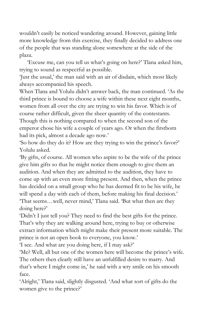wouldn't easily be noticed wandering around. However, gaining little more knowledge from this exercise, they finally decided to address one of the people that was standing alone somewhere at the side of the plaza.

'Excuse me, can you tell us what's going on here?' Tlana asked him, trying to sound as respectful as possible.

'Just the usual,' the man said with an air of disdain, which most likely always accompanied his speech.

When Tlana and Yolulu didn't answer back, the man continued. 'As the third prince is bound to choose a wife within these next eight months, women from all over the city are trying to win his favor. Which is of course rather difficult, given the sheer quantity of the contestants. Though this is nothing compared to when the second son of the emperor chose his wife a couple of years ago. Or when the firstborn had its pick, almost a decade ago now.'

'So how do they do it? How are they trying to win the prince's favor?' Yolulu asked.

'By gifts, of course. All women who aspire to be the wife of the prince give him gifts so that he might notice them enough to give them an audition. And when they are admitted to the audition, they have to come up with an even more fitting present. And then, when the prince has decided on a small group who he has deemed fit to be his wife, he will spend a day with each of them, before making his final decision.' 'That seems…well, never mind,' Tlana said. 'But what then are they doing here?'

'Didn't I just tell you? They need to find the best gifts for the prince. That's why they are walking around here, trying to buy or otherwise extract information which might make their present more suitable. The prince is not an open book to everyone, you know.'

'I see. And what are you doing here, if I may ask?'

'Me? Well, all but one of the women here will become the prince's wife. The others then clearly still have an unfulfilled desire to marry. And that's where I might come in,' he said with a wry smile on his smooth face.

'Alright,' Tlana said, slightly disgusted. 'And what sort of gifts do the women give to the prince?'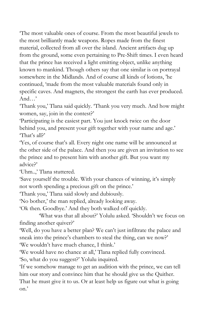'The most valuable ones of course. From the most beautiful jewels to the most brilliantly made weapons. Ropes made from the finest material, collected from all over the island. Ancient artifacts dug up from the ground, some even pertaining to Pre-Shift times. I even heard that the prince has received a light emitting object, unlike anything known to mankind. Though others say that one similar is on portrayal somewhere in the Midlands. And of course all kinds of lotions, 'he continued, 'made from the most valuable materials found only in specific caves. And magnets, the strongest the earth has ever produced. And…'

'Thank you,' Tlana said quickly. 'Thank you very much. And how might women, say, join in the contest?'

'Participating is the easiest part. You just knock twice on the door behind you, and present your gift together with your name and age.' 'That's all?'

'Yes, of course that's all. Every night one name will be announced at the other side of the palace. And then you are given an invitation to see the prince and to present him with another gift. But you want my advice?'

'Uhm..,' Tlana stuttered.

'Save yourself the trouble. With your chances of winning, it's simply not worth spending a precious gift on the prince.'

'Thank you,' Tlana said slowly and dubiously.

'No bother,' the man replied, already looking away.

'Ok then. Goodbye.' And they both walked off quickly.

'What was that all about?' Yolulu asked. 'Shouldn't we focus on finding another quiver?'

'Well, do you have a better plan? We can't just infiltrate the palace and sneak into the prince's chambers to steal the thing, can we now?'

'We wouldn't have much chance, I think.'

'We would have no chance at all,' Tlana replied fully convinced. 'So, what do you suggest?' Yolulu inquired.

'If we somehow manage to get an audition with the prince, we can tell him our story and convince him that he should give us the Quither.

That he must give it to us. Or at least help us figure out what is going on.'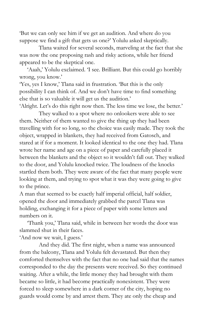'But we can only see him if we get an audition. And where do you suppose we find a gift that gets us one?' Yolulu asked skeptically.

Tlana waited for several seconds, marveling at the fact that she was now the one proposing rash and risky actions, while her friend appeared to be the skeptical one.

'Aaah,' Yolulu exclaimed. 'I see. Brilliant. But this could go horribly wrong, you know.'

'Yes, yes I know,' Tlana said in frustration. 'But this is the only possibility I can think of. And we don't have time to find something else that is so valuable it will get us the audition.'

'Alright. Let's do this right now then. The less time we lose, the better.'

They walked to a spot where no onlookers were able to see them. Neither of them wanted to give the thing up they had been travelling with for so long, so the choice was easily made. They took the object, wrapped in blankets, they had received from Gatosch, and stared at if for a moment. It looked identical to the one they had. Tlana wrote her name and age on a piece of paper and carefully placed it between the blankets and the object so it wouldn't fall out. They walked to the door, and Yolulu knocked twice. The loudness of the knocks startled them both. They were aware of the fact that many people were looking at them, and trying to spot what it was they were going to give to the prince.

A man that seemed to be exactly half imperial official, half soldier, opened the door and immediately grabbed the parcel Tlana was holding, exchanging it for a piece of paper with some letters and numbers on it.

'Thank you,' Tlana said, while in between her words the door was slammed shut in their faces.

'And now we wait, I guess.'

And they did. The first night, when a name was announced from the balcony, Tlana and Yolulu felt devastated. But then they comforted themselves with the fact that no one had said that the names corresponded to the day the presents were received. So they continued waiting. After a while, the little money they had brought with them became so little, it had become practically nonexistent. They were forced to sleep somewhere in a dark corner of the city, hoping no guards would come by and arrest them. They ate only the cheap and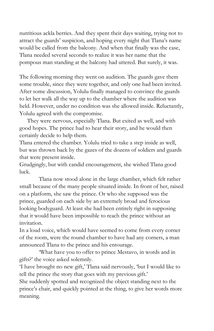nutritious ackla berries. And they spent their days waiting, trying not to attract the guards' suspicion, and hoping every night that Tlana's name would be called from the balcony. And when that finally was the case, Tlana needed several seconds to realize it was her name that the pompous man standing at the balcony had uttered. But surely, it was.

The following morning they went on audition. The guards gave them some trouble, since they were together, and only one had been invited. After some discussion, Yolulu finally managed to convince the guards to let her walk all the way up to the chamber where the audition was held. However, under no condition was she allowed inside. Reluctantly, Yolulu agreed with the compromise.

They were nervous, especially Tlana. But exited as well, and with good hopes. The prince had to hear their story, and he would then certainly decide to help them.

Tlana entered the chamber. Yolulu tried to take a step inside as well, but was thrown back by the gazes of the dozens of soldiers and guards that were present inside.

Grudgingly, but with candid encouragement, she wished Tlana good luck.

Tlana now stood alone in the large chamber, which felt rather small because of the many people situated inside. In front of her, raised on a platform, she saw the prince. Or who she supposed was the prince, guarded on each side by an extremely broad and ferocious looking bodyguard. At least she had been entirely right in supposing that it would have been impossible to reach the prince without an invitation.

In a loud voice, which would have seemed to come from every corner of the room, were the round chamber to have had any corners, a man announced Tlana to the prince and his entourage.

'What have you to offer to prince Mestavo, in words and in gifts?' the voice asked solemnly.

'I have brought no new gift,' Tlana said nervously, 'but I would like to tell the prince the story that goes with my previous gift.'

She suddenly spotted and recognized the object standing next to the prince's chair, and quickly pointed at the thing, to give her words more meaning.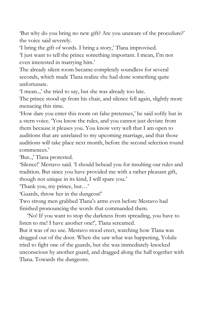'But why do you bring no new gift? Are you unaware of the procedure?' the voice said severely.

'I bring the gift of words. I bring a story,' Tlana improvised.

'I just want to tell the prince something important. I mean, I'm not even interested in marrying him.'

The already silent room became completely soundless for several seconds, which made Tlana realize she had done something quite unfortunate.

'I mean..,' she tried to say, but she was already too late.

The prince stood up from his chair, and silence fell again, slightly more menacing this time.

'How dare you enter this room on false pretenses,' he said softly but in a stern voice. 'You know the rules, and you cannot just deviate from them because it pleases you. You know very well that I am open to auditions that are unrelated to my upcoming marriage, and that those auditions will take place next month, before the second selection round commences.'

'But..,' Tlana protested.

'Silence!' Mestavo said. 'I should behead you for insulting our rules and tradition. But since you have provided me with a rather pleasant gift, though not unique in its kind, I will spare you.'

'Thank you, my prince, but…'

'Guards, throw her in the dungeon!'

Two strong men grabbed Tlana's arms even before Mestavo had finished pronouncing the words that commanded them.

'No! If you want to stop the darkness from spreading, you have to listen to me! I have another one!', Tlana screamed.

But it was of no use. Mestavo stood erect, watching how Tlana was dragged out of the door. When she saw what was happening, Yolulu tried to fight one of the guards, but she was immediately knocked unconscious by another guard, and dragged along the hall together with Tlana. Towards the dungeons.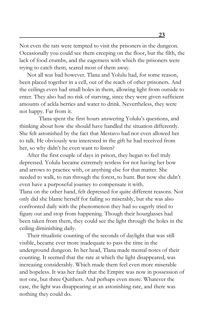Not even the rats were tempted to visit the prisoners in the dungeon. Occasionally you could see them creeping on the floor, but the filth, the lack of food crumbs, and the eagerness with which the prisoners were trying to catch them, scared most of them away.

Not all was bad however. Tlana and Yolulu had, for some reason, been placed together in a cell, out of the reach of other prisoners. And the ceilings even had small holes in them, allowing light from outside to enter. They also had no risk of starving, since they were given sufficient amounts of ackla berries and water to drink. Nevertheless, they were not happy. Far from it.

Tlana spent the first hours answering Yolulu's questions, and thinking about how she should have handled the situation differently. She felt astonished by the fact that Mestavo had not even allowed her to talk. He obviously was interested in the gift he had received from her, so why didn't he even want to listen?

After the first couple of days in prison, they began to feel truly depressed. Yolulu became extremely restless for not having her bow and arrows to practice with, or anything else for that matter. She needed to walk, to run through the forest, to hunt. But now she didn't even have a purposeful journey to compensate it with. Tlana on the other hand, felt depressed for quite different reasons. Not only did she blame herself for failing so miserably, but she was also confronted daily with the phenomenon they had so eagerly tried to figure out and stop from happening. Though their hourglasses had been taken from them, they could see the light through the holes in the ceiling diminishing daily.

Their ritualistic counting of the seconds of daylight that was still visible, became ever more inadequate to pass the time in the underground dungeon. In her head, Tlana made mental notes of their counting. It seemed that the rate at which the light disappeared, was increasing considerably. Which made them feel even more miserable and hopeless. It was her fault that the Empire was now in possession of not one, but three Quithers. And perhaps even more. Whatever the case, the light was disappearing at an astonishing rate, and there was nothing they could do.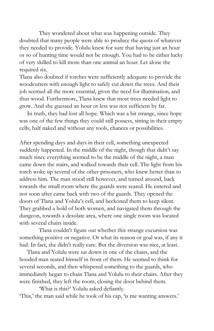They wondered about what was happening outside. They doubted that many people were able to produce the quota of whatever they needed to provide. Yolulu knew for sure that having just an hour or so of hunting time would not be enough. You had to be either lucky of very skilled to kill more than one animal an hour. Let alone the required six.

Tlana also doubted if torches were sufficiently adequate to provide the woodcutters with enough light to safely cut down the trees. And their job seemed all the more essential, given the need for illumination, and thus wood. Furthermore, Tlana knew that most trees needed light to grow. And she guessed an hour or less was not sufficient by far.

In truth, they had lost all hope. Which was a bit strange, since hope was one of the few things they could still possess, sitting in their empty cells, half naked and without any tools, chances or possibilities.

After spending days and days in their cell, something unexpected suddenly happened. In the middle of the night, though that didn't say much since everything seemed to be the middle of the night, a man came down the stairs, and walked towards their cell. The light from his torch woke up several of the other prisoners, who knew better than to address him. The man stood still however, and turned around, back towards the small room where the guards were seated. He entered and not soon after came back with two of the guards. They opened the doors of Tlana and Yolulu's cell, and beckoned them to keep silent. They grabbed a hold of both women, and navigated them through the dungeon, towards a desolate area, where one single room was located with several chairs inside.

Tlana couldn't figure out whether this strange excursion was something positive or negative. Or what its reason or goal was, if any it had. In fact, she didn't really care. But the diversion was nice, at least.

Tlana and Yolulu were sat down in one of the chairs, and the hooded man seated himself in front of them. He seemed to think for several seconds, and then whispered something to the guards, who immediately began to chain Tlana and Yolulu to their chairs. After they were finished, they left the room, closing the door behind them.

'What is this?' Yolulu asked defiantly. 'This,' the man said while he took of his cap, 'is me wanting answers.'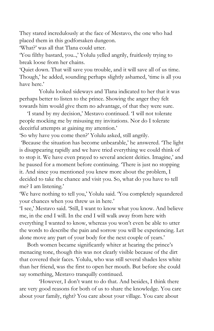They stared incredulously at the face of Mestavo, the one who had placed them in this godforsaken dungeon.

'What?' was all that Tlana could utter.

'You filthy bastard, you..,' Yolulu yelled angrily, fruitlessly trying to break loose from her chains.

'Quiet down. That will save you trouble, and it will save all of us time. Though,' he added, sounding perhaps slightly ashamed, 'time is all you have here.'

Yolulu looked sideways and Tlana indicated to her that it was perhaps better to listen to the prince. Showing the anger they felt towards him would give them no advantage, of that they were sure.

'I stand by my decision,' Mestavo continued. 'I will not tolerate people mocking me by misusing my invitations. Nor do I tolerate deceitful attempts at gaining my attention.'

'So why have you come then?' Yolulu asked, still angrily.

'Because the situation has become unbearable,' he answered. 'The light is disappearing rapidly and we have tried everything we could think of to stop it. We have even prayed to several ancient deities. Imagine,' and he paused for a moment before continuing. 'There is just no stopping it. And since you mentioned you knew more about the problem, I decided to take the chance and visit you. So, what do you have to tell me? I am listening.'

'We have nothing to tell you,' Yolulu said. 'You completely squandered your chances when you threw us in here.'

'I see,' Mestavo said. 'Still, I want to know what you know. And believe me, in the end I will. In the end I will walk away from here with everything I wanted to know, whereas you won't even be able to utter the words to describe the pain and sorrow you will be experiencing. Let alone move any part of your body for the next couple of years.'

Both women became significantly whiter at hearing the prince's menacing tone, though this was not clearly visible because of the dirt that covered their faces. Yolulu, who was still several shades less white than her friend, was the first to open her mouth. But before she could say something, Mestavo tranquilly continued.

'However, I don't want to do that. And besides, I think there are very good reasons for both of us to share the knowledge. You care about your family, right? You care about your village. You care about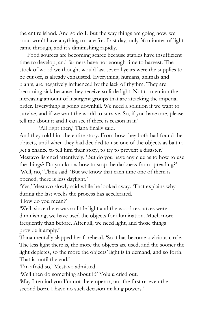the entire island. And so do I. But the way things are going now, we soon won't have anything to care for. Last day, only 36 minutes of light came through, and it's diminishing rapidly.

Food sources are becoming scarce because staples have insufficient time to develop, and farmers have not enough time to harvest. The stock of wood we thought would last several years were the supplies to be cut off, is already exhausted. Everything, humans, animals and plants, are negatively influenced by the lack of rhythm. They are becoming sick because they receive so little light. Not to mention the increasing amount of insurgent groups that are attacking the imperial order. Everything is going downhill. We need a solution if we want to survive, and if we want the world to survive. So, if you have one, please tell me about it and I can see if there is reason in it.'

'All right then,' Tlana finally said.

And they told him the entire story. From how they both had found the objects, until when they had decided to use one of the objects as bait to get a chance to tell him their story, to try to prevent a disaster.' Mestavo listened attentively. 'But do you have any clue as to how to use the things? Do you know how to stop the darkness from spreading?' 'Well, no,' Tlana said. 'But we know that each time one of them is opened, there is less daylight.'

'Yes,' Mestavo slowly said while he looked away. 'That explains why during the last weeks the process has accelerated.'

'How do you mean?'

'Well, since there was so little light and the wood resources were diminishing, we have used the objects for illumination. Much more frequently than before. After all, we need light, and those things provide it amply.'

Tlana mentally slapped her forehead. 'So it has become a vicious circle. The less light there is, the more the objects are used, and the sooner the light depletes, so the more the objects' light is in demand, and so forth. That is, until the end.'

'I'm afraid so,' Mestavo admitted.

'Well then do something about it!' Yolulu cried out.

'May I remind you I'm not the emperor, nor the first or even the second born. I have no such decision making powers.'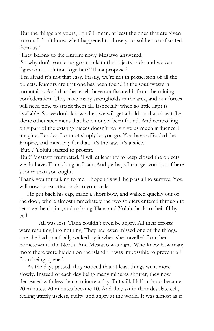'But the things are yours, right? I mean, at least the ones that are given to you. I don't know what happened to those your soldiers confiscated from us.'

'They belong to the Empire now,' Mestavo answered.

'So why don't you let us go and claim the objects back, and we can figure out a solution together?' Tlana proposed.

'I'm afraid it's not that easy. Firstly, we're not in possession of all the objects. Rumors are that one has been found in the southwestern mountains. And that the rebels have confiscated it from the mining confederation. They have many strongholds in the area, and our forces will need time to attack them all. Especially when so little light is available. So we don't know when we will get a hold on that object. Let alone other specimens that have not yet been found. And controlling only part of the existing pieces doesn't really give us much influence I imagine. Besides, I cannot simply let you go. You have offended the Empire, and must pay for that. It's the law. It's justice.'

'But..,' Yolulu started to protest.

'But!' Mestavo trumpeted, 'I will at least try to keep closed the objects we do have. For as long as I can. And perhaps I can get you out of here sooner than you ought.

Thank you for talking to me. I hope this will help us all to survive. You will now be escorted back to your cells.

He put back his cap, made a short bow, and walked quickly out of the door, where almost immediately the two soldiers entered through to remove the chains, and to bring Tlana and Yolulu back to their filthy cell.

All was lost. Tlana couldn't even be angry. All their efforts were resulting into nothing. They had even missed one of the things, one she had practically walked by it when she travelled from her hometown to the North. And Mestavo was right. Who knew how many more there were hidden on the island? It was impossible to prevent all from being opened.

As the days passed, they noticed that at least things went more slowly. Instead of each day being many minutes shorter, they now decreased with less than a minute a day. But still. Half an hour became 20 minutes. 20 minutes became 10. And they sat in their desolate cell, feeling utterly useless, guilty, and angry at the world. It was almost as if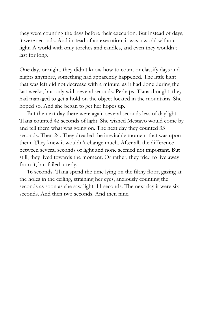they were counting the days before their execution. But instead of days, it were seconds. And instead of an execution, it was a world without light. A world with only torches and candles, and even they wouldn't last for long.

One day, or night, they didn't know how to count or classify days and nights anymore, something had apparently happened. The little light that was left did not decrease with a minute, as it had done during the last weeks, but only with several seconds. Perhaps, Tlana thought, they had managed to get a hold on the object located in the mountains. She hoped so. And she began to get her hopes up.

But the next day there were again several seconds less of daylight. Tlana counted 42 seconds of light. She wished Mestavo would come by and tell them what was going on. The next day they counted 33 seconds. Then 24. They dreaded the inevitable moment that was upon them. They knew it wouldn't change much. After all, the difference between several seconds of light and none seemed not important. But still, they lived towards the moment. Or rather, they tried to live away from it, but failed utterly.

16 seconds. Tlana spend the time lying on the filthy floor, gazing at the holes in the ceiling, straining her eyes, anxiously counting the seconds as soon as she saw light. 11 seconds. The next day it were six seconds. And then two seconds. And then nine.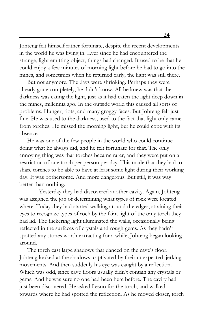Johteng felt himself rather fortunate, despite the recent developments in the world he was living in. Ever since he had encountered the strange, light emitting object, things had changed. It used to be that he could enjoy a few minutes of morning light before he had to go into the mines, and sometimes when he returned early, the light was still there.

But not anymore. The days were shrinking. Perhaps they were already gone completely, he didn't know. All he knew was that the darkness was eating the light, just as it had eaten the light deep down in the mines, millennia ago. In the outside world this caused all sorts of problems. Hunger, riots, and many groggy faces. But Johteng felt just fine. He was used to the darkness, used to the fact that light only came from torches. He missed the morning light, but he could cope with its absence.

He was one of the few people in the world who could continue doing what he always did, and he felt fortunate for that. The only annoying thing was that torches became rarer, and they were put on a restriction of one torch per person per day. This made that they had to share torches to be able to have at least some light during their working day. It was bothersome. And more dangerous. But still, it was way better than nothing.

Yesterday they had discovered another cavity. Again, Johteng was assigned the job of determining what types of rock were located where. Today they had started walking around the edges, straining their eyes to recognize types of rock by the faint light of the only torch they had lid. The flickering light illuminated the walls, occasionally being reflected in the surfaces of crystals and rough gems. As they hadn't spotted any stones worth extracting for a while, Johteng began looking around.

The torch cast large shadows that danced on the cave's floor. Johteng looked at the shadows, captivated by their unexpected, jerking movements. And then suddenly his eye was caught by a reflection. Which was odd, since cave floors usually didn't contain any crystals or gems. And he was sure no one had been here before. The cavity had just been discovered. He asked Lesno for the torch, and walked towards where he had spotted the reflection. As he moved closer, torch